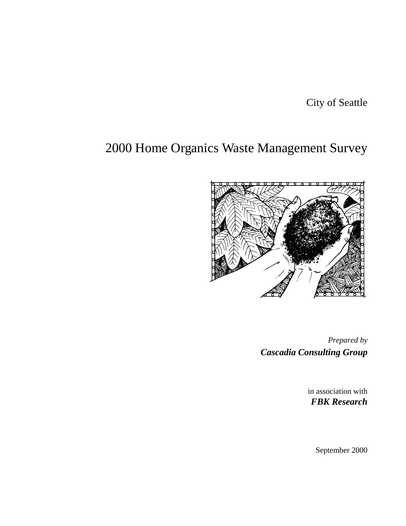City of Seattle

# 2000 Home Organics Waste Management Survey



*Prepared by Cascadia Consulting Group*

> in association with *FBK Research*

> > September 2000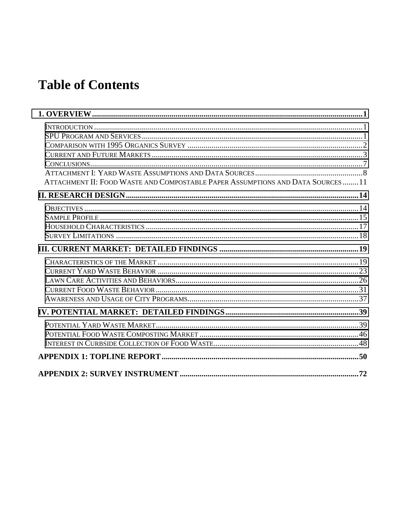# **Table of Contents**

| ATTACHMENT II: FOOD WASTE AND COMPOSTABLE PAPER ASSUMPTIONS AND DATA SOURCES11 |  |
|--------------------------------------------------------------------------------|--|
|                                                                                |  |
|                                                                                |  |
|                                                                                |  |
|                                                                                |  |
|                                                                                |  |
|                                                                                |  |
|                                                                                |  |
|                                                                                |  |
|                                                                                |  |
|                                                                                |  |
|                                                                                |  |
|                                                                                |  |
|                                                                                |  |
|                                                                                |  |
|                                                                                |  |
|                                                                                |  |
|                                                                                |  |
|                                                                                |  |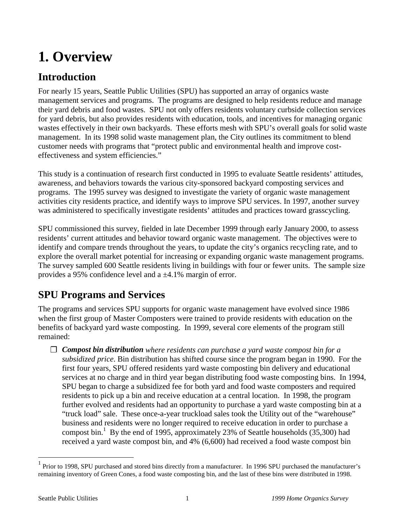# <span id="page-2-0"></span>**1. Overview**

# **Introduction**

For nearly 15 years, Seattle Public Utilities (SPU) has supported an array of organics waste management services and programs. The programs are designed to help residents reduce and manage their yard debris and food wastes. SPU not only offers residents voluntary curbside collection services for yard debris, but also provides residents with education, tools, and incentives for managing organic wastes effectively in their own backyards. These efforts mesh with SPU's overall goals for solid waste management. In its 1998 solid waste management plan, the City outlines its commitment to blend customer needs with programs that "protect public and environmental health and improve costeffectiveness and system efficiencies."

This study is a continuation of research first conducted in 1995 to evaluate Seattle residents' attitudes, awareness, and behaviors towards the various city-sponsored backyard composting services and programs. The 1995 survey was designed to investigate the variety of organic waste management activities city residents practice, and identify ways to improve SPU services. In 1997, another survey was administered to specifically investigate residents' attitudes and practices toward grasscycling.

SPU commissioned this survey, fielded in late December 1999 through early January 2000, to assess residents' current attitudes and behavior toward organic waste management. The objectives were to identify and compare trends throughout the years, to update the city's organics recycling rate, and to explore the overall market potential for increasing or expanding organic waste management programs. The survey sampled 600 Seattle residents living in buildings with four or fewer units. The sample size provides a 95% confidence level and a ±4.1% margin of error.

# **SPU Programs and Services**

The programs and services SPU supports for organic waste management have evolved since 1986 when the first group of Master Composters were trained to provide residents with education on the benefits of backyard yard waste composting. In 1999, several core elements of the program still remained:

❐ *Compost bin distribution where residents can purchase a yard waste compost bin for a subsidized price*. Bin distribution has shifted course since the program began in 1990. For the first four years, SPU offered residents yard waste composting bin delivery and educational services at no charge and in third year began distributing food waste composting bins. In 1994, SPU began to charge a subsidized fee for both yard and food waste composters and required residents to pick up a bin and receive education at a central location. In 1998, the program further evolved and residents had an opportunity to purchase a yard waste composting bin at a "truck load" sale. These once-a-year truckload sales took the Utility out of the "warehouse" business and residents were no longer required to receive education in order to purchase a compost bin.<sup>1</sup> By the end of 1995, approximately 23% of Seattle households  $(35,300)$  had received a yard waste compost bin, and 4% (6,600) had received a food waste compost bin

1

<sup>1</sup> Prior to 1998, SPU purchased and stored bins directly from a manufacturer. In 1996 SPU purchased the manufacturer's remaining inventory of Green Cones, a food waste composting bin, and the last of these bins were distributed in 1998.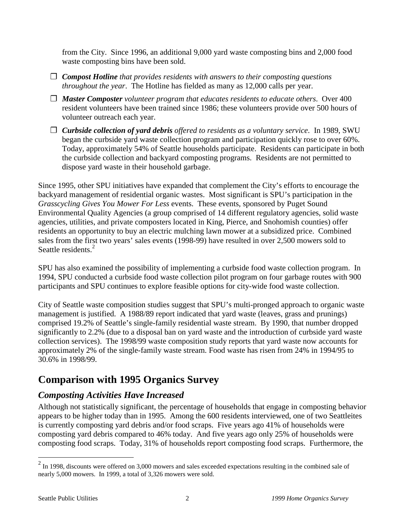<span id="page-3-0"></span>from the City. Since 1996, an additional 9,000 yard waste composting bins and 2,000 food waste composting bins have been sold.

- ❐ *Compost Hotline that provides residents with answers to their composting questions throughout the year*. The Hotline has fielded as many as 12,000 calls per year.
- ❐ *Master Composter volunteer program that educates residents to educate others*. Over 400 resident volunteers have been trained since 1986; these volunteers provide over 500 hours of volunteer outreach each year.
- ❐ *Curbside collection of yard debris offered to residents as a voluntary service*. In 1989, SWU began the curbside yard waste collection program and participation quickly rose to over 60%. Today, approximately 54% of Seattle households participate. Residents can participate in both the curbside collection and backyard composting programs. Residents are not permitted to dispose yard waste in their household garbage.

Since 1995, other SPU initiatives have expanded that complement the City's efforts to encourage the backyard management of residential organic wastes. Most significant is SPU's participation in the *Grasscycling Gives You Mower For Less* events. These events, sponsored by Puget Sound Environmental Quality Agencies (a group comprised of 14 different regulatory agencies, solid waste agencies, utilities, and private composters located in King, Pierce, and Snohomish counties) offer residents an opportunity to buy an electric mulching lawn mower at a subsidized price. Combined sales from the first two years' sales events (1998-99) have resulted in over 2,500 mowers sold to Seattle residents<sup>2</sup>

SPU has also examined the possibility of implementing a curbside food waste collection program. In 1994, SPU conducted a curbside food waste collection pilot program on four garbage routes with 900 participants and SPU continues to explore feasible options for city-wide food waste collection.

City of Seattle waste composition studies suggest that SPU's multi-pronged approach to organic waste management is justified. A 1988/89 report indicated that yard waste (leaves, grass and prunings) comprised 19.2% of Seattle's single-family residential waste stream. By 1990, that number dropped significantly to 2.2% (due to a disposal ban on yard waste and the introduction of curbside yard waste collection services). The 1998/99 waste composition study reports that yard waste now accounts for approximately 2% of the single-family waste stream. Food waste has risen from 24% in 1994/95 to 30.6% in 1998/99.

# **Comparison with 1995 Organics Survey**

## *Composting Activities Have Increased*

Although not statistically significant, the percentage of households that engage in composting behavior appears to be higher today than in 1995. Among the 600 residents interviewed, one of two Seattleites is currently composting yard debris and/or food scraps. Five years ago 41% of households were composting yard debris compared to 46% today. And five years ago only 25% of households were composting food scraps. Today, 31% of households report composting food scraps. Furthermore, the

<sup>&</sup>lt;sup>2</sup> In 1998, discounts were offered on 3,000 mowers and sales exceeded expectations resulting in the combined sale of nearly 5,000 mowers. In 1999, a total of 3,326 mowers were sold.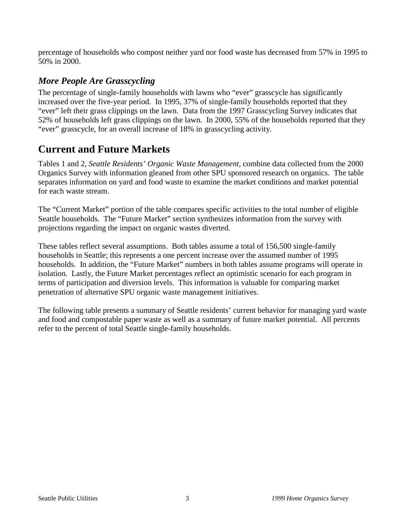<span id="page-4-0"></span>percentage of households who compost neither yard nor food waste has decreased from 57% in 1995 to 50% in 2000.

## *More People Are Grasscycling*

The percentage of single-family households with lawns who "ever" grasscycle has significantly increased over the five-year period. In 1995, 37% of single-family households reported that they "ever" left their grass clippings on the lawn. Data from the 1997 Grasscycling Survey indicates that 52% of households left grass clippings on the lawn. In 2000, 55% of the households reported that they "ever" grasscycle, for an overall increase of 18% in grasscycling activity.

# **Current and Future Markets**

Tables 1 and 2, *Seattle Residents' Organic Waste Management*, combine data collected from the 2000 Organics Survey with information gleaned from other SPU sponsored research on organics. The table separates information on yard and food waste to examine the market conditions and market potential for each waste stream.

The "Current Market" portion of the table compares specific activities to the total number of eligible Seattle households. The "Future Market" section synthesizes information from the survey with projections regarding the impact on organic wastes diverted.

These tables reflect several assumptions. Both tables assume a total of 156,500 single-family households in Seattle; this represents a one percent increase over the assumed number of 1995 households. In addition, the "Future Market" numbers in both tables assume programs will operate in isolation. Lastly, the Future Market percentages reflect an optimistic scenario for each program in terms of participation and diversion levels. This information is valuable for comparing market penetration of alternative SPU organic waste management initiatives.

The following table presents a summary of Seattle residents' current behavior for managing yard waste and food and compostable paper waste as well as a summary of future market potential. All percents refer to the percent of total Seattle single-family households.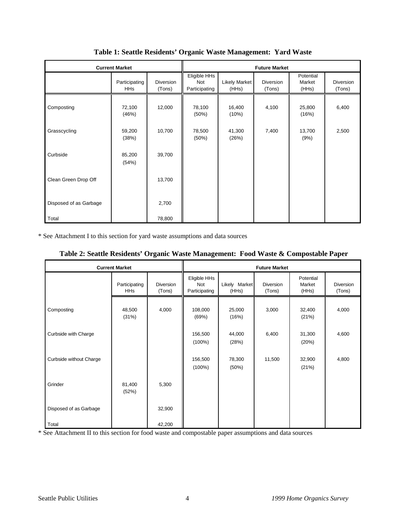| <b>Current Market</b>  |                             |                     | <b>Future Market</b>                 |                        |                     |                              |                     |
|------------------------|-----------------------------|---------------------|--------------------------------------|------------------------|---------------------|------------------------------|---------------------|
|                        | Participating<br><b>HHs</b> | Diversion<br>(Tons) | Eligible HHs<br>Not<br>Participating | Likely Market<br>(HHs) | Diversion<br>(Tons) | Potential<br>Market<br>(HHs) | Diversion<br>(Tons) |
| Composting             | 72,100<br>(46%)             | 12,000              | 78,100<br>(50%)                      | 16,400<br>(10%)        | 4,100               | 25,800<br>(16%)              | 6,400               |
| Grasscycling           | 59,200<br>(38%)             | 10,700              | 78,500<br>(50%)                      | 41,300<br>(26%)        | 7,400               | 13,700<br>(9%)               | 2,500               |
| Curbside               | 85,200<br>(54%)             | 39,700              |                                      |                        |                     |                              |                     |
| Clean Green Drop Off   |                             | 13,700              |                                      |                        |                     |                              |                     |
| Disposed of as Garbage |                             | 2,700               |                                      |                        |                     |                              |                     |
| Total                  |                             | 78,800              |                                      |                        |                     |                              |                     |

**Table 1: Seattle Residents' Organic Waste Management: Yard Waste**

\* See Attachment I to this section for yard waste assumptions and data sources

|                         | <b>Current Market</b>       |                     |                                      |                        | <b>Future Market</b> |                              |                     |
|-------------------------|-----------------------------|---------------------|--------------------------------------|------------------------|----------------------|------------------------------|---------------------|
|                         | Participating<br><b>HHs</b> | Diversion<br>(Tons) | Eligible HHs<br>Not<br>Participating | Likely Market<br>(HHs) | Diversion<br>(Tons)  | Potential<br>Market<br>(HHs) | Diversion<br>(Tons) |
| Composting              | 48,500<br>(31%)             | 4,000               | 108,000<br>(69%)                     | 25,000<br>(16%)        | 3,000                | 32,400<br>(21%)              | 4,000               |
| Curbside with Charge    |                             |                     | 156,500<br>$(100\%)$                 | 44,000<br>(28%)        | 6,400                | 31,300<br>(20%)              | 4,600               |
| Curbside without Charge |                             |                     | 156,500<br>$(100\%)$                 | 78,300<br>(50%)        | 11,500               | 32,900<br>(21%)              | 4,800               |
| Grinder                 | 81,400<br>(52%)             | 5,300               |                                      |                        |                      |                              |                     |
| Disposed of as Garbage  |                             | 32,900              |                                      |                        |                      |                              |                     |
| Total                   |                             | 42,200              |                                      |                        |                      |                              |                     |

\* See Attachment II to this section for food waste and compostable paper assumptions and data sources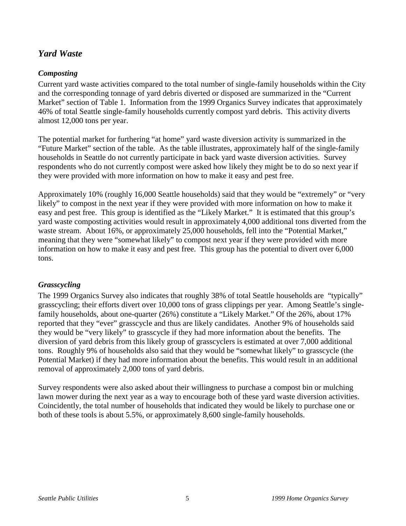#### *Yard Waste*

#### *Composting*

Current yard waste activities compared to the total number of single-family households within the City and the corresponding tonnage of yard debris diverted or disposed are summarized in the "Current Market" section of Table 1. Information from the 1999 Organics Survey indicates that approximately 46% of total Seattle single-family households currently compost yard debris. This activity diverts almost 12,000 tons per year.

The potential market for furthering "at home" yard waste diversion activity is summarized in the "Future Market" section of the table. As the table illustrates, approximately half of the single-family households in Seattle do not currently participate in back yard waste diversion activities. Survey respondents who do not currently compost were asked how likely they might be to do so next year if they were provided with more information on how to make it easy and pest free.

Approximately 10% (roughly 16,000 Seattle households) said that they would be "extremely" or "very likely" to compost in the next year if they were provided with more information on how to make it easy and pest free. This group is identified as the "Likely Market." It is estimated that this group's yard waste composting activities would result in approximately 4,000 additional tons diverted from the waste stream. About 16%, or approximately 25,000 households, fell into the "Potential Market," meaning that they were "somewhat likely" to compost next year if they were provided with more information on how to make it easy and pest free. This group has the potential to divert over 6,000 tons.

#### *Grasscycling*

The 1999 Organics Survey also indicates that roughly 38% of total Seattle households are "typically" grasscycling; their efforts divert over 10,000 tons of grass clippings per year. Among Seattle's singlefamily households, about one-quarter (26%) constitute a "Likely Market." Of the 26%, about 17% reported that they "ever" grasscycle and thus are likely candidates. Another 9% of households said they would be "very likely" to grasscycle if they had more information about the benefits. The diversion of yard debris from this likely group of grasscyclers is estimated at over 7,000 additional tons. Roughly 9% of households also said that they would be "somewhat likely" to grasscycle (the Potential Market) if they had more information about the benefits. This would result in an additional removal of approximately 2,000 tons of yard debris.

Survey respondents were also asked about their willingness to purchase a compost bin or mulching lawn mower during the next year as a way to encourage both of these yard waste diversion activities. Coincidently, the total number of households that indicated they would be likely to purchase one or both of these tools is about 5.5%, or approximately 8,600 single-family households.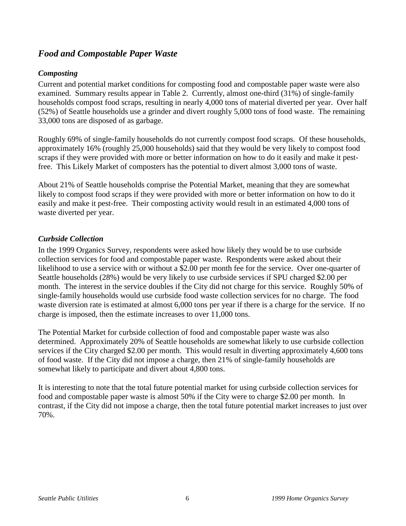### *Food and Compostable Paper Waste*

#### *Composting*

Current and potential market conditions for composting food and compostable paper waste were also examined. Summary results appear in Table 2. Currently, almost one-third (31%) of single-family households compost food scraps, resulting in nearly 4,000 tons of material diverted per year. Over half (52%) of Seattle households use a grinder and divert roughly 5,000 tons of food waste. The remaining 33,000 tons are disposed of as garbage.

Roughly 69% of single-family households do not currently compost food scraps. Of these households, approximately 16% (roughly 25,000 households) said that they would be very likely to compost food scraps if they were provided with more or better information on how to do it easily and make it pestfree. This Likely Market of composters has the potential to divert almost 3,000 tons of waste.

About 21% of Seattle households comprise the Potential Market, meaning that they are somewhat likely to compost food scraps if they were provided with more or better information on how to do it easily and make it pest-free. Their composting activity would result in an estimated 4,000 tons of waste diverted per year.

#### *Curbside Collection*

In the 1999 Organics Survey, respondents were asked how likely they would be to use curbside collection services for food and compostable paper waste. Respondents were asked about their likelihood to use a service with or without a \$2.00 per month fee for the service. Over one-quarter of Seattle households (28%) would be very likely to use curbside services if SPU charged \$2.00 per month. The interest in the service doubles if the City did not charge for this service. Roughly 50% of single-family households would use curbside food waste collection services for no charge. The food waste diversion rate is estimated at almost 6,000 tons per year if there is a charge for the service. If no charge is imposed, then the estimate increases to over 11,000 tons.

The Potential Market for curbside collection of food and compostable paper waste was also determined. Approximately 20% of Seattle households are somewhat likely to use curbside collection services if the City charged \$2.00 per month. This would result in diverting approximately 4,600 tons of food waste. If the City did not impose a charge, then 21% of single-family households are somewhat likely to participate and divert about 4,800 tons.

It is interesting to note that the total future potential market for using curbside collection services for food and compostable paper waste is almost 50% if the City were to charge \$2.00 per month. In contrast, if the City did not impose a charge, then the total future potential market increases to just over 70%.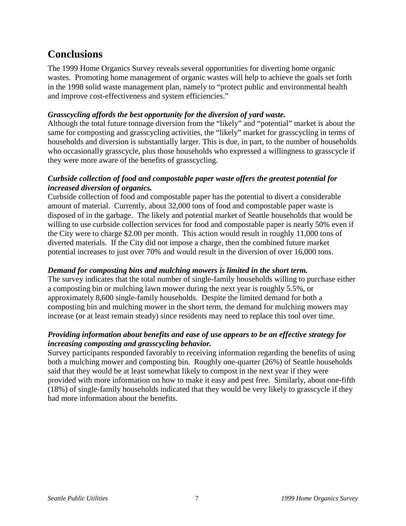# <span id="page-8-0"></span>**Conclusions**

The 1999 Home Organics Survey reveals several opportunities for diverting home organic wastes. Promoting home management of organic wastes will help to achieve the goals set forth in the 1998 solid waste management plan, namely to "protect public and environmental health and improve cost-effectiveness and system efficiencies."

#### *Grasscycling affords the best opportunity for the diversion of yard waste.*

Although the total future tonnage diversion from the "likely" and "potential" market is about the same for composting and grasscycling activities, the "likely" market for grasscycling in terms of households and diversion is substantially larger. This is due, in part, to the number of households who occasionally grasscycle, plus those households who expressed a willingness to grasscycle if they were more aware of the benefits of grasscycling.

#### *Curbside collection of food and compostable paper waste offers the greatest potential for increased diversion of organics.*

Curbside collection of food and compostable paper has the potential to divert a considerable amount of material. Currently, about 32,000 tons of food and compostable paper waste is disposed of in the garbage. The likely and potential market of Seattle households that would be willing to use curbside collection services for food and compostable paper is nearly 50% even if the City were to charge \$2.00 per month. This action would result in roughly 11,000 tons of diverted materials. If the City did not impose a charge, then the combined future market potential increases to just over 70% and would result in the diversion of over 16,000 tons.

#### *Demand for composting bins and mulching mowers is limited in the short term.*

The survey indicates that the total number of single-family households willing to purchase either a composting bin or mulching lawn mower during the next year is roughly 5.5%, or approximately 8,600 single-family households. Despite the limited demand for both a composting bin and mulching mower in the short term, the demand for mulching mowers may increase (or at least remain steady) since residents may need to replace this tool over time.

#### *Providing information about benefits and ease of use appears to be an effective strategy for increasing composting and grasscycling behavior.*

Survey participants responded favorably to receiving information regarding the benefits of using both a mulching mower and composting bin. Roughly one-quarter (26%) of Seattle households said that they would be at least somewhat likely to compost in the next year if they were provided with more information on how to make it easy and pest free. Similarly, about one-fifth (18%) of single-family households indicated that they would be very likely to grasscycle if they had more information about the benefits.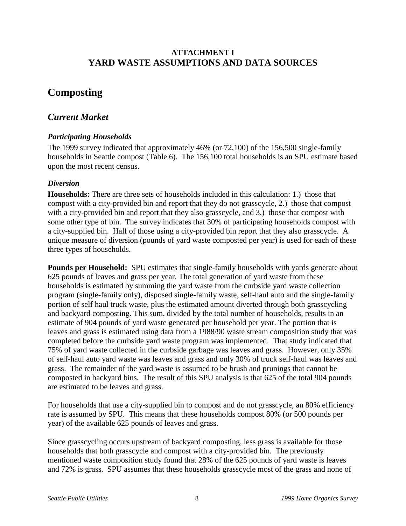#### **ATTACHMENT I YARD WASTE ASSUMPTIONS AND DATA SOURCES**

# **Composting**

#### *Current Market*

#### *Participating Households*

The 1999 survey indicated that approximately 46% (or 72,100) of the 156,500 single-family households in Seattle compost (Table 6). The 156,100 total households is an SPU estimate based upon the most recent census.

#### *Diversion*

**Households:** There are three sets of households included in this calculation: 1.) those that compost with a city-provided bin and report that they do not grasscycle, 2.) those that compost with a city-provided bin and report that they also grasscycle, and 3.) those that compost with some other type of bin. The survey indicates that 30% of participating households compost with a city-supplied bin. Half of those using a city-provided bin report that they also grasscycle. A unique measure of diversion (pounds of yard waste composted per year) is used for each of these three types of households.

**Pounds per Household:** SPU estimates that single-family households with yards generate about 625 pounds of leaves and grass per year. The total generation of yard waste from these households is estimated by summing the yard waste from the curbside yard waste collection program (single-family only), disposed single-family waste, self-haul auto and the single-family portion of self haul truck waste, plus the estimated amount diverted through both grasscycling and backyard composting. This sum, divided by the total number of households, results in an estimate of 904 pounds of yard waste generated per household per year. The portion that is leaves and grass is estimated using data from a 1988/90 waste stream composition study that was completed before the curbside yard waste program was implemented. That study indicated that 75% of yard waste collected in the curbside garbage was leaves and grass. However, only 35% of self-haul auto yard waste was leaves and grass and only 30% of truck self-haul was leaves and grass. The remainder of the yard waste is assumed to be brush and prunings that cannot be composted in backyard bins. The result of this SPU analysis is that 625 of the total 904 pounds are estimated to be leaves and grass.

For households that use a city-supplied bin to compost and do not grasscycle, an 80% efficiency rate is assumed by SPU. This means that these households compost 80% (or 500 pounds per year) of the available 625 pounds of leaves and grass.

Since grasscycling occurs upstream of backyard composting, less grass is available for those households that both grasscycle and compost with a city-provided bin. The previously mentioned waste composition study found that 28% of the 625 pounds of yard waste is leaves and 72% is grass. SPU assumes that these households grasscycle most of the grass and none of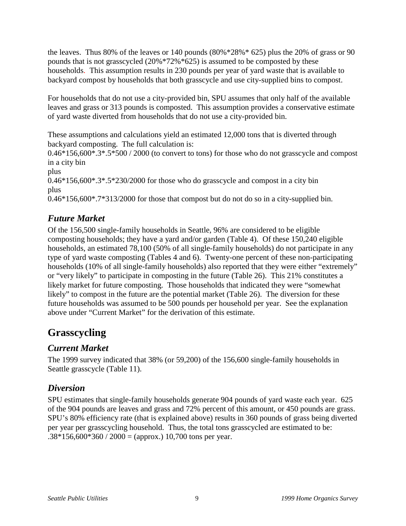the leaves. Thus 80% of the leaves or 140 pounds  $(80\% * 28\% * 625)$  plus the 20% of grass or 90 pounds that is not grasscycled (20%\*72%\*625) is assumed to be composted by these households. This assumption results in 230 pounds per year of yard waste that is available to backyard compost by households that both grasscycle and use city-supplied bins to compost.

For households that do not use a city-provided bin, SPU assumes that only half of the available leaves and grass or 313 pounds is composted. This assumption provides a conservative estimate of yard waste diverted from households that do not use a city-provided bin.

These assumptions and calculations yield an estimated 12,000 tons that is diverted through backyard composting. The full calculation is:

0.46\*156,600\*.3\*.5\*500 / 2000 (to convert to tons) for those who do not grasscycle and compost in a city bin

plus

 $0.46*156,600*.3*.5*230/2000$  for those who do grasscycle and compost in a city bin plus

0.46\*156,600\*.7\*313/2000 for those that compost but do not do so in a city-supplied bin.

## *Future Market*

Of the 156,500 single-family households in Seattle, 96% are considered to be eligible composting households; they have a yard and/or garden (Table 4). Of these 150,240 eligible households, an estimated 78,100 (50% of all single-family households) do not participate in any type of yard waste composting (Tables 4 and 6). Twenty-one percent of these non-participating households (10% of all single-family households) also reported that they were either "extremely" or "very likely" to participate in composting in the future (Table 26). This 21% constitutes a likely market for future composting. Those households that indicated they were "somewhat likely" to compost in the future are the potential market (Table 26). The diversion for these future households was assumed to be 500 pounds per household per year. See the explanation above under "Current Market" for the derivation of this estimate.

# **Grasscycling**

## *Current Market*

The 1999 survey indicated that 38% (or 59,200) of the 156,600 single-family households in Seattle grasscycle (Table 11).

## *Diversion*

SPU estimates that single-family households generate 904 pounds of yard waste each year. 625 of the 904 pounds are leaves and grass and 72% percent of this amount, or 450 pounds are grass. SPU's 80% efficiency rate (that is explained above) results in 360 pounds of grass being diverted per year per grasscycling household. Thus, the total tons grasscycled are estimated to be:  $.38*156,600*360 / 2000 =$  (approx.) 10,700 tons per year.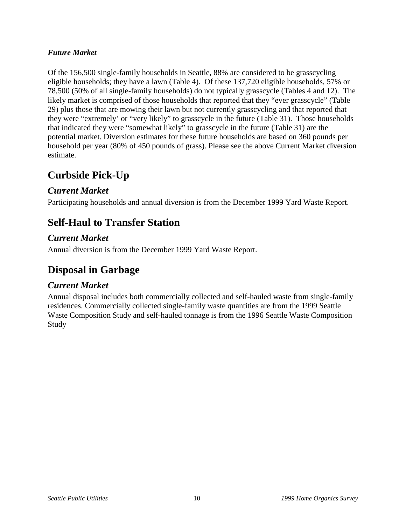#### *Future Market*

Of the 156,500 single-family households in Seattle, 88% are considered to be grasscycling eligible households; they have a lawn (Table 4). Of these 137,720 eligible households, 57% or 78,500 (50% of all single-family households) do not typically grasscycle (Tables 4 and 12). The likely market is comprised of those households that reported that they "ever grasscycle" (Table 29) plus those that are mowing their lawn but not currently grasscycling and that reported that they were "extremely' or "very likely" to grasscycle in the future (Table 31). Those households that indicated they were "somewhat likely" to grasscycle in the future (Table 31) are the potential market. Diversion estimates for these future households are based on 360 pounds per household per year (80% of 450 pounds of grass). Please see the above Current Market diversion estimate.

## **Curbside Pick-Up**

#### *Current Market*

Participating households and annual diversion is from the December 1999 Yard Waste Report.

# **Self-Haul to Transfer Station**

### *Current Market*

Annual diversion is from the December 1999 Yard Waste Report.

# **Disposal in Garbage**

#### *Current Market*

Annual disposal includes both commercially collected and self-hauled waste from single-family residences. Commercially collected single-family waste quantities are from the 1999 Seattle Waste Composition Study and self-hauled tonnage is from the 1996 Seattle Waste Composition Study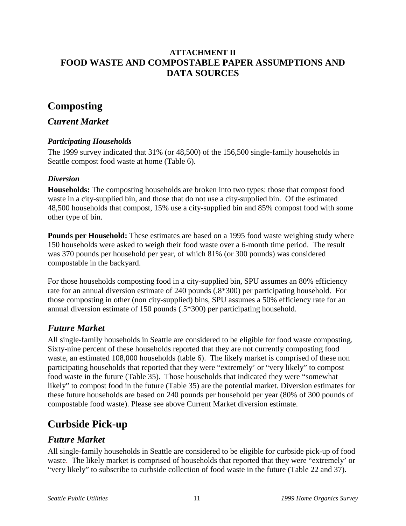#### **ATTACHMENT II FOOD WASTE AND COMPOSTABLE PAPER ASSUMPTIONS AND DATA SOURCES**

# **Composting**

#### *Current Market*

#### *Participating Households*

The 1999 survey indicated that 31% (or 48,500) of the 156,500 single-family households in Seattle compost food waste at home (Table 6).

#### *Diversion*

**Households:** The composting households are broken into two types: those that compost food waste in a city-supplied bin, and those that do not use a city-supplied bin. Of the estimated 48,500 households that compost, 15% use a city-supplied bin and 85% compost food with some other type of bin.

**Pounds per Household:** These estimates are based on a 1995 food waste weighing study where 150 households were asked to weigh their food waste over a 6-month time period. The result was 370 pounds per household per year, of which 81% (or 300 pounds) was considered compostable in the backyard.

For those households composting food in a city-supplied bin, SPU assumes an 80% efficiency rate for an annual diversion estimate of 240 pounds (.8\*300) per participating household. For those composting in other (non city-supplied) bins, SPU assumes a 50% efficiency rate for an annual diversion estimate of 150 pounds (.5\*300) per participating household.

## *Future Market*

All single-family households in Seattle are considered to be eligible for food waste composting. Sixty-nine percent of these households reported that they are not currently composting food waste, an estimated 108,000 households (table 6). The likely market is comprised of these non participating households that reported that they were "extremely' or "very likely" to compost food waste in the future (Table 35). Those households that indicated they were "somewhat likely" to compost food in the future (Table 35) are the potential market. Diversion estimates for these future households are based on 240 pounds per household per year (80% of 300 pounds of compostable food waste). Please see above Current Market diversion estimate.

# **Curbside Pick-up**

#### *Future Market*

All single-family households in Seattle are considered to be eligible for curbside pick-up of food waste. The likely market is comprised of households that reported that they were "extremely' or "very likely" to subscribe to curbside collection of food waste in the future (Table 22 and 37).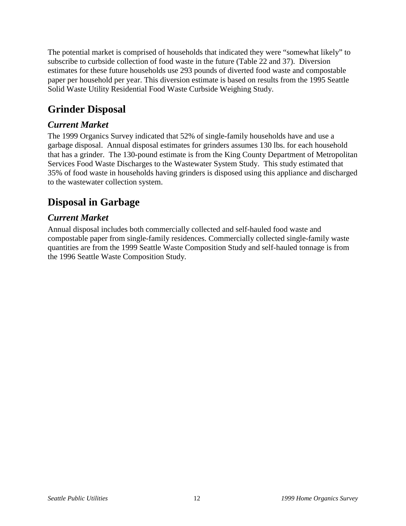The potential market is comprised of households that indicated they were "somewhat likely" to subscribe to curbside collection of food waste in the future (Table 22 and 37). Diversion estimates for these future households use 293 pounds of diverted food waste and compostable paper per household per year. This diversion estimate is based on results from the 1995 Seattle Solid Waste Utility Residential Food Waste Curbside Weighing Study.

# **Grinder Disposal**

## *Current Market*

The 1999 Organics Survey indicated that 52% of single-family households have and use a garbage disposal. Annual disposal estimates for grinders assumes 130 lbs. for each household that has a grinder. The 130-pound estimate is from the King County Department of Metropolitan Services Food Waste Discharges to the Wastewater System Study. This study estimated that 35% of food waste in households having grinders is disposed using this appliance and discharged to the wastewater collection system.

# **Disposal in Garbage**

## *Current Market*

Annual disposal includes both commercially collected and self-hauled food waste and compostable paper from single-family residences. Commercially collected single-family waste quantities are from the 1999 Seattle Waste Composition Study and self-hauled tonnage is from the 1996 Seattle Waste Composition Study.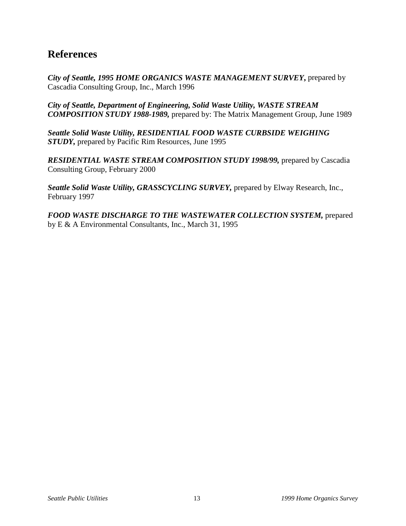## **References**

*City of Seattle, 1995 HOME ORGANICS WASTE MANAGEMENT SURVEY***,** prepared by Cascadia Consulting Group, Inc., March 1996

*City of Seattle, Department of Engineering, Solid Waste Utility, WASTE STREAM COMPOSITION STUDY 1988-1989,* prepared by: The Matrix Management Group, June 1989

*Seattle Solid Waste Utility, RESIDENTIAL FOOD WASTE CURBSIDE WEIGHING STUDY,* prepared by Pacific Rim Resources, June 1995

*RESIDENTIAL WASTE STREAM COMPOSITION STUDY 1998/99,* prepared by Cascadia Consulting Group, February 2000

*Seattle Solid Waste Utility, GRASSCYCLING SURVEY,* prepared by Elway Research, Inc., February 1997

*FOOD WASTE DISCHARGE TO THE WASTEWATER COLLECTION SYSTEM,* prepared by E & A Environmental Consultants, Inc., March 31, 1995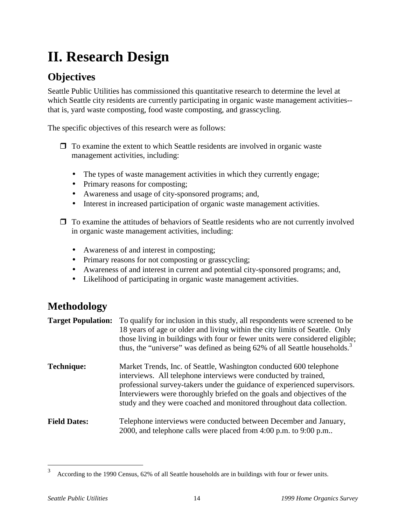# <span id="page-15-0"></span>**II. Research Design**

# **Objectives**

Seattle Public Utilities has commissioned this quantitative research to determine the level at which Seattle city residents are currently participating in organic waste management activities--that is, yard waste composting, food waste composting, and grasscycling.

The specific objectives of this research were as follows:

- $\Box$  To examine the extent to which Seattle residents are involved in organic waste management activities, including:
	- The types of waste management activities in which they currently engage;
	- Primary reasons for composting;
	- Awareness and usage of city-sponsored programs; and,
	- Interest in increased participation of organic waste management activities.
- $\Box$  To examine the attitudes of behaviors of Seattle residents who are not currently involved in organic waste management activities, including:
	- Awareness of and interest in composting;
	- Primary reasons for not composting or grasscycling;
	- Awareness of and interest in current and potential city-sponsored programs; and,
	- Likelihood of participating in organic waste management activities.

# **Methodology**

| <b>Target Population:</b> | To qualify for inclusion in this study, all respondents were screened to be<br>18 years of age or older and living within the city limits of Seattle. Only<br>those living in buildings with four or fewer units were considered eligible;<br>thus, the "universe" was defined as being 62% of all Seattle households. <sup>3</sup>                                    |
|---------------------------|------------------------------------------------------------------------------------------------------------------------------------------------------------------------------------------------------------------------------------------------------------------------------------------------------------------------------------------------------------------------|
| <b>Technique:</b>         | Market Trends, Inc. of Seattle, Washington conducted 600 telephone<br>interviews. All telephone interviews were conducted by trained,<br>professional survey-takers under the guidance of experienced supervisors.<br>Interviewers were thoroughly briefed on the goals and objectives of the<br>study and they were coached and monitored throughout data collection. |
| <b>Field Dates:</b>       | Telephone interviews were conducted between December and January,<br>2000, and telephone calls were placed from 4:00 p.m. to 9:00 p.m                                                                                                                                                                                                                                  |

<sup>3</sup> According to the 1990 Census, 62% of all Seattle households are in buildings with four or fewer units.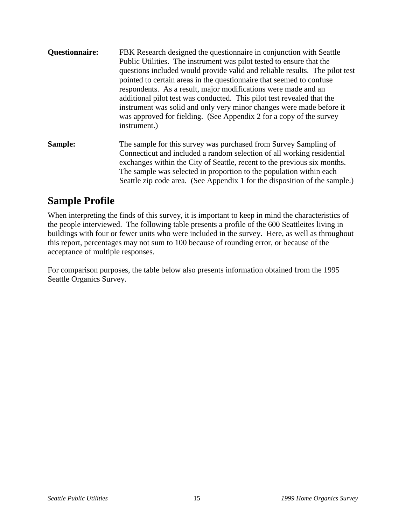- <span id="page-16-0"></span>**Questionnaire:** FBK Research designed the questionnaire in conjunction with Seattle Public Utilities. The instrument was pilot tested to ensure that the questions included would provide valid and reliable results. The pilot test pointed to certain areas in the questionnaire that seemed to confuse respondents. As a result, major modifications were made and an additional pilot test was conducted. This pilot test revealed that the instrument was solid and only very minor changes were made before it was approved for fielding. (See Appendix 2 for a copy of the survey instrument.) **Sample:** The sample for this survey was purchased from Survey Sampling of
- Connecticut and included a random selection of all working residential exchanges within the City of Seattle, recent to the previous six months. The sample was selected in proportion to the population within each Seattle zip code area. (See Appendix 1 for the disposition of the sample.)

## **Sample Profile**

When interpreting the finds of this survey, it is important to keep in mind the characteristics of the people interviewed. The following table presents a profile of the 600 Seattleites living in buildings with four or fewer units who were included in the survey. Here, as well as throughout this report, percentages may not sum to 100 because of rounding error, or because of the acceptance of multiple responses.

For comparison purposes, the table below also presents information obtained from the 1995 Seattle Organics Survey.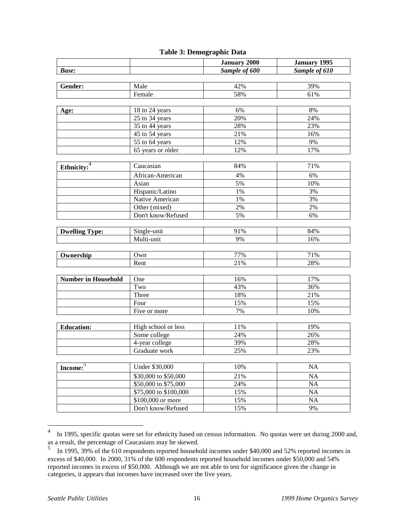#### **Table 3: Demographic Data**

|                            |                       | <b>January 2000</b> | <b>January 1995</b> |
|----------------------------|-----------------------|---------------------|---------------------|
| <b>Base:</b>               |                       | Sample of 600       | Sample of 610       |
|                            |                       |                     |                     |
| Gender:                    | Male                  | 42%                 | 39%                 |
|                            | Female                | 58%                 | 61%                 |
|                            |                       |                     |                     |
| Age:                       | 18 to 24 years        | 6%                  | 8%                  |
|                            | 25 to 34 years        | 20%                 | 24%                 |
|                            | 35 to 44 years        | 28%                 | 23%                 |
|                            | 45 to 54 years        | 21%                 | 16%                 |
|                            | 55 to 64 years        | 12%                 | 9%                  |
|                            | 65 years or older     | 12%                 | 17%                 |
|                            |                       |                     |                     |
| Ethnicity: <sup>4</sup>    | Caucasian             | 84%                 | 71%                 |
|                            | African-American      | 4%                  | 6%                  |
|                            | Asian                 | 5%                  | 10%                 |
|                            | Hispanic/Latino       | 1%                  | 3%                  |
|                            | Native American       | 1%                  | 3%                  |
|                            | Other (mixed)         | $2\%$               | 2%                  |
|                            | Don't know/Refused    | 5%                  | 6%                  |
|                            |                       |                     |                     |
| <b>Dwelling Type:</b>      | Single-unit           | 91%                 | 84%                 |
|                            | Multi-unit            | 9%                  | 16%                 |
|                            |                       |                     |                     |
| Ownership                  | Own                   | 77%                 | 71%                 |
|                            | Rent                  | 21%                 | 28%                 |
|                            |                       |                     |                     |
| <b>Number in Household</b> | One                   | 16%                 | 17%                 |
|                            | Two                   | 43%                 | 36%                 |
|                            | Three                 | 18%                 | 21%                 |
|                            | Four                  | 15%                 | 15%                 |
|                            | Five or more          | 7%                  | 10%                 |
|                            |                       |                     |                     |
| <b>Education:</b>          | High school or less   | 11%                 | 19%                 |
|                            | Some college          | 24%                 | 26%                 |
|                            | 4-year college        | 39%                 | 28%                 |
|                            | Graduate work         | 25%                 | 23%                 |
|                            |                       |                     |                     |
| $Income$ <sup>5</sup>      | Under \$30,000        | 10%                 | NA                  |
|                            | \$30,000 to \$50,000  | 21%                 | NA                  |
|                            | \$50,000 to \$75,000  | 24%                 | NA                  |
|                            | \$75,000 to \$100,000 | 15%                 | NA                  |
|                            | \$100,000 or more     | 15%                 | NA                  |
|                            | Don't know/Refused    | 15%                 | 9%                  |

<sup>&</sup>lt;sup>4</sup> In 1995, specific quotas were set for ethnicity based on census information. No quotas were set during 2000 and, as a result, the percentage of Caucasians may be skewed.

 $\overline{a}$ 

<sup>&</sup>lt;sup>5</sup> In 1995, 39% of the 610 respondents reported household incomes under \$40,000 and 52% reported incomes in excess of \$40,000. In 2000, 31% of the 600 respondents reported household incomes under \$50,000 and 54% reported incomes in excess of \$50,000. Although we are not able to test for significance given the change in categories, it appears that incomes have increased over the five years.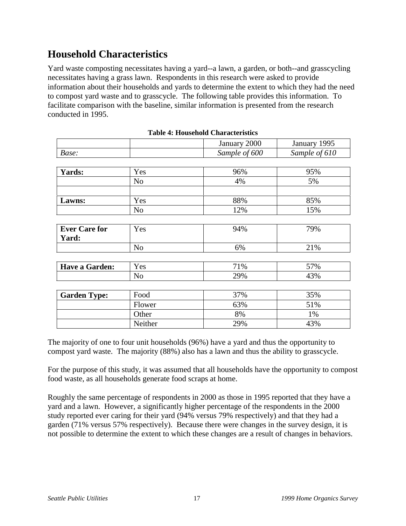# <span id="page-18-0"></span>**Household Characteristics**

Yard waste composting necessitates having a yard--a lawn, a garden, or both--and grasscycling necessitates having a grass lawn. Respondents in this research were asked to provide information about their households and yards to determine the extent to which they had the need to compost yard waste and to grasscycle. The following table provides this information. To facilitate comparison with the baseline, similar information is presented from the research conducted in 1995.

|                       |                | January 2000  | January 1995  |
|-----------------------|----------------|---------------|---------------|
| Base:                 |                | Sample of 600 | Sample of 610 |
|                       |                |               |               |
| <b>Yards:</b>         | Yes            | 96%           | 95%           |
|                       | N <sub>o</sub> | 4%            | 5%            |
|                       |                |               |               |
| Lawns:                | Yes            | 88%           | 85%           |
|                       | N <sub>o</sub> | 12%           | 15%           |
|                       |                |               |               |
| <b>Ever Care for</b>  | Yes            | 94%           | 79%           |
| Yard:                 |                |               |               |
|                       | N <sub>o</sub> | 6%            | 21%           |
|                       |                |               |               |
| <b>Have a Garden:</b> | Yes            | 71%           | 57%           |
|                       | N <sub>o</sub> | 29%           | 43%           |
|                       |                |               |               |
| <b>Garden Type:</b>   | Food           | 37%           | 35%           |
|                       | Flower         | 63%           | 51%           |
|                       | Other          | 8%            | 1%            |
|                       | Neither        | 29%           | 43%           |

| <b>Table 4: Household Characteristics</b> |  |
|-------------------------------------------|--|
|-------------------------------------------|--|

The majority of one to four unit households (96%) have a yard and thus the opportunity to compost yard waste. The majority (88%) also has a lawn and thus the ability to grasscycle.

For the purpose of this study, it was assumed that all households have the opportunity to compost food waste, as all households generate food scraps at home.

Roughly the same percentage of respondents in 2000 as those in 1995 reported that they have a yard and a lawn. However, a significantly higher percentage of the respondents in the 2000 study reported ever caring for their yard (94% versus 79% respectively) and that they had a garden (71% versus 57% respectively). Because there were changes in the survey design, it is not possible to determine the extent to which these changes are a result of changes in behaviors.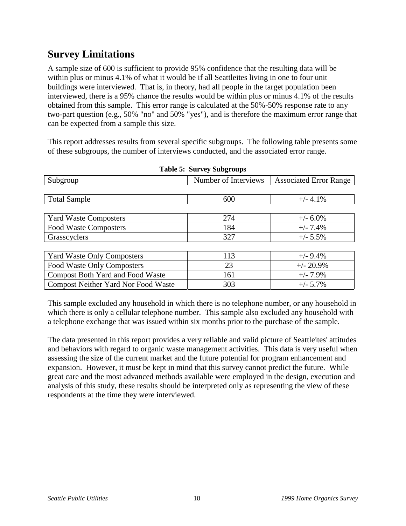# <span id="page-19-0"></span>**Survey Limitations**

A sample size of 600 is sufficient to provide 95% confidence that the resulting data will be within plus or minus 4.1% of what it would be if all Seattleites living in one to four unit buildings were interviewed. That is, in theory, had all people in the target population been interviewed, there is a 95% chance the results would be within plus or minus 4.1% of the results obtained from this sample. This error range is calculated at the 50%-50% response rate to any two-part question (e.g., 50% "no" and 50% "yes"), and is therefore the maximum error range that can be expected from a sample this size.

This report addresses results from several specific subgroups. The following table presents some of these subgroups, the number of interviews conducted, and the associated error range.

| Subgroup                                   | Number of Interviews | <b>Associated Error Range</b> |
|--------------------------------------------|----------------------|-------------------------------|
|                                            |                      |                               |
| <b>Total Sample</b>                        | 600                  | $+/- 4.1\%$                   |
|                                            |                      |                               |
| <b>Yard Waste Composters</b>               | 274                  | $+/- 6.0\%$                   |
| <b>Food Waste Composters</b>               | 184                  | $+/- 7.4%$                    |
| Grasscyclers                               | 327                  | $+/- 5.5\%$                   |
|                                            |                      |                               |
| <b>Yard Waste Only Composters</b>          | 113                  | $+/- 9.4\%$                   |
| Food Waste Only Composters                 | 23                   | $+/- 20.9\%$                  |
| <b>Compost Both Yard and Food Waste</b>    | 161                  | $+/- 7.9\%$                   |
| <b>Compost Neither Yard Nor Food Waste</b> | 303                  | $+/- 5.7\%$                   |

**Table 5: Survey Subgroups**

This sample excluded any household in which there is no telephone number, or any household in which there is only a cellular telephone number. This sample also excluded any household with a telephone exchange that was issued within six months prior to the purchase of the sample.

The data presented in this report provides a very reliable and valid picture of Seattleites' attitudes and behaviors with regard to organic waste management activities. This data is very useful when assessing the size of the current market and the future potential for program enhancement and expansion. However, it must be kept in mind that this survey cannot predict the future. While great care and the most advanced methods available were employed in the design, execution and analysis of this study, these results should be interpreted only as representing the view of these respondents at the time they were interviewed.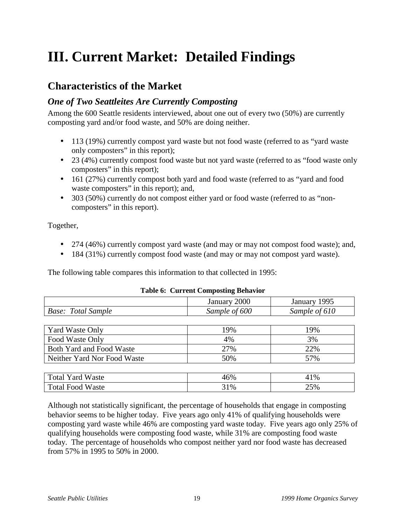# <span id="page-20-0"></span>**III. Current Market: Detailed Findings**

## **Characteristics of the Market**

### *One of Two Seattleites Are Currently Composting*

Among the 600 Seattle residents interviewed, about one out of every two (50%) are currently composting yard and/or food waste, and 50% are doing neither.

- 113 (19%) currently compost yard waste but not food waste (referred to as "yard waste only composters" in this report);
- 23 (4%) currently compost food waste but not yard waste (referred to as "food waste only composters" in this report);
- 161 (27%) currently compost both yard and food waste (referred to as "yard and food waste composters" in this report); and,
- 303 (50%) currently do not compost either yard or food waste (referred to as "noncomposters" in this report).

Together,

- 274 (46%) currently compost yard waste (and may or may not compost food waste); and,
- 184 (31%) currently compost food waste (and may or may not compost yard waste).

The following table compares this information to that collected in 1995:

#### **Table 6: Current Composting Behavior**

|                             | January 2000<br>January 1995 |               |
|-----------------------------|------------------------------|---------------|
| <b>Base:</b> Total Sample   | Sample of 600                | Sample of 610 |
|                             |                              |               |
| Yard Waste Only             | 19%                          | 19%           |
| Food Waste Only             | 4%                           | 3%            |
| Both Yard and Food Waste    | 27%                          | 22%           |
| Neither Yard Nor Food Waste | 50%                          | 57%           |
|                             |                              |               |
| <b>Total Yard Waste</b>     | 46%                          | 41%           |
| <b>Total Food Waste</b>     | 31%                          | 25%           |

Although not statistically significant, the percentage of households that engage in composting behavior seems to be higher today. Five years ago only 41% of qualifying households were composting yard waste while 46% are composting yard waste today. Five years ago only 25% of qualifying households were composting food waste, while 31% are composting food waste today. The percentage of households who compost neither yard nor food waste has decreased from 57% in 1995 to 50% in 2000.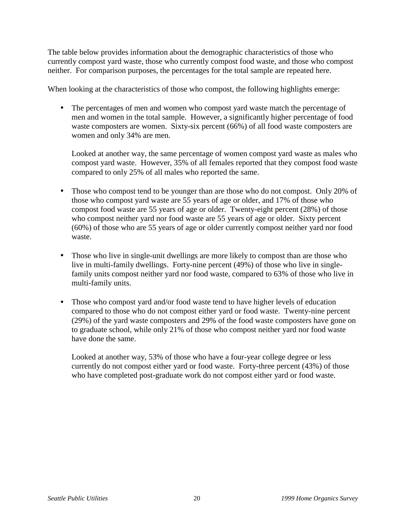The table below provides information about the demographic characteristics of those who currently compost yard waste, those who currently compost food waste, and those who compost neither. For comparison purposes, the percentages for the total sample are repeated here.

When looking at the characteristics of those who compost, the following highlights emerge:

• The percentages of men and women who compost yard waste match the percentage of men and women in the total sample. However, a significantly higher percentage of food waste composters are women. Sixty-six percent (66%) of all food waste composters are women and only 34% are men.

Looked at another way, the same percentage of women compost yard waste as males who compost yard waste. However, 35% of all females reported that they compost food waste compared to only 25% of all males who reported the same.

- Those who compost tend to be younger than are those who do not compost. Only 20% of those who compost yard waste are 55 years of age or older, and 17% of those who compost food waste are 55 years of age or older. Twenty-eight percent (28%) of those who compost neither yard nor food waste are 55 years of age or older. Sixty percent (60%) of those who are 55 years of age or older currently compost neither yard nor food waste.
- Those who live in single-unit dwellings are more likely to compost than are those who live in multi-family dwellings. Forty-nine percent (49%) of those who live in singlefamily units compost neither yard nor food waste, compared to 63% of those who live in multi-family units.
- Those who compost yard and/or food waste tend to have higher levels of education compared to those who do not compost either yard or food waste. Twenty-nine percent (29%) of the yard waste composters and 29% of the food waste composters have gone on to graduate school, while only 21% of those who compost neither yard nor food waste have done the same.

Looked at another way, 53% of those who have a four-year college degree or less currently do not compost either yard or food waste. Forty-three percent (43%) of those who have completed post-graduate work do not compost either yard or food waste.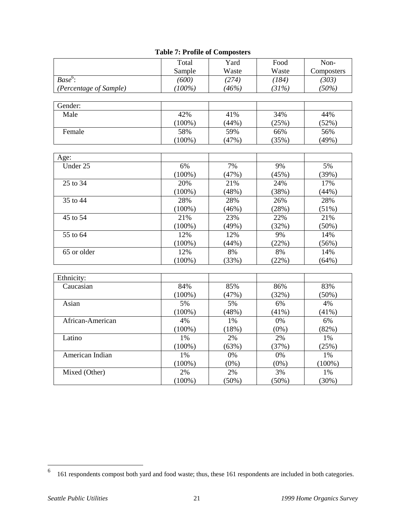|                        | Total     | Yard  | Food    | Non-       |
|------------------------|-----------|-------|---------|------------|
|                        | Sample    | Waste | Waste   | Composters |
| $Base6$ :              | (600)     | (274) | (184)   | (303)      |
| (Percentage of Sample) | $(100\%)$ | (46%) | (31%)   | (50%)      |
|                        |           |       |         |            |
| Gender:                |           |       |         |            |
| Male                   | 42%       | 41%   | 34%     | 44%        |
|                        | $(100\%)$ | (44%) | (25%)   | (52%)      |
| Female                 | 58%       | 59%   | 66%     | 56%        |
|                        | $(100\%)$ | (47%) | (35%)   | (49%)      |
|                        |           |       |         |            |
| Age:                   |           |       |         |            |
| Under 25               | 6%        | 7%    | 9%      | 5%         |
|                        | $(100\%)$ | (47%) | (45%)   | (39%)      |
| 25 to 34               | 20%       | 21%   | 24%     | 17%        |
|                        | $(100\%)$ | (48%) | (38%)   | (44%)      |
| 35 to 44               | 28%       | 28%   | 26%     | 28%        |
|                        | $(100\%)$ | (46%) | (28%)   | (51%)      |
| 45 to 54               | 21%       | 23%   | 22%     | 21%        |
|                        | $(100\%)$ | (49%) | (32%)   | (50%)      |
| 55 to 64               | 12%       | 12%   | 9%      | 14%        |
|                        | $(100\%)$ | (44%) | (22%)   | (56%)      |
| 65 or older            | 12%       | 8%    | 8%      | 14%        |
|                        | $(100\%)$ | (33%) | (22%)   | (64%)      |
|                        |           |       |         |            |
| Ethnicity:             |           |       |         |            |
| Caucasian              | 84%       | 85%   | 86%     | 83%        |
|                        | $(100\%)$ | (47%) | (32%)   | (50%)      |
| Asian                  | 5%        | 5%    | 6%      | 4%         |
|                        | $(100\%)$ | (48%) | (41%)   | $(41\%)$   |
| African-American       | 4%        | 1%    | 0%      | 6%         |
|                        | $(100\%)$ | (18%) | $(0\%)$ | (82%)      |
| Latino                 | 1%        | 2%    | 2%      | 1%         |
|                        | $(100\%)$ | (63%) | (37%)   | (25%)      |
| American Indian        | 1%        | 0%    | 0%      | 1%         |

#### **Table 7: Profile of Composters**

(100%)

1% (30%)

(100%)

(100%)

Mixed (Other) 2%

(0%)

2% (50%) (0%)

3% (50%)

 6 161 respondents compost both yard and food waste; thus, these 161 respondents are included in both categories.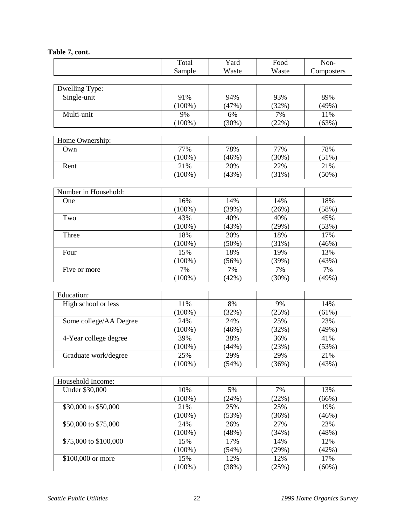#### **Table 7, cont.**

|                        | Total     | Yard  | Food  | Non-       |
|------------------------|-----------|-------|-------|------------|
|                        | Sample    | Waste | Waste | Composters |
|                        |           |       |       |            |
| Dwelling Type:         |           |       |       |            |
| Single-unit            | 91%       | 94%   | 93%   | 89%        |
|                        | $(100\%)$ | (47%) | (32%) | (49%)      |
| Multi-unit             | 9%        | 6%    | 7%    | 11%        |
|                        | $(100\%)$ | (30%) | (22%) | (63%)      |
|                        |           |       |       |            |
| Home Ownership:        |           |       |       |            |
| Own                    | 77%       | 78%   | 77%   | 78%        |
|                        | $(100\%)$ | (46%) | (30%) | (51%)      |
| Rent                   | 21%       | 20%   | 22%   | 21%        |
|                        | $(100\%)$ | (43%) | (31%) | $(50\%)$   |
|                        |           |       |       |            |
| Number in Household:   |           |       |       |            |
| One                    | 16%       | 14%   | 14%   | 18%        |
|                        | $(100\%)$ | (39%) | (26%) | (58%)      |
| Two                    | 43%       | 40%   | 40%   | 45%        |
|                        | $(100\%)$ |       | (29%) |            |
|                        |           | (43%) |       | (53%)      |
| Three                  | 18%       | 20%   | 18%   | 17%        |
|                        | $(100\%)$ | (50%) | (31%) | (46%)      |
| Four                   | 15%       | 18%   | 19%   | 13%        |
|                        | $(100\%)$ | (56%) | (39%) | (43%)      |
| Five or more           | 7%        | 7%    | 7%    | 7%         |
|                        | $(100\%)$ | (42%) | (30%) | (49%)      |
|                        |           |       |       |            |
| Education:             |           |       |       |            |
| High school or less    | 11%       | 8%    | 9%    | 14%        |
|                        | $(100\%)$ | (32%) | (25%) | (61%)      |
| Some college/AA Degree | 24%       | 24%   | 25%   | 23%        |
|                        | $(100\%)$ | (46%) | (32%) | (49%)      |
| 4-Year college degree  | 39%       | 38%   | 36%   | 41%        |
|                        | $(100\%)$ | (44%) | (23%) | (53%)      |
| Graduate work/degree   | 25%       | 29%   | 29%   | 21%        |
|                        | $(100\%)$ | (54%) | (36%) | (43%)      |
|                        |           |       |       |            |
| Household Income:      |           |       |       |            |
| Under \$30,000         | 10%       | 5%    | 7%    | 13%        |
|                        | $(100\%)$ | (24%) | (22%) | (66%)      |
| \$30,000 to \$50,000   | 21%       | 25%   | 25%   | 19%        |
|                        | $(100\%)$ | (53%) | (36%) | (46%)      |
| \$50,000 to \$75,000   | 24%       | 26%   | 27%   | 23%        |
|                        | $(100\%)$ | (48%) | (34%) | (48%)      |
| \$75,000 to \$100,000  | 15%       | 17%   | 14%   | 12%        |
|                        | $(100\%)$ | (54%) | (29%) | (42%)      |
| \$100,000 or more      | 15%       | 12%   | 12%   | 17%        |
|                        | $(100\%)$ | (38%) | (25%) | (60%)      |
|                        |           |       |       |            |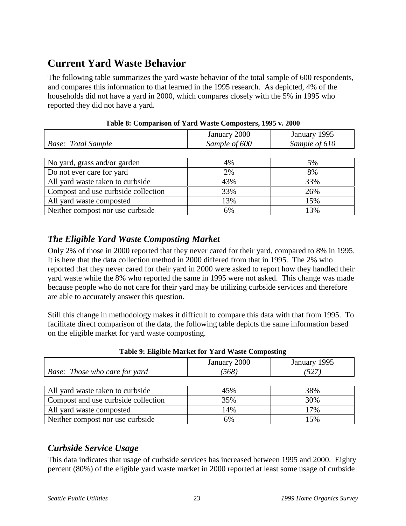# <span id="page-24-0"></span>**Current Yard Waste Behavior**

The following table summarizes the yard waste behavior of the total sample of 600 respondents, and compares this information to that learned in the 1995 research. As depicted, 4% of the households did not have a yard in 2000, which compares closely with the 5% in 1995 who reported they did not have a yard.

| THEN OF COMPATION OF THE $\alpha$ trace Composed by 1990 Traced |               |               |  |  |
|-----------------------------------------------------------------|---------------|---------------|--|--|
|                                                                 | January 2000  | January 1995  |  |  |
| <b>Base:</b> Total Sample                                       | Sample of 600 | Sample of 610 |  |  |
|                                                                 |               |               |  |  |
| No yard, grass and/or garden                                    | 4%            | 5%            |  |  |
| Do not ever care for yard                                       | 2%            | 8%            |  |  |
| All yard waste taken to curbside                                | 43%           | 33%           |  |  |
| Compost and use curbside collection                             | 33%           | 26%           |  |  |
| All yard waste composted                                        | 13%           | 15%           |  |  |
| Neither compost nor use curbside                                | 6%            | 13%           |  |  |

**Table 8: Comparison of Yard Waste Composters, 1995 v. 2000**

## *The Eligible Yard Waste Composting Market*

Only 2% of those in 2000 reported that they never cared for their yard, compared to 8% in 1995. It is here that the data collection method in 2000 differed from that in 1995. The 2% who reported that they never cared for their yard in 2000 were asked to report how they handled their yard waste while the 8% who reported the same in 1995 were not asked. This change was made because people who do not care for their yard may be utilizing curbside services and therefore are able to accurately answer this question.

Still this change in methodology makes it difficult to compare this data with that from 1995. To facilitate direct comparison of the data, the following table depicts the same information based on the eligible market for yard waste composting.

|                                      | January 2000 | January 1995 |
|--------------------------------------|--------------|--------------|
| <b>Base:</b> Those who care for yard | (568)        | '527         |
|                                      |              |              |
| All yard waste taken to curbside     | 45%          | 38%          |
| Compost and use curbside collection  | 35%          | 30%          |
| All yard waste composted             | 14%          | 17%          |
| Neither compost nor use curbside     | 6%           | 15%          |

|  |  | Table 9: Eligible Market for Yard Waste Composting |
|--|--|----------------------------------------------------|
|  |  |                                                    |

## *Curbside Service Usage*

This data indicates that usage of curbside services has increased between 1995 and 2000. Eighty percent (80%) of the eligible yard waste market in 2000 reported at least some usage of curbside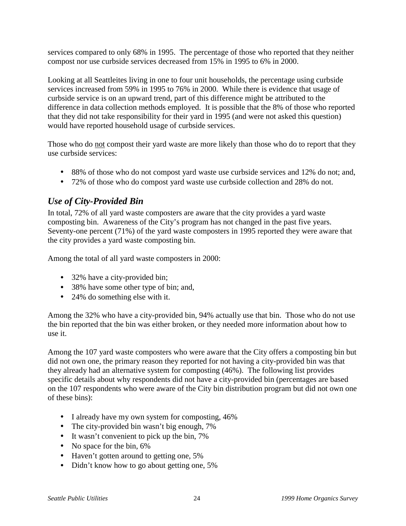services compared to only 68% in 1995. The percentage of those who reported that they neither compost nor use curbside services decreased from 15% in 1995 to 6% in 2000.

Looking at all Seattleites living in one to four unit households, the percentage using curbside services increased from 59% in 1995 to 76% in 2000. While there is evidence that usage of curbside service is on an upward trend, part of this difference might be attributed to the difference in data collection methods employed. It is possible that the 8% of those who reported that they did not take responsibility for their yard in 1995 (and were not asked this question) would have reported household usage of curbside services.

Those who do not compost their yard waste are more likely than those who do to report that they use curbside services:

- 88% of those who do not compost yard waste use curbside services and 12% do not; and,
- 72% of those who do compost yard waste use curbside collection and 28% do not.

## *Use of City-Provided Bin*

In total, 72% of all yard waste composters are aware that the city provides a yard waste composting bin. Awareness of the City's program has not changed in the past five years. Seventy-one percent (71%) of the yard waste composters in 1995 reported they were aware that the city provides a yard waste composting bin.

Among the total of all yard waste composters in 2000:

- 32% have a city-provided bin;
- 38% have some other type of bin; and,
- 24% do something else with it.

Among the 32% who have a city-provided bin, 94% actually use that bin. Those who do not use the bin reported that the bin was either broken, or they needed more information about how to use it.

Among the 107 yard waste composters who were aware that the City offers a composting bin but did not own one, the primary reason they reported for not having a city-provided bin was that they already had an alternative system for composting (46%). The following list provides specific details about why respondents did not have a city-provided bin (percentages are based on the 107 respondents who were aware of the City bin distribution program but did not own one of these bins):

- I already have my own system for composting, 46%
- The city-provided bin wasn't big enough, 7%
- It wasn't convenient to pick up the bin, 7%
- No space for the bin, 6%
- Haven't gotten around to getting one, 5%
- Didn't know how to go about getting one, 5%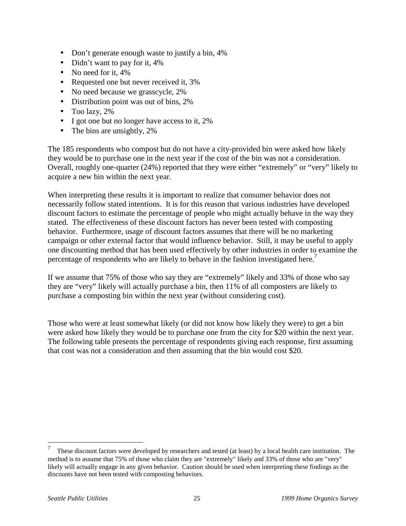- Don't generate enough waste to justify a bin, 4%
- Didn't want to pay for it, 4%
- No need for it, 4%
- Requested one but never received it, 3%
- No need because we grasscycle, 2%
- Distribution point was out of bins, 2%
- Too lazy,  $2\%$
- I got one but no longer have access to it, 2%
- The bins are unsightly, 2%

The 185 respondents who compost but do not have a city-provided bin were asked how likely they would be to purchase one in the next year if the cost of the bin was not a consideration. Overall, roughly one-quarter (24%) reported that they were either "extremely" or "very" likely to acquire a new bin within the next year.

When interpreting these results it is important to realize that consumer behavior does not necessarily follow stated intentions. It is for this reason that various industries have developed discount factors to estimate the percentage of people who might actually behave in the way they stated. The effectiveness of these discount factors has never been tested with composting behavior. Furthermore, usage of discount factors assumes that there will be no marketing campaign or other external factor that would influence behavior. Still, it may be useful to apply one discounting method that has been used effectively by other industries in order to examine the percentage of respondents who are likely to behave in the fashion investigated here.<sup>7</sup>

If we assume that 75% of those who say they are "extremely" likely and 33% of those who say they are "very" likely will actually purchase a bin, then 11% of all composters are likely to purchase a composting bin within the next year (without considering cost).

Those who were at least somewhat likely (or did not know how likely they were) to get a bin were asked how likely they would be to purchase one from the city for \$20 within the next year. The following table presents the percentage of respondents giving each response, first assuming that cost was not a consideration and then assuming that the bin would cost \$20.

 $\overline{a}$ 

<sup>7</sup> These discount factors were developed by researchers and tested (at least) by a local health care institution. The method is to assume that 75% of those who claim they are "extremely" likely and 33% of those who are "very" likely will actually engage in any given behavior. Caution should be used when interpreting these findings as the discounts have not been tested with composting behaviors.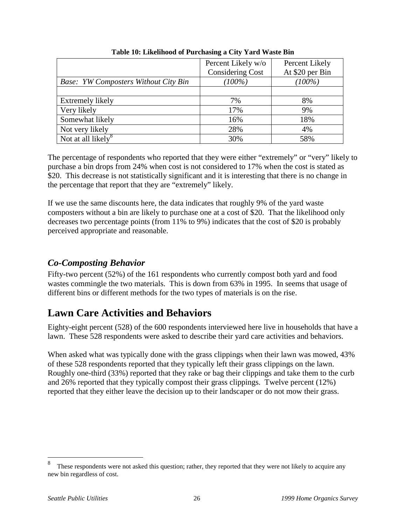<span id="page-27-0"></span>

|                                             | Percent Likely w/o      | Percent Likely  |
|---------------------------------------------|-------------------------|-----------------|
|                                             | <b>Considering Cost</b> | At \$20 per Bin |
| <b>Base:</b> YW Composters Without City Bin | $(100\%)$               | $(100\%)$       |
|                                             |                         |                 |
| Extremely likely                            | 7%                      | 8%              |
| Very likely                                 | 17%                     | 9%              |
| Somewhat likely                             | 16%                     | 18%             |
| Not very likely                             | 28%                     | 4%              |
| Not at all likely <sup>8</sup>              | 30%                     | 58%             |

**Table 10: Likelihood of Purchasing a City Yard Waste Bin**

The percentage of respondents who reported that they were either "extremely" or "very" likely to purchase a bin drops from 24% when cost is not considered to 17% when the cost is stated as \$20. This decrease is not statistically significant and it is interesting that there is no change in the percentage that report that they are "extremely" likely.

If we use the same discounts here, the data indicates that roughly 9% of the yard waste composters without a bin are likely to purchase one at a cost of \$20. That the likelihood only decreases two percentage points (from 11% to 9%) indicates that the cost of \$20 is probably perceived appropriate and reasonable.

#### *Co-Composting Behavior*

Fifty-two percent (52%) of the 161 respondents who currently compost both yard and food wastes commingle the two materials. This is down from 63% in 1995. In seems that usage of different bins or different methods for the two types of materials is on the rise.

# **Lawn Care Activities and Behaviors**

Eighty-eight percent (528) of the 600 respondents interviewed here live in households that have a lawn. These 528 respondents were asked to describe their yard care activities and behaviors.

When asked what was typically done with the grass clippings when their lawn was mowed, 43% of these 528 respondents reported that they typically left their grass clippings on the lawn. Roughly one-third (33%) reported that they rake or bag their clippings and take them to the curb and 26% reported that they typically compost their grass clippings. Twelve percent (12%) reported that they either leave the decision up to their landscaper or do not mow their grass.

 $\overline{a}$ 

<sup>8</sup> These respondents were not asked this question; rather, they reported that they were not likely to acquire any new bin regardless of cost.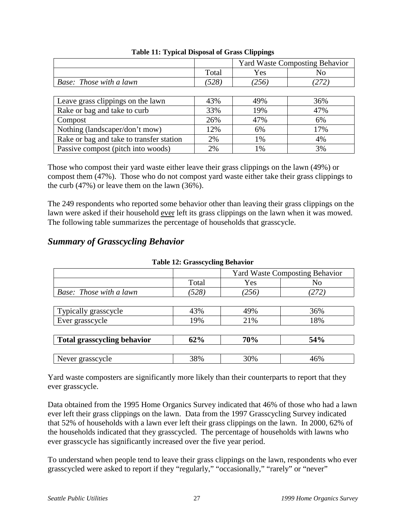|                                          |       | <b>Yard Waste Composting Behavior</b> |       |  |
|------------------------------------------|-------|---------------------------------------|-------|--|
|                                          | Total | Yes                                   | No    |  |
| Base: Those with a lawn                  | (528) | (256)                                 | (272) |  |
|                                          |       |                                       |       |  |
| Leave grass clippings on the lawn        | 43%   | 49%                                   | 36%   |  |
| Rake or bag and take to curb             | 33%   | 19%                                   | 47%   |  |
| Compost                                  | 26%   | 47%                                   | 6%    |  |
| Nothing (landscaper/don't mow)           | 12%   | 6%                                    | 17%   |  |
| Rake or bag and take to transfer station | 2%    | 1%                                    | 4%    |  |
| Passive compost (pitch into woods)       | 2%    | 1%                                    | 3%    |  |

#### **Table 11: Typical Disposal of Grass Clippings**

Those who compost their yard waste either leave their grass clippings on the lawn (49%) or compost them (47%). Those who do not compost yard waste either take their grass clippings to the curb (47%) or leave them on the lawn (36%).

The 249 respondents who reported some behavior other than leaving their grass clippings on the lawn were asked if their household ever left its grass clippings on the lawn when it was mowed. The following table summarizes the percentage of households that grasscycle.

### *Summary of Grasscycling Behavior*

|                                    | $14010$ $14000$ , $014000$ , $0101$ |                                       |       |  |
|------------------------------------|-------------------------------------|---------------------------------------|-------|--|
|                                    |                                     | <b>Yard Waste Composting Behavior</b> |       |  |
|                                    | Total                               | Yes                                   | No    |  |
| Base: Those with a lawn            | (528)                               | (256)                                 | (272) |  |
|                                    |                                     |                                       |       |  |
| Typically grasscycle               | 43%                                 | 49%                                   | 36%   |  |
| Ever grasscycle                    | 19%                                 | 21%                                   | 18%   |  |
|                                    |                                     |                                       |       |  |
| <b>Total grasscycling behavior</b> | 62%                                 | 70%                                   | 54%   |  |
|                                    |                                     |                                       |       |  |
| Never grasscycle                   | 38%                                 | 30%                                   | 46%   |  |

#### **Table 12: Grasscycling Behavior**

Yard waste composters are significantly more likely than their counterparts to report that they ever grasscycle.

Data obtained from the 1995 Home Organics Survey indicated that 46% of those who had a lawn ever left their grass clippings on the lawn. Data from the 1997 Grasscycling Survey indicated that 52% of households with a lawn ever left their grass clippings on the lawn. In 2000, 62% of the households indicated that they grasscycled. The percentage of households with lawns who ever grasscycle has significantly increased over the five year period.

To understand when people tend to leave their grass clippings on the lawn, respondents who ever grasscycled were asked to report if they "regularly," "occasionally," "rarely" or "never"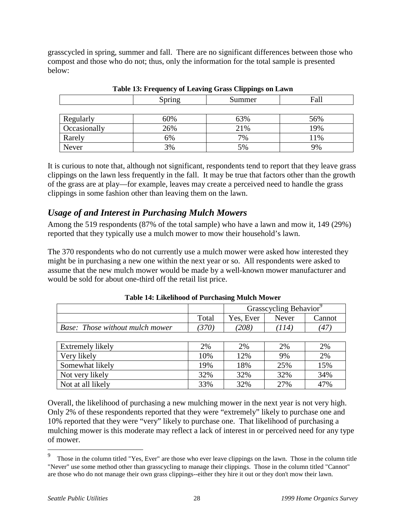grasscycled in spring, summer and fall. There are no significant differences between those who compost and those who do not; thus, only the information for the total sample is presented below:

|              | Spring | Summer | Fall |
|--------------|--------|--------|------|
|              |        |        |      |
| Regularly    | 60%    | 63%    | 56%  |
| Occasionally | 26%    | 21%    | 19%  |
| Rarely       | 6%     | 7%     | 11%  |
| Never        | 3%     | 5%     | 9%   |

It is curious to note that, although not significant, respondents tend to report that they leave grass clippings on the lawn less frequently in the fall. It may be true that factors other than the growth of the grass are at play—for example, leaves may create a perceived need to handle the grass clippings in some fashion other than leaving them on the lawn.

### *Usage of and Interest in Purchasing Mulch Mowers*

Among the 519 respondents (87% of the total sample) who have a lawn and mow it, 149 (29%) reported that they typically use a mulch mower to mow their household's lawn.

The 370 respondents who do not currently use a mulch mower were asked how interested they might be in purchasing a new one within the next year or so. All respondents were asked to assume that the new mulch mower would be made by a well-known mower manufacturer and would be sold for about one-third off the retail list price.

|                                        |       | Grasscycling Behavior <sup>9</sup> |       |        |
|----------------------------------------|-------|------------------------------------|-------|--------|
|                                        | Total | Yes. Ever                          | Never | Cannot |
| <b>Base:</b> Those without mulch mower |       | $^{\prime}208$                     | 14    | 47'    |
|                                        |       |                                    |       |        |

| Extremely likely  | 2%  | 2%  | 2%  | 2%  |
|-------------------|-----|-----|-----|-----|
| Very likely       | 10% | 12% | 9%  | 2%  |
| Somewhat likely   | 19% | 18% | 25% | 15% |
| Not very likely   | 32% | 32% | 32% | 34% |
| Not at all likely | 33% | 32% | 27% | 47% |

Overall, the likelihood of purchasing a new mulching mower in the next year is not very high. Only 2% of these respondents reported that they were "extremely" likely to purchase one and 10% reported that they were "very" likely to purchase one. That likelihood of purchasing a mulching mower is this moderate may reflect a lack of interest in or perceived need for any type of mower.

 $\overline{a}$ 

<sup>9</sup> Those in the column titled "Yes, Ever" are those who ever leave clippings on the lawn. Those in the column title "Never" use some method other than grasscycling to manage their clippings. Those in the column titled "Cannot" are those who do not manage their own grass clippings--either they hire it out or they don't mow their lawn.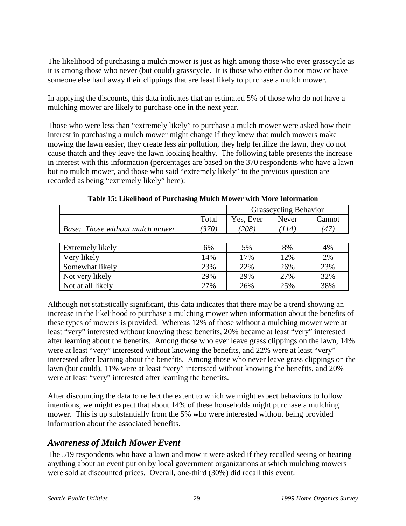The likelihood of purchasing a mulch mower is just as high among those who ever grasscycle as it is among those who never (but could) grasscycle. It is those who either do not mow or have someone else haul away their clippings that are least likely to purchase a mulch mower.

In applying the discounts, this data indicates that an estimated 5% of those who do not have a mulching mower are likely to purchase one in the next year.

Those who were less than "extremely likely" to purchase a mulch mower were asked how their interest in purchasing a mulch mower might change if they knew that mulch mowers make mowing the lawn easier, they create less air pollution, they help fertilize the lawn, they do not cause thatch and they leave the lawn looking healthy. The following table presents the increase in interest with this information (percentages are based on the 370 respondents who have a lawn but no mulch mower, and those who said "extremely likely" to the previous question are recorded as being "extremely likely" here):

|                                        |       | <b>Grasscycling Behavior</b> |       |        |  |
|----------------------------------------|-------|------------------------------|-------|--------|--|
|                                        | Total | Yes, Ever                    | Never | Cannot |  |
| <b>Base:</b> Those without mulch mower | (370) | (208)                        | (114) | (47)   |  |
|                                        |       |                              |       |        |  |
| Extremely likely                       | 6%    | 5%                           | 8%    | 4%     |  |
| Very likely                            | 14%   | 17%                          | 12%   | 2%     |  |
| Somewhat likely                        | 23%   | 22%                          | 26%   | 23%    |  |
| Not very likely                        | 29%   | 29%                          | 27%   | 32%    |  |
| Not at all likely                      | 27%   | 26%                          | 25%   | 38%    |  |

**Table 15: Likelihood of Purchasing Mulch Mower with More Information**

Although not statistically significant, this data indicates that there may be a trend showing an increase in the likelihood to purchase a mulching mower when information about the benefits of these types of mowers is provided. Whereas 12% of those without a mulching mower were at least "very" interested without knowing these benefits, 20% became at least "very" interested after learning about the benefits. Among those who ever leave grass clippings on the lawn, 14% were at least "very" interested without knowing the benefits, and 22% were at least "very" interested after learning about the benefits. Among those who never leave grass clippings on the lawn (but could), 11% were at least "very" interested without knowing the benefits, and 20% were at least "very" interested after learning the benefits.

After discounting the data to reflect the extent to which we might expect behaviors to follow intentions, we might expect that about 14% of these households might purchase a mulching mower. This is up substantially from the 5% who were interested without being provided information about the associated benefits.

## *Awareness of Mulch Mower Event*

The 519 respondents who have a lawn and mow it were asked if they recalled seeing or hearing anything about an event put on by local government organizations at which mulching mowers were sold at discounted prices. Overall, one-third (30%) did recall this event.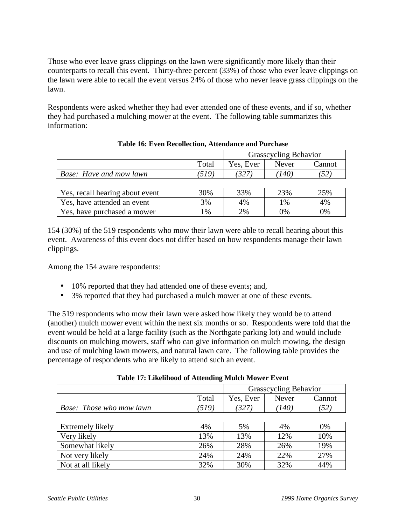Those who ever leave grass clippings on the lawn were significantly more likely than their counterparts to recall this event. Thirty-three percent (33%) of those who ever leave clippings on the lawn were able to recall the event versus 24% of those who never leave grass clippings on the lawn.

Respondents were asked whether they had ever attended one of these events, and if so, whether they had purchased a mulching mower at the event. The following table summarizes this information:

|                                 |       | <b>Grasscycling Behavior</b> |       |        |
|---------------------------------|-------|------------------------------|-------|--------|
|                                 | Total | Yes, Ever                    | Never | Cannot |
| Base: Have and mow lawn         | (519) | 327                          | (140) | (52)   |
|                                 |       |                              |       |        |
| Yes, recall hearing about event | 30%   | 33%                          | 23%   | 25%    |
| Yes, have attended an event     | 3%    | 4%                           | 1%    | 4%     |
| Yes, have purchased a mower     | 1%    | 2%                           | $0\%$ | 0%     |

#### **Table 16: Even Recollection, Attendance and Purchase**

154 (30%) of the 519 respondents who mow their lawn were able to recall hearing about this event. Awareness of this event does not differ based on how respondents manage their lawn clippings.

Among the 154 aware respondents:

- 10% reported that they had attended one of these events; and,
- 3% reported that they had purchased a mulch mower at one of these events.

The 519 respondents who mow their lawn were asked how likely they would be to attend (another) mulch mower event within the next six months or so. Respondents were told that the event would be held at a large facility (such as the Northgate parking lot) and would include discounts on mulching mowers, staff who can give information on mulch mowing, the design and use of mulching lawn mowers, and natural lawn care. The following table provides the percentage of respondents who are likely to attend such an event.

|                          |       | <b>Grasscycling Behavior</b> |       |                    |
|--------------------------|-------|------------------------------|-------|--------------------|
|                          | Total | Yes, Ever                    | Never | Cannot             |
| Base: Those who mow lawn | (519) | (327)                        | (140) | $\left( 52\right)$ |
|                          |       |                              |       |                    |
| Extremely likely         | 4%    | 5%                           | 4%    | 0%                 |
| Very likely              | 13%   | 13%                          | 12%   | 10%                |
| Somewhat likely          | 26%   | 28%                          | 26%   | 19%                |
| Not very likely          | 24%   | 24%                          | 22%   | 27%                |
| Not at all likely        | 32%   | 30%                          | 32%   | 44%                |

**Table 17: Likelihood of Attending Mulch Mower Event**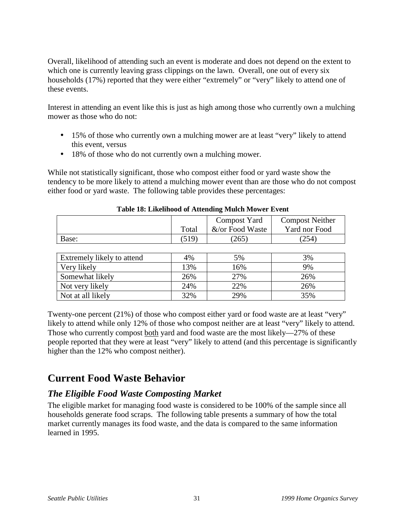<span id="page-32-0"></span>Overall, likelihood of attending such an event is moderate and does not depend on the extent to which one is currently leaving grass clippings on the lawn. Overall, one out of every six households (17%) reported that they were either "extremely" or "very" likely to attend one of these events.

Interest in attending an event like this is just as high among those who currently own a mulching mower as those who do not:

- 15% of those who currently own a mulching mower are at least "very" likely to attend this event, versus
- 18% of those who do not currently own a mulching mower.

While not statistically significant, those who compost either food or yard waste show the tendency to be more likely to attend a mulching mower event than are those who do not compost either food or yard waste. The following table provides these percentages:

|       |       | Compost Yard    | <b>Compost Neither</b> |
|-------|-------|-----------------|------------------------|
|       | Total | &/or Food Waste | Yard nor Food          |
| Base: | .519  | $^{\prime}265$  | 254                    |
|       |       |                 |                        |

| Extremely likely to attend | 4%  | 5%  | 3%  |
|----------------------------|-----|-----|-----|
| Very likely                | 13% | 16% | 9%  |
| Somewhat likely            | 26% | 27% | 26% |
| Not very likely            | 24% | 22% | 26% |
| Not at all likely          | 32% | 29% | 35% |

Twenty-one percent (21%) of those who compost either yard or food waste are at least "very" likely to attend while only 12% of those who compost neither are at least "very" likely to attend. Those who currently compost both yard and food waste are the most likely—27% of these people reported that they were at least "very" likely to attend (and this percentage is significantly higher than the 12% who compost neither).

# **Current Food Waste Behavior**

## *The Eligible Food Waste Composting Market*

The eligible market for managing food waste is considered to be 100% of the sample since all households generate food scraps. The following table presents a summary of how the total market currently manages its food waste, and the data is compared to the same information learned in 1995.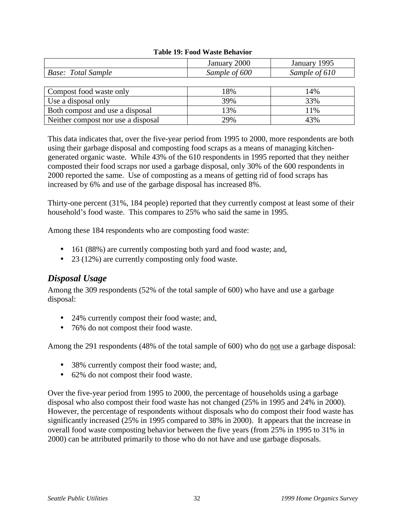#### **Table 19: Food Waste Behavior**

|                                    | January 2000  | January 1995  |
|------------------------------------|---------------|---------------|
| Base: Total Sample                 | Sample of 600 | Sample of 610 |
|                                    |               |               |
| Compost food waste only            | 18%           | 14%           |
| Use a disposal only                | 39%           | 33%           |
| Both compost and use a disposal    | 13%           | 11%           |
| Neither compost nor use a disposal | 29%           | 43%           |

This data indicates that, over the five-year period from 1995 to 2000, more respondents are both using their garbage disposal and composting food scraps as a means of managing kitchengenerated organic waste. While 43% of the 610 respondents in 1995 reported that they neither composted their food scraps nor used a garbage disposal, only 30% of the 600 respondents in 2000 reported the same. Use of composting as a means of getting rid of food scraps has increased by 6% and use of the garbage disposal has increased 8%.

Thirty-one percent (31%, 184 people) reported that they currently compost at least some of their household's food waste. This compares to 25% who said the same in 1995.

Among these 184 respondents who are composting food waste:

- 161 (88%) are currently composting both yard and food waste; and,
- 23 (12%) are currently composting only food waste.

#### *Disposal Usage*

Among the 309 respondents (52% of the total sample of 600) who have and use a garbage disposal:

- 24% currently compost their food waste; and,
- 76% do not compost their food waste.

Among the 291 respondents (48% of the total sample of 600) who do not use a garbage disposal:

- 38% currently compost their food waste; and,
- 62% do not compost their food waste.

Over the five-year period from 1995 to 2000, the percentage of households using a garbage disposal who also compost their food waste has not changed (25% in 1995 and 24% in 2000). However, the percentage of respondents without disposals who do compost their food waste has significantly increased (25% in 1995 compared to 38% in 2000). It appears that the increase in overall food waste composting behavior between the five years (from 25% in 1995 to 31% in 2000) can be attributed primarily to those who do not have and use garbage disposals.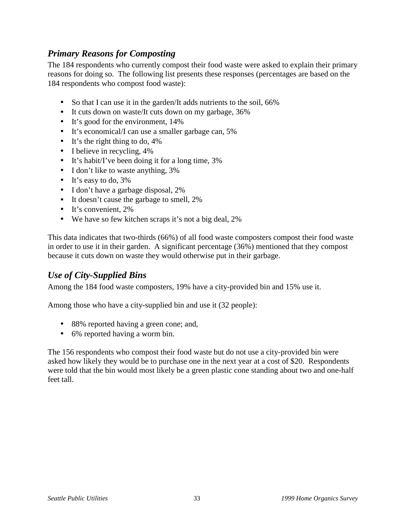#### *Primary Reasons for Composting*

The 184 respondents who currently compost their food waste were asked to explain their primary reasons for doing so. The following list presents these responses (percentages are based on the 184 respondents who compost food waste):

- So that I can use it in the garden/It adds nutrients to the soil, 66%
- It cuts down on waste/It cuts down on my garbage, 36%
- It's good for the environment, 14%
- It's economical/I can use a smaller garbage can, 5%
- It's the right thing to do, 4%
- I believe in recycling,  $4\%$
- It's habit/I've been doing it for a long time, 3%
- I don't like to waste anything, 3%
- It's easy to do, 3%
- I don't have a garbage disposal, 2%
- It doesn't cause the garbage to smell, 2%
- It's convenient, 2%
- We have so few kitchen scraps it's not a big deal, 2%

This data indicates that two-thirds (66%) of all food waste composters compost their food waste in order to use it in their garden. A significant percentage (36%) mentioned that they compost because it cuts down on waste they would otherwise put in their garbage.

## *Use of City-Supplied Bins*

Among the 184 food waste composters, 19% have a city-provided bin and 15% use it.

Among those who have a city-supplied bin and use it (32 people):

- 88% reported having a green cone; and,
- 6% reported having a worm bin.

The 156 respondents who compost their food waste but do not use a city-provided bin were asked how likely they would be to purchase one in the next year at a cost of \$20. Respondents were told that the bin would most likely be a green plastic cone standing about two and one-half feet tall.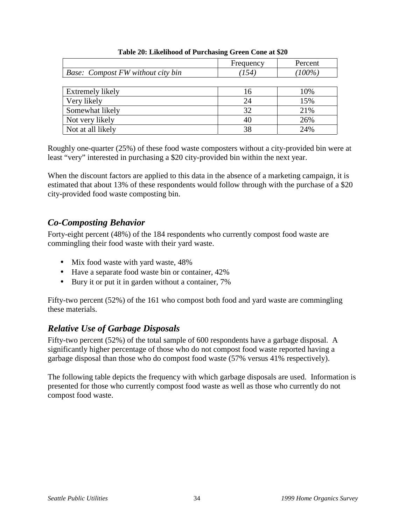|                                   | Frequency | Percent   |
|-----------------------------------|-----------|-----------|
| Base: Compost FW without city bin | (154)     | $(100\%)$ |
|                                   |           |           |
| Extremely likely                  | 16        | 10%       |
| Very likely                       | 24        | 15%       |
| Somewhat likely                   | 32        | 21%       |
| Not very likely                   | 40        | 26%       |
| Not at all likely                 | 38        | 24%       |

#### **Table 20: Likelihood of Purchasing Green Cone at \$20**

Roughly one-quarter (25%) of these food waste composters without a city-provided bin were at least "very" interested in purchasing a \$20 city-provided bin within the next year.

When the discount factors are applied to this data in the absence of a marketing campaign, it is estimated that about 13% of these respondents would follow through with the purchase of a \$20 city-provided food waste composting bin.

### *Co-Composting Behavior*

Forty-eight percent (48%) of the 184 respondents who currently compost food waste are commingling their food waste with their yard waste.

- Mix food waste with yard waste, 48%
- Have a separate food waste bin or container,  $42\%$
- Bury it or put it in garden without a container, 7%

Fifty-two percent (52%) of the 161 who compost both food and yard waste are commingling these materials.

## *Relative Use of Garbage Disposals*

Fifty-two percent (52%) of the total sample of 600 respondents have a garbage disposal. A significantly higher percentage of those who do not compost food waste reported having a garbage disposal than those who do compost food waste (57% versus 41% respectively).

The following table depicts the frequency with which garbage disposals are used. Information is presented for those who currently compost food waste as well as those who currently do not compost food waste.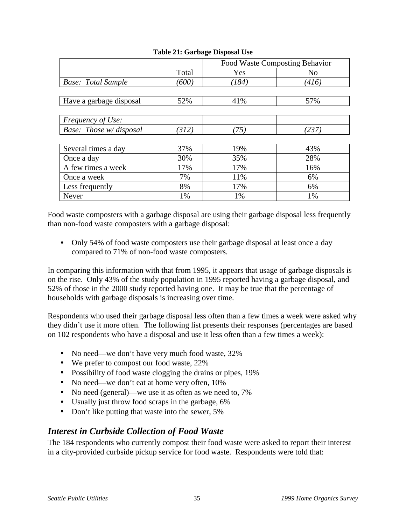|                           |       | Food Waste Composting Behavior |                |
|---------------------------|-------|--------------------------------|----------------|
|                           | Total | Yes                            | N <sub>0</sub> |
| <b>Base:</b> Total Sample | '600) | (184)                          | (416)          |
|                           |       |                                |                |
| Have a garbage disposal   | 52%   | 41%                            | 57%            |
|                           |       |                                |                |
| Frequency of Use:         |       |                                |                |
| Base: Those w/ disposal   | (312) | (75)                           | (237)          |
|                           |       |                                |                |
| Several times a day       | 37%   | 19%                            | 43%            |
| Once a day                | 30%   | 35%                            | 28%            |
| A few times a week        | 17%   | 17%                            | 16%            |
| Once a week               | 7%    | 11%                            | 6%             |
| Less frequently           | 8%    | 17%                            | 6%             |
| Never                     | 1%    | 1%                             | 1%             |

#### **Table 21: Garbage Disposal Use**

Food waste composters with a garbage disposal are using their garbage disposal less frequently than non-food waste composters with a garbage disposal:

• Only 54% of food waste composters use their garbage disposal at least once a day compared to 71% of non-food waste composters.

In comparing this information with that from 1995, it appears that usage of garbage disposals is on the rise. Only 43% of the study population in 1995 reported having a garbage disposal, and 52% of those in the 2000 study reported having one. It may be true that the percentage of households with garbage disposals is increasing over time.

Respondents who used their garbage disposal less often than a few times a week were asked why they didn't use it more often. The following list presents their responses (percentages are based on 102 respondents who have a disposal and use it less often than a few times a week):

- No need—we don't have very much food waste, 32%
- We prefer to compost our food waste, 22%
- Possibility of food waste clogging the drains or pipes, 19%
- No need—we don't eat at home very often,  $10\%$
- No need (general)—we use it as often as we need to, 7%
- Usually just throw food scraps in the garbage, 6%
- Don't like putting that waste into the sewer, 5%

## *Interest in Curbside Collection of Food Waste*

The 184 respondents who currently compost their food waste were asked to report their interest in a city-provided curbside pickup service for food waste. Respondents were told that: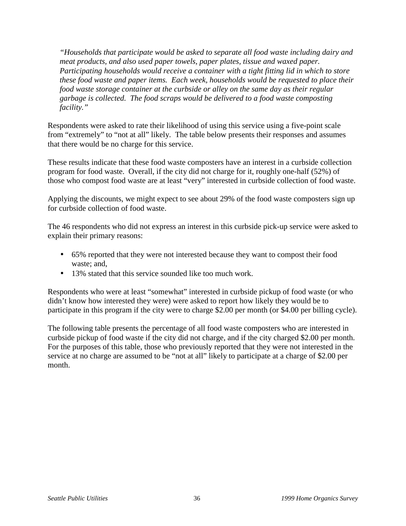*"Households that participate would be asked to separate all food waste including dairy and meat products, and also used paper towels, paper plates, tissue and waxed paper. Participating households would receive a container with a tight fitting lid in which to store these food waste and paper items. Each week, households would be requested to place their food waste storage container at the curbside or alley on the same day as their regular garbage is collected. The food scraps would be delivered to a food waste composting facility."*

Respondents were asked to rate their likelihood of using this service using a five-point scale from "extremely" to "not at all" likely. The table below presents their responses and assumes that there would be no charge for this service.

These results indicate that these food waste composters have an interest in a curbside collection program for food waste. Overall, if the city did not charge for it, roughly one-half (52%) of those who compost food waste are at least "very" interested in curbside collection of food waste.

Applying the discounts, we might expect to see about 29% of the food waste composters sign up for curbside collection of food waste.

The 46 respondents who did not express an interest in this curbside pick-up service were asked to explain their primary reasons:

- 65% reported that they were not interested because they want to compost their food waste; and,
- 13% stated that this service sounded like too much work.

Respondents who were at least "somewhat" interested in curbside pickup of food waste (or who didn't know how interested they were) were asked to report how likely they would be to participate in this program if the city were to charge \$2.00 per month (or \$4.00 per billing cycle).

The following table presents the percentage of all food waste composters who are interested in curbside pickup of food waste if the city did not charge, and if the city charged \$2.00 per month. For the purposes of this table, those who previously reported that they were not interested in the service at no charge are assumed to be "not at all" likely to participate at a charge of \$2.00 per month.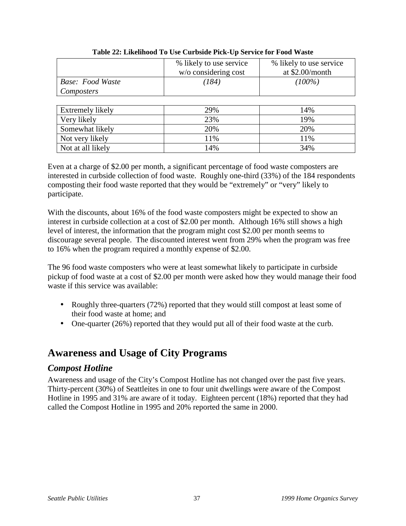|                         | % likely to use service | % likely to use service |
|-------------------------|-------------------------|-------------------------|
|                         | w/o considering cost    | at $$2.00/m$ onth       |
| <b>Base: Food Waste</b> | (184)                   | $(100\%)$               |
| Composters              |                         |                         |
|                         |                         |                         |
| Extremely likely        | 29%                     | 14%                     |
| Very likely             | 23%                     | 19%                     |
| Somewhat likely         | 20%                     | 20%                     |
| Not very likely         | 11%                     | 11%                     |
| Not at all likely       | 14%                     | 34%                     |

**Table 22: Likelihood To Use Curbside Pick-Up Service for Food Waste**

Even at a charge of \$2.00 per month, a significant percentage of food waste composters are interested in curbside collection of food waste. Roughly one-third (33%) of the 184 respondents composting their food waste reported that they would be "extremely" or "very" likely to participate.

With the discounts, about 16% of the food waste composters might be expected to show an interest in curbside collection at a cost of \$2.00 per month. Although 16% still shows a high level of interest, the information that the program might cost \$2.00 per month seems to discourage several people. The discounted interest went from 29% when the program was free to 16% when the program required a monthly expense of \$2.00.

The 96 food waste composters who were at least somewhat likely to participate in curbside pickup of food waste at a cost of \$2.00 per month were asked how they would manage their food waste if this service was available:

- Roughly three-quarters (72%) reported that they would still compost at least some of their food waste at home; and
- One-quarter (26%) reported that they would put all of their food waste at the curb.

## **Awareness and Usage of City Programs**

### *Compost Hotline*

Awareness and usage of the City's Compost Hotline has not changed over the past five years. Thirty-percent (30%) of Seattleites in one to four unit dwellings were aware of the Compost Hotline in 1995 and 31% are aware of it today. Eighteen percent (18%) reported that they had called the Compost Hotline in 1995 and 20% reported the same in 2000.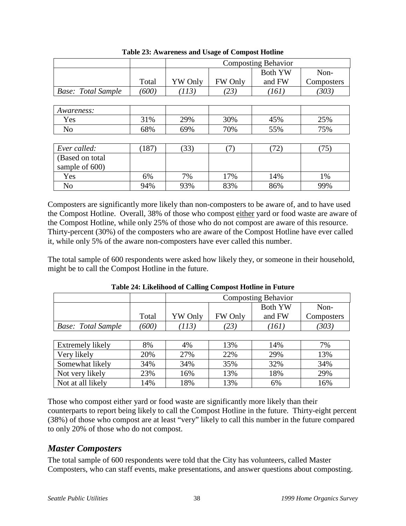|                           |       | <b>Composting Behavior</b> |         |                |            |
|---------------------------|-------|----------------------------|---------|----------------|------------|
|                           |       |                            |         | <b>Both YW</b> | Non-       |
|                           | Total | YW Only                    | FW Only | and FW         | Composters |
| <b>Base:</b> Total Sample | (600) | (113)                      | (23)    | (161)          | (303)      |
|                           |       |                            |         |                |            |
| Awareness:                |       |                            |         |                |            |
| Yes                       | 31%   | 29%                        | 30%     | 45%            | 25%        |
| N <sub>0</sub>            | 68%   | 69%                        | 70%     | 55%            | 75%        |
|                           |       |                            |         |                |            |
| Ever called:              | (187) | (33)                       | (7)     | (72)           | (75)       |
| (Based on total)          |       |                            |         |                |            |
| sample of 600)            |       |                            |         |                |            |
| Yes                       | 6%    | 7%                         | 17%     | 14%            | 1%         |
| N <sub>0</sub>            | 94%   | 93%                        | 83%     | 86%            | 99%        |

**Table 23: Awareness and Usage of Compost Hotline**

Composters are significantly more likely than non-composters to be aware of, and to have used the Compost Hotline. Overall, 38% of those who compost either yard or food waste are aware of the Compost Hotline, while only 25% of those who do not compost are aware of this resource. Thirty-percent (30%) of the composters who are aware of the Compost Hotline have ever called it, while only 5% of the aware non-composters have ever called this number.

The total sample of 600 respondents were asked how likely they, or someone in their household, might be to call the Compost Hotline in the future.

|                           |       | <b>Composting Behavior</b> |         |        |            |
|---------------------------|-------|----------------------------|---------|--------|------------|
|                           |       | Both YW<br>Non-            |         |        |            |
|                           | Total | YW Only                    | FW Only | and FW | Composters |
| <b>Base:</b> Total Sample | (600) | 113)                       | (23)    | [161]  | (303)      |

| Table 24: Likelihood of Calling Compost Hotline in Future |  |
|-----------------------------------------------------------|--|
|-----------------------------------------------------------|--|

| Extremely likely  | 8%  | 4%  | 13% | 14% | 7%  |
|-------------------|-----|-----|-----|-----|-----|
| Very likely       | 20% | 27% | 22% | 29% | 13% |
| Somewhat likely   | 34% | 34% | 35% | 32% | 34% |
| Not very likely   | 23% | 16% | 13% | 18% | 29% |
| Not at all likely | 14% | 18% | 13% | 6%  | 16% |

Those who compost either yard or food waste are significantly more likely than their counterparts to report being likely to call the Compost Hotline in the future. Thirty-eight percent (38%) of those who compost are at least "very" likely to call this number in the future compared to only 20% of those who do not compost.

## *Master Composters*

The total sample of 600 respondents were told that the City has volunteers, called Master Composters, who can staff events, make presentations, and answer questions about composting.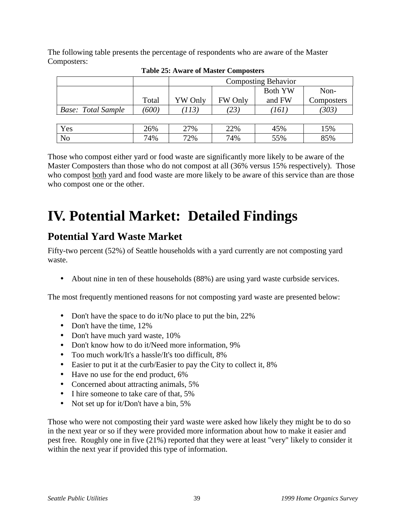The following table presents the percentage of respondents who are aware of the Master Composters:

|                           |       | <b>Composting Behavior</b> |         |                |            |
|---------------------------|-------|----------------------------|---------|----------------|------------|
|                           |       |                            |         | <b>Both YW</b> | Non-       |
|                           | Total | YW Only                    | FW Only | and FW         | Composters |
| <b>Base:</b> Total Sample | (600) | (113)                      | (23)    | (161)          | (303)      |
|                           |       |                            |         |                |            |
| Yes                       | 26%   | 27%                        | 22%     | 45%            | 15%        |
| N <sub>o</sub>            | 74%   | 72%                        | 74%     | 55%            | 85%        |

**Table 25: Aware of Master Composters**

Those who compost either yard or food waste are significantly more likely to be aware of the Master Composters than those who do not compost at all (36% versus 15% respectively). Those who compost both yard and food waste are more likely to be aware of this service than are those who compost one or the other.

# **IV. Potential Market: Detailed Findings**

# **Potential Yard Waste Market**

Fifty-two percent (52%) of Seattle households with a yard currently are not composting yard waste.

• About nine in ten of these households (88%) are using yard waste curbside services.

The most frequently mentioned reasons for not composting yard waste are presented below:

- Don't have the space to do it/No place to put the bin, 22%
- Don't have the time, 12%
- Don't have much yard waste, 10%
- Don't know how to do it/Need more information, 9%
- Too much work/It's a hassle/It's too difficult, 8%
- Easier to put it at the curb/Easier to pay the City to collect it, 8%
- Have no use for the end product, 6%
- Concerned about attracting animals, 5%
- I hire someone to take care of that, 5%
- Not set up for it/Don't have a bin, 5%

Those who were not composting their yard waste were asked how likely they might be to do so in the next year or so if they were provided more information about how to make it easier and pest free. Roughly one in five (21%) reported that they were at least "very" likely to consider it within the next year if provided this type of information.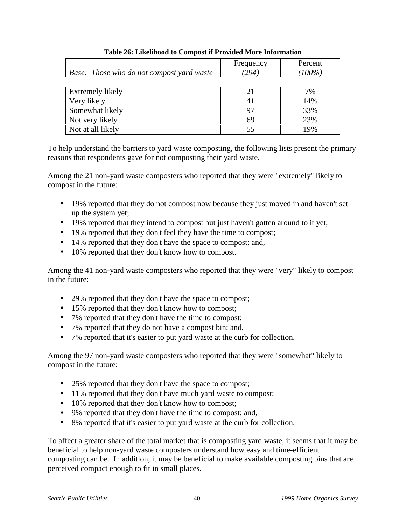|                                           | Frequency | Percent   |
|-------------------------------------------|-----------|-----------|
| Base: Those who do not compost yard waste | 294       | $(100\%)$ |
|                                           |           |           |
| Extremely likely                          | 21        | 7%        |
| Very likely                               | 41        | 14%       |
| Somewhat likely                           | 97        | 33%       |
| Not very likely                           | 69        | 23%       |
| Not at all likely                         | 55        | 19%       |

#### **Table 26: Likelihood to Compost if Provided More Information**

To help understand the barriers to yard waste composting, the following lists present the primary reasons that respondents gave for not composting their yard waste.

Among the 21 non-yard waste composters who reported that they were "extremely" likely to compost in the future:

- 19% reported that they do not compost now because they just moved in and haven't set up the system yet;
- 19% reported that they intend to compost but just haven't gotten around to it yet;
- 19% reported that they don't feel they have the time to compost;
- 14% reported that they don't have the space to compost; and,
- 10% reported that they don't know how to compost.

Among the 41 non-yard waste composters who reported that they were "very" likely to compost in the future:

- 29% reported that they don't have the space to compost;
- 15% reported that they don't know how to compost;
- 7% reported that they don't have the time to compost;
- 7% reported that they do not have a compost bin; and,
- 7% reported that it's easier to put yard waste at the curb for collection.

Among the 97 non-yard waste composters who reported that they were "somewhat" likely to compost in the future:

- 25% reported that they don't have the space to compost;
- 11% reported that they don't have much yard waste to compost;
- 10% reported that they don't know how to compost;
- 9% reported that they don't have the time to compost; and,
- 8% reported that it's easier to put yard waste at the curb for collection.

To affect a greater share of the total market that is composting yard waste, it seems that it may be beneficial to help non-yard waste composters understand how easy and time-efficient composting can be. In addition, it may be beneficial to make available composting bins that are perceived compact enough to fit in small places.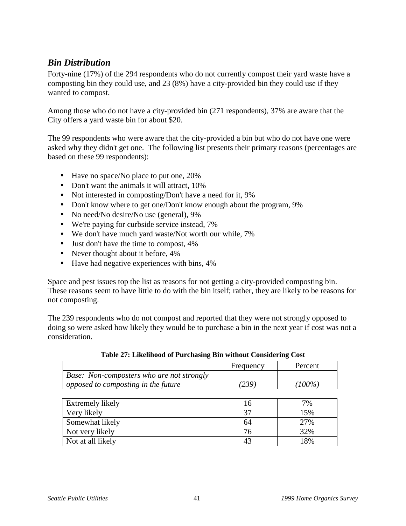## *Bin Distribution*

Forty-nine (17%) of the 294 respondents who do not currently compost their yard waste have a composting bin they could use, and 23 (8%) have a city-provided bin they could use if they wanted to compost.

Among those who do not have a city-provided bin (271 respondents), 37% are aware that the City offers a yard waste bin for about \$20.

The 99 respondents who were aware that the city-provided a bin but who do not have one were asked why they didn't get one. The following list presents their primary reasons (percentages are based on these 99 respondents):

- Have no space/No place to put one, 20%
- Don't want the animals it will attract, 10%
- Not interested in composting/Don't have a need for it, 9%
- Don't know where to get one/Don't know enough about the program, 9%
- No need/No desire/No use (general), 9%
- We're paying for curbside service instead, 7%
- We don't have much yard waste/Not worth our while, 7%
- Just don't have the time to compost, 4%
- Never thought about it before,  $4\%$
- Have had negative experiences with bins,  $4\%$

Space and pest issues top the list as reasons for not getting a city-provided composting bin. These reasons seem to have little to do with the bin itself; rather, they are likely to be reasons for not composting.

The 239 respondents who do not compost and reported that they were not strongly opposed to doing so were asked how likely they would be to purchase a bin in the next year if cost was not a consideration.

|                                           | Frequency | Percent |
|-------------------------------------------|-----------|---------|
| Base: Non-composters who are not strongly |           |         |
| opposed to composting in the future       | (239)     | 100%)   |
|                                           |           |         |

#### **Table 27: Likelihood of Purchasing Bin without Considering Cost**

| Extremely likely  |    | 7%  |
|-------------------|----|-----|
| Very likely       | 27 | 15% |
| Somewhat likely   | 64 | 27% |
| Not very likely   |    | 32% |
| Not at all likely | 43 | 18% |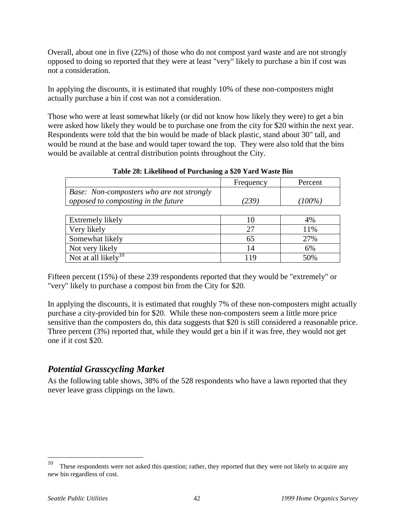Overall, about one in five (22%) of those who do not compost yard waste and are not strongly opposed to doing so reported that they were at least "very" likely to purchase a bin if cost was not a consideration.

In applying the discounts, it is estimated that roughly 10% of these non-composters might actually purchase a bin if cost was not a consideration.

Those who were at least somewhat likely (or did not know how likely they were) to get a bin were asked how likely they would be to purchase one from the city for \$20 within the next year. Respondents were told that the bin would be made of black plastic, stand about 30" tall, and would be round at the base and would taper toward the top. They were also told that the bins would be available at central distribution points throughout the City.

|                                           | Frequency | Percent   |
|-------------------------------------------|-----------|-----------|
| Base: Non-composters who are not strongly |           |           |
| opposed to composting in the future       | 239)      | $(100\%)$ |

| Table 28: Likelihood of Purchasing a \$20 Yard Waste Bin |  |  |
|----------------------------------------------------------|--|--|
|----------------------------------------------------------|--|--|

| Extremely likely                               |     | 4%  |
|------------------------------------------------|-----|-----|
| Very likely                                    | つつ  | 11% |
| Somewhat likely                                | 65  | 27% |
| Not very likely                                | 14  | 6%  |
| $\overline{ }$ Not at all likely <sup>10</sup> | 1 Q | 50% |

Fifteen percent (15%) of these 239 respondents reported that they would be "extremely" or "very" likely to purchase a compost bin from the City for \$20.

In applying the discounts, it is estimated that roughly 7% of these non-composters might actually purchase a city-provided bin for \$20. While these non-composters seem a little more price sensitive than the composters do, this data suggests that \$20 is still considered a reasonable price. Three percent (3%) reported that, while they would get a bin if it was free, they would not get one if it cost \$20.

## *Potential Grasscycling Market*

As the following table shows, 38% of the 528 respondents who have a lawn reported that they never leave grass clippings on the lawn.

 $\overline{a}$ 

These respondents were not asked this question; rather, they reported that they were not likely to acquire any new bin regardless of cost.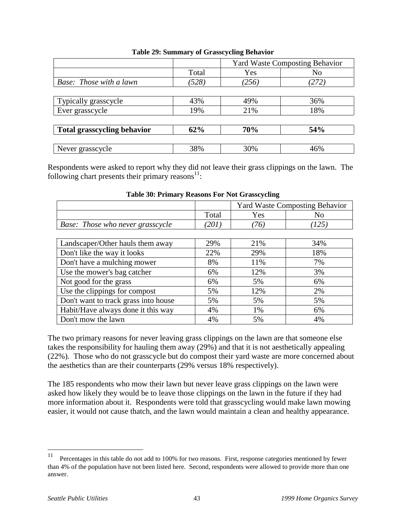|                                    |       | <b>Yard Waste Composting Behavior</b> |            |  |
|------------------------------------|-------|---------------------------------------|------------|--|
|                                    | Total | Yes                                   | No         |  |
| Base: Those with a lawn            | (528) | (256)                                 | (272)      |  |
|                                    |       |                                       |            |  |
| Typically grasscycle               | 43%   | 49%                                   | 36%        |  |
| Ever grasscycle                    | 19%   | 21%                                   | 18%        |  |
|                                    |       |                                       |            |  |
| <b>Total grasscycling behavior</b> | 62%   | 70%                                   | <b>54%</b> |  |
|                                    |       |                                       |            |  |
| Never grasscycle                   | 38%   | 30%                                   | 46%        |  |

#### **Table 29: Summary of Grasscycling Behavior**

Respondents were asked to report why they did not leave their grass clippings on the lawn. The following chart presents their primary reasons $^{11}$ :

|                                         |       | <b>Yard Waste Composting Behavior</b> |       |  |
|-----------------------------------------|-------|---------------------------------------|-------|--|
|                                         | Total | Yes                                   | No    |  |
| <b>Base:</b> Those who never grasscycle | (201) | (76)                                  | (125) |  |
|                                         |       |                                       |       |  |
| Landscaper/Other hauls them away        | 29%   | 21%                                   | 34%   |  |
| Don't like the way it looks             | 22%   | 29%                                   | 18%   |  |
| Don't have a mulching mower             | 8%    | 11%                                   | 7%    |  |
| Use the mower's bag catcher             | 6%    | 12%                                   | 3%    |  |
| Not good for the grass                  | 6%    | 5%                                    | 6%    |  |
| Use the clippings for compost           | 5%    | 12%                                   | 2%    |  |
| Don't want to track grass into house    | 5%    | 5%                                    | 5%    |  |
| Habit/Have always done it this way      | 4%    | 1%                                    | 6%    |  |
| Don't mow the lawn                      | 4%    | 5%                                    | 4%    |  |

#### **Table 30: Primary Reasons For Not Grasscycling**

The two primary reasons for never leaving grass clippings on the lawn are that someone else takes the responsibility for hauling them away (29%) and that it is not aesthetically appealing (22%). Those who do not grasscycle but do compost their yard waste are more concerned about the aesthetics than are their counterparts (29% versus 18% respectively).

The 185 respondents who mow their lawn but never leave grass clippings on the lawn were asked how likely they would be to leave those clippings on the lawn in the future if they had more information about it. Respondents were told that grasscycling would make lawn mowing easier, it would not cause thatch, and the lawn would maintain a clean and healthy appearance.

<sup>11</sup> Percentages in this table do not add to 100% for two reasons. First, response categories mentioned by fewer than 4% of the population have not been listed here. Second, respondents were allowed to provide more than one answer.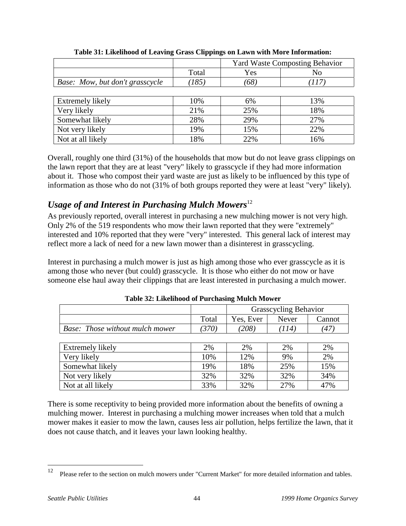|                                 |       | <b>Yard Waste Composting Behavior</b> |       |
|---------------------------------|-------|---------------------------------------|-------|
|                                 | Total | Yes                                   | No    |
| Base: Mow, but don't grasscycle | (185) | (68)                                  | (117) |
|                                 |       |                                       |       |
| Extremely likely                | 10%   | 6%                                    | 13%   |
| Very likely                     | 21%   | 25%                                   | 18%   |
| Somewhat likely                 | 28%   | 29%                                   | 27%   |
| Not very likely                 | 19%   | 15%                                   | 22%   |
| Not at all likely               | 18%   | 22%                                   | 16%   |

**Table 31: Likelihood of Leaving Grass Clippings on Lawn with More Information:**

Overall, roughly one third (31%) of the households that mow but do not leave grass clippings on the lawn report that they are at least "very" likely to grasscycle if they had more information about it. Those who compost their yard waste are just as likely to be influenced by this type of information as those who do not (31% of both groups reported they were at least "very" likely).

## *Usage of and Interest in Purchasing Mulch Mowers*<sup>12</sup>

As previously reported, overall interest in purchasing a new mulching mower is not very high. Only 2% of the 519 respondents who mow their lawn reported that they were "extremely" interested and 10% reported that they were "very" interested. This general lack of interest may reflect more a lack of need for a new lawn mower than a disinterest in grasscycling.

Interest in purchasing a mulch mower is just as high among those who ever grasscycle as it is among those who never (but could) grasscycle. It is those who either do not mow or have someone else haul away their clippings that are least interested in purchasing a mulch mower.

|                                        |                 | <b>Grasscycling Behavior</b> |       |        |
|----------------------------------------|-----------------|------------------------------|-------|--------|
|                                        | Total           | Yes, Ever                    | Never | Cannot |
| <b>Base:</b> Those without mulch mower | 370)            | (208)                        | (114) | 4      |
|                                        |                 |                              |       |        |
| l Extremely likely                     | 20 <sub>0</sub> | 20 <sub>0</sub>              | 2%    | 7%     |

**Table 32: Likelihood of Purchasing Mulch Mower**

| Extremely likely  | 2%  | 2%  | 2%  | 2%  |
|-------------------|-----|-----|-----|-----|
| Very likely       | 10% | 12% | 9%  | 2%  |
| Somewhat likely   | 19% | 18% | 25% | 15% |
| Not very likely   | 32% | 32% | 32% | 34% |
| Not at all likely | 33% | 32% | 27% | 47% |

There is some receptivity to being provided more information about the benefits of owning a mulching mower. Interest in purchasing a mulching mower increases when told that a mulch mower makes it easier to mow the lawn, causes less air pollution, helps fertilize the lawn, that it does not cause thatch, and it leaves your lawn looking healthy.

 $\overline{a}$ 

<sup>&</sup>lt;sup>12</sup> Please refer to the section on mulch mowers under "Current Market" for more detailed information and tables.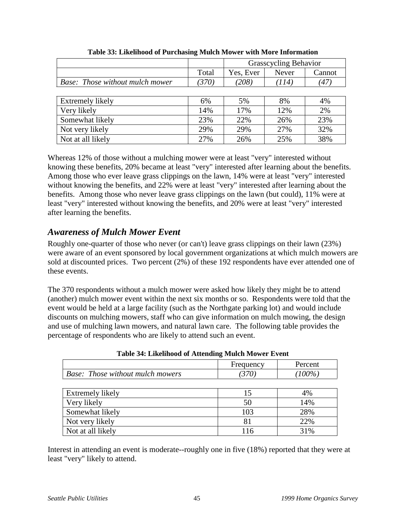|                                 |       | <b>Grasscycling Behavior</b> |       |                    |
|---------------------------------|-------|------------------------------|-------|--------------------|
|                                 | Total | Yes, Ever                    | Never | Cannot             |
| Base: Those without mulch mower | (370) | (208)                        | (114) | $\left( 47\right)$ |
|                                 |       |                              |       |                    |
| Extremely likely                | 6%    | 5%                           | 8%    | 4%                 |
| Very likely                     | 14%   | 17%                          | 12%   | 2%                 |
| Somewhat likely                 | 23%   | 22%                          | 26%   | 23%                |
| Not very likely                 | 29%   | 29%                          | 27%   | 32%                |
| Not at all likely               | 27%   | 26%                          | 25%   | 38%                |

**Table 33: Likelihood of Purchasing Mulch Mower with More Information**

Whereas 12% of those without a mulching mower were at least "very" interested without knowing these benefits, 20% became at least "very" interested after learning about the benefits. Among those who ever leave grass clippings on the lawn, 14% were at least "very" interested without knowing the benefits, and 22% were at least "very" interested after learning about the benefits. Among those who never leave grass clippings on the lawn (but could), 11% were at least "very" interested without knowing the benefits, and 20% were at least "very" interested after learning the benefits.

## *Awareness of Mulch Mower Event*

Roughly one-quarter of those who never (or can't) leave grass clippings on their lawn (23%) were aware of an event sponsored by local government organizations at which mulch mowers are sold at discounted prices. Two percent (2%) of these 192 respondents have ever attended one of these events.

The 370 respondents without a mulch mower were asked how likely they might be to attend (another) mulch mower event within the next six months or so. Respondents were told that the event would be held at a large facility (such as the Northgate parking lot) and would include discounts on mulching mowers, staff who can give information on mulch mowing, the design and use of mulching lawn mowers, and natural lawn care. The following table provides the percentage of respondents who are likely to attend such an event.

|                                         | Frequency | Percent   |
|-----------------------------------------|-----------|-----------|
| <b>Base:</b> Those without mulch mowers | (370)     | $(100\%)$ |
|                                         |           |           |
| <b>Extremely likely</b>                 | 15        | 4%        |
| Very likely                             | 50        | 14%       |
| Somewhat likely                         | 103       | 28%       |
| Not very likely                         | 81        | 22%       |
| Not at all likely                       |           | 31%       |

**Table 34: Likelihood of Attending Mulch Mower Event**

Interest in attending an event is moderate--roughly one in five (18%) reported that they were at least "very" likely to attend.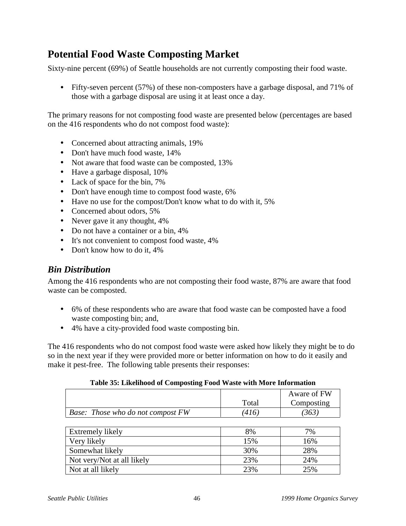## **Potential Food Waste Composting Market**

Sixty-nine percent (69%) of Seattle households are not currently composting their food waste.

• Fifty-seven percent (57%) of these non-composters have a garbage disposal, and 71% of those with a garbage disposal are using it at least once a day.

The primary reasons for not composting food waste are presented below (percentages are based on the 416 respondents who do not compost food waste):

- Concerned about attracting animals, 19%
- Don't have much food waste, 14%
- Not aware that food waste can be composted, 13%
- Have a garbage disposal,  $10\%$
- Lack of space for the bin, 7%
- Don't have enough time to compost food waste, 6%
- Have no use for the compost/Don't know what to do with it, 5%
- Concerned about odors, 5%
- Never gave it any thought,  $4\%$
- Do not have a container or a bin, 4%
- It's not convenient to compost food waste, 4%
- Don't know how to do it, 4%

### *Bin Distribution*

Among the 416 respondents who are not composting their food waste, 87% are aware that food waste can be composted.

- 6% of these respondents who are aware that food waste can be composted have a food waste composting bin; and,
- 4% have a city-provided food waste composting bin.

The 416 respondents who do not compost food waste were asked how likely they might be to do so in the next year if they were provided more or better information on how to do it easily and make it pest-free. The following table presents their responses:

|                                   |       | Aware of FW |
|-----------------------------------|-------|-------------|
|                                   | Total | Composting  |
| Base: Those who do not compost FW | 416   |             |

**Table 35: Likelihood of Composting Food Waste with More Information**

| Extremely likely           | 8%  | 7%  |
|----------------------------|-----|-----|
| Very likely                | 15% | 16% |
| Somewhat likely            | 30% | 28% |
| Not very/Not at all likely | 23% | 24% |
| Not at all likely          | 23% | 25% |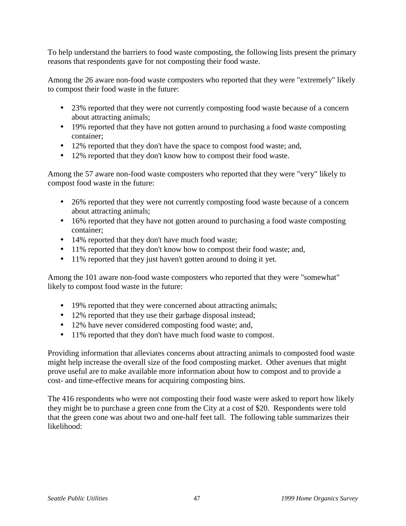To help understand the barriers to food waste composting, the following lists present the primary reasons that respondents gave for not composting their food waste.

Among the 26 aware non-food waste composters who reported that they were "extremely" likely to compost their food waste in the future:

- 23% reported that they were not currently composting food waste because of a concern about attracting animals;
- 19% reported that they have not gotten around to purchasing a food waste composting container;
- 12% reported that they don't have the space to compost food waste; and,
- 12% reported that they don't know how to compost their food waste.

Among the 57 aware non-food waste composters who reported that they were "very" likely to compost food waste in the future:

- 26% reported that they were not currently composting food waste because of a concern about attracting animals;
- 16% reported that they have not gotten around to purchasing a food waste composting container;
- 14% reported that they don't have much food waste;
- 11% reported that they don't know how to compost their food waste; and,
- 11% reported that they just haven't gotten around to doing it yet.

Among the 101 aware non-food waste composters who reported that they were "somewhat" likely to compost food waste in the future:

- 19% reported that they were concerned about attracting animals;
- 12% reported that they use their garbage disposal instead;
- 12% have never considered composting food waste; and,
- 11% reported that they don't have much food waste to compost.

Providing information that alleviates concerns about attracting animals to composted food waste might help increase the overall size of the food composting market. Other avenues that might prove useful are to make available more information about how to compost and to provide a cost- and time-effective means for acquiring composting bins.

The 416 respondents who were not composting their food waste were asked to report how likely they might be to purchase a green cone from the City at a cost of \$20. Respondents were told that the green cone was about two and one-half feet tall. The following table summarizes their likelihood: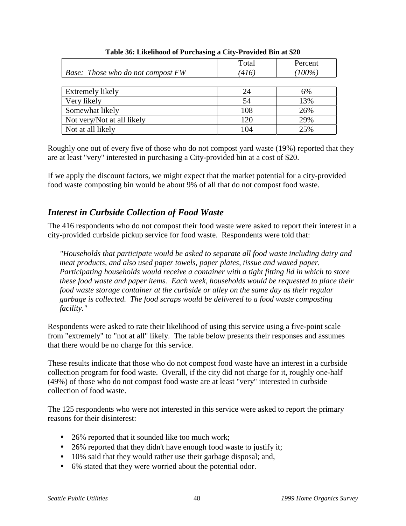|                                          | Total | Percent   |
|------------------------------------------|-------|-----------|
| <b>Base:</b> Those who do not compost FW | 416)  | $(100\%)$ |
|                                          |       |           |
| Extremely likely                         | 24    | 6%        |
| Very likely                              | 54    | 13%       |
| Somewhat likely                          | 108   | 26%       |
| Not very/Not at all likely               | 120   | 29%       |
| Not at all likely                        | 104   | 25%       |

#### **Table 36: Likelihood of Purchasing a City-Provided Bin at \$20**

Roughly one out of every five of those who do not compost yard waste (19%) reported that they are at least "very" interested in purchasing a City-provided bin at a cost of \$20.

If we apply the discount factors, we might expect that the market potential for a city-provided food waste composting bin would be about 9% of all that do not compost food waste.

## *Interest in Curbside Collection of Food Waste*

The 416 respondents who do not compost their food waste were asked to report their interest in a city-provided curbside pickup service for food waste. Respondents were told that:

*"Households that participate would be asked to separate all food waste including dairy and meat products, and also used paper towels, paper plates, tissue and waxed paper. Participating households would receive a container with a tight fitting lid in which to store these food waste and paper items. Each week, households would be requested to place their food waste storage container at the curbside or alley on the same day as their regular garbage is collected. The food scraps would be delivered to a food waste composting facility."*

Respondents were asked to rate their likelihood of using this service using a five-point scale from "extremely" to "not at all" likely. The table below presents their responses and assumes that there would be no charge for this service.

These results indicate that those who do not compost food waste have an interest in a curbside collection program for food waste. Overall, if the city did not charge for it, roughly one-half (49%) of those who do not compost food waste are at least "very" interested in curbside collection of food waste.

The 125 respondents who were not interested in this service were asked to report the primary reasons for their disinterest:

- 26% reported that it sounded like too much work;
- 26% reported that they didn't have enough food waste to justify it;
- 10% said that they would rather use their garbage disposal; and,
- 6% stated that they were worried about the potential odor.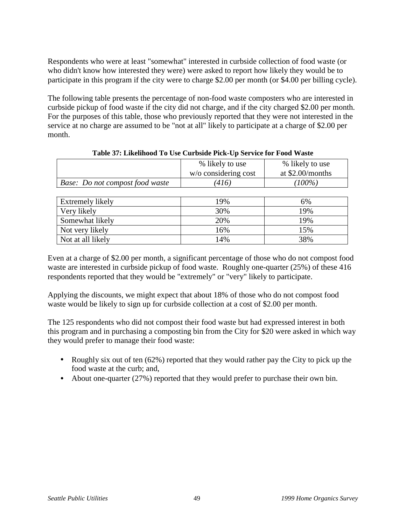Respondents who were at least "somewhat" interested in curbside collection of food waste (or who didn't know how interested they were) were asked to report how likely they would be to participate in this program if the city were to charge \$2.00 per month (or \$4.00 per billing cycle).

The following table presents the percentage of non-food waste composters who are interested in curbside pickup of food waste if the city did not charge, and if the city charged \$2.00 per month. For the purposes of this table, those who previously reported that they were not interested in the service at no charge are assumed to be "not at all" likely to participate at a charge of \$2.00 per month.

|                                 | % likely to use      | % likely to use  |
|---------------------------------|----------------------|------------------|
|                                 | w/o considering cost | at \$2.00/months |
| Base: Do not compost food waste | 416)                 | $(100\%)$        |
|                                 |                      |                  |
| Extremely likely                | 19%                  | 6%               |
| Very likely                     | 30%                  | 19%              |
| Somewhat likely                 | 20%                  | 19%              |
| Not very likely                 | 16%                  | 15%              |

Even at a charge of \$2.00 per month, a significant percentage of those who do not compost food waste are interested in curbside pickup of food waste. Roughly one-quarter (25%) of these 416 respondents reported that they would be "extremely" or "very" likely to participate.

Applying the discounts, we might expect that about 18% of those who do not compost food waste would be likely to sign up for curbside collection at a cost of \$2.00 per month.

Not at all likely 14% 14% 38%

The 125 respondents who did not compost their food waste but had expressed interest in both this program and in purchasing a composting bin from the City for \$20 were asked in which way they would prefer to manage their food waste:

- Roughly six out of ten (62%) reported that they would rather pay the City to pick up the food waste at the curb; and,
- About one-quarter (27%) reported that they would prefer to purchase their own bin.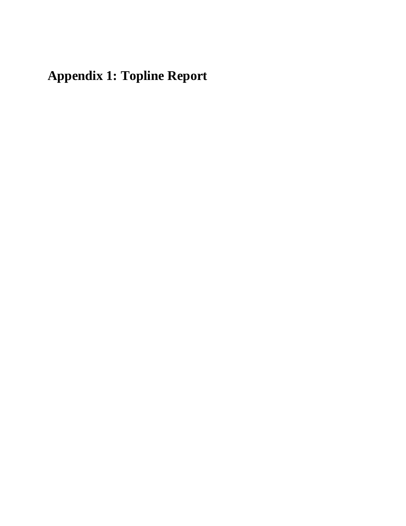# **Appendix 1: Topline Report**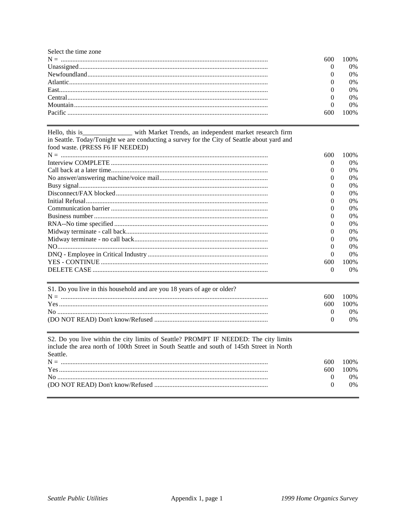Select the time zone 600  $\mathbf{0}$  $\overline{0}$  $\Omega$  $\overline{0}$  $\mathbf{0}$  $\mathbf{0}$ 600

| Hello, this is__________________ with Market Trends, an independent market research firm               |          |       |
|--------------------------------------------------------------------------------------------------------|----------|-------|
| in Seattle. Today/Tonight we are conducting a survey for the City of Seattle about yard and            |          |       |
| food waste. (PRESS F6 IF NEEDED)                                                                       |          |       |
|                                                                                                        | 600      | 100%  |
|                                                                                                        | $\theta$ | $0\%$ |
|                                                                                                        | $\theta$ | 0%    |
|                                                                                                        | $\theta$ | 0%    |
|                                                                                                        | $^{(1)}$ | 0%    |
|                                                                                                        | 0        | 0%    |
|                                                                                                        | $\theta$ | 0%    |
|                                                                                                        | $\Omega$ | 0%    |
|                                                                                                        | 0        | 0%    |
|                                                                                                        | $\Omega$ | 0%    |
|                                                                                                        | 0        | 0%    |
|                                                                                                        | 0        | $0\%$ |
|                                                                                                        | $\theta$ | 0%    |
|                                                                                                        | 0        | 0%    |
|                                                                                                        | 600      | 100%  |
|                                                                                                        | $\Omega$ | $0\%$ |
| S1. Do you live in this household and are you 18 years of age or older?                                |          |       |
|                                                                                                        | 600      | 100%  |
|                                                                                                        | 600      | 100%  |
|                                                                                                        | $\theta$ | $0\%$ |
|                                                                                                        | $\theta$ | 0%    |
| S2. Do you live within the city limits of Seattle? PROMPT IF NEEDED: The city limits                   |          |       |
| include the area north of 100th Street in South Seattle and south of 145th Street in North<br>Seattle. |          |       |
|                                                                                                        | 600      | 100%  |
|                                                                                                        | 600      | 100%  |
|                                                                                                        | $\theta$ | 0%    |
|                                                                                                        |          |       |

 $\overline{0}$ 

 $0\%$ 

100%

0%

0%

0%

0%

 $0\%$ 

0%

100%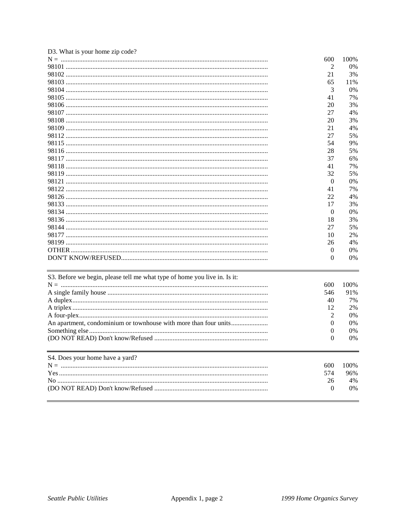| D3. What is your home zip code?                                           |                  |      |
|---------------------------------------------------------------------------|------------------|------|
|                                                                           | 600              | 100% |
|                                                                           | 2                | 0%   |
|                                                                           | 21               | 3%   |
|                                                                           | 65               | 11%  |
|                                                                           | 3                | 0%   |
|                                                                           | 41               | 7%   |
|                                                                           | 20               | 3%   |
|                                                                           | 27               | 4%   |
|                                                                           | 20               | 3%   |
|                                                                           | 21               | 4%   |
|                                                                           | 27               | 5%   |
|                                                                           | 54               | 9%   |
|                                                                           | 28               | 5%   |
|                                                                           | 37               | 6%   |
|                                                                           | 41               | 7%   |
|                                                                           | 32               | 5%   |
|                                                                           | $\theta$         | 0%   |
|                                                                           | 41               | 7%   |
|                                                                           | 22               | 4%   |
|                                                                           | 17               | 3%   |
|                                                                           | $\boldsymbol{0}$ | 0%   |
|                                                                           | 18               | 3%   |
|                                                                           | 27               | 5%   |
|                                                                           | 10               | 2%   |
|                                                                           | 26               | 4%   |
|                                                                           | $\theta$         | 0%   |
|                                                                           | $\theta$         | 0%   |
| S3. Before we begin, please tell me what type of home you live in. Is it: |                  |      |
|                                                                           | 600              | 100% |
|                                                                           | 546              | 91%  |
|                                                                           | 40               | 7%   |
|                                                                           | 12               | 2%   |
|                                                                           | 2                | 0%   |
|                                                                           | $\mathbf{0}$     | 0%   |
|                                                                           | 0                | 0%   |
|                                                                           | 0                | 0%   |
| S4. Does your home have a yard?                                           |                  |      |
|                                                                           | 600              | 100% |
|                                                                           | 574              | 96%  |
|                                                                           | 26               | 4%   |
|                                                                           | $\overline{0}$   | 0%   |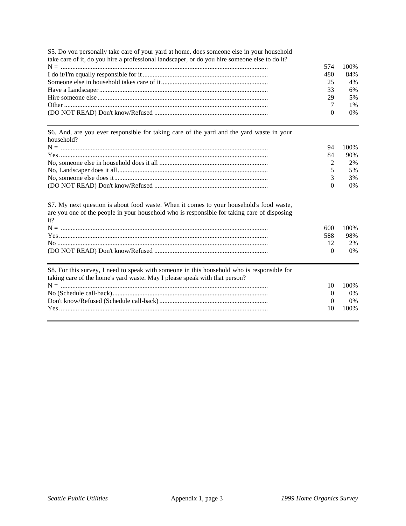S5. Do you personally take care of your yard at home, does someone else in your household

| take care of it, do you hire a professional landscaper, or do you hire someone else to do it? |     |       |
|-----------------------------------------------------------------------------------------------|-----|-------|
|                                                                                               | 574 | 100%  |
|                                                                                               | 480 | 84%   |
|                                                                                               | 25  | 4%    |
|                                                                                               | 33  | 6%    |
|                                                                                               | 29  | 5%    |
|                                                                                               |     | $1\%$ |
|                                                                                               |     | $0\%$ |

S6. And, are you ever responsible for taking care of the yard and the yard waste in your household?

| 94       | 100%  |
|----------|-------|
| 84       | 90%   |
|          | 2%    |
|          | 5%    |
|          | 3%    |
| $\Omega$ | $0\%$ |
|          |       |

| S7. My next question is about food waste. When it comes to your household's food waste,<br>are you one of the people in your household who is responsible for taking care of disposing<br>it? |          |       |
|-----------------------------------------------------------------------------------------------------------------------------------------------------------------------------------------------|----------|-------|
|                                                                                                                                                                                               | 600      | 100\% |
|                                                                                                                                                                                               | 588      | 98%   |
|                                                                                                                                                                                               | 12       | 2%    |
|                                                                                                                                                                                               | $\Omega$ | $0\%$ |
| S8. For this survey, I need to speak with someone in this household who is responsible for<br>taking care of the home's yard waste. May I please speak with that person?                      | 10       | 100%  |
|                                                                                                                                                                                               | $\theta$ | $0\%$ |
|                                                                                                                                                                                               | 0        | $0\%$ |
|                                                                                                                                                                                               | 10       | 100\% |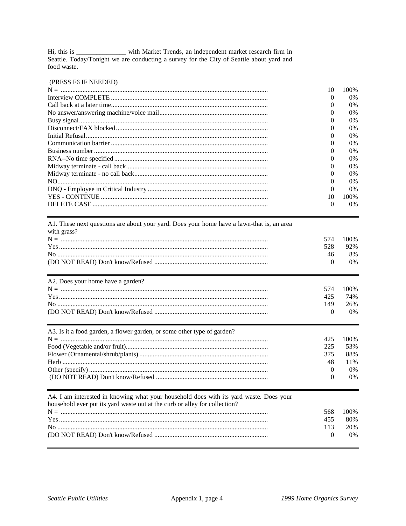Hi, this is \_\_\_\_\_\_\_\_\_\_\_\_ with Market Trends, an independent market research firm in<br>Seattle. Today/Tonight we are conducting a survey for the City of Seattle about yard and food waste.

#### (PRESS F6 IF NEEDED)

| 10       | 100\% |
|----------|-------|
| $\Omega$ | $0\%$ |
|          | $0\%$ |
|          | $0\%$ |
|          | $0\%$ |
|          | $0\%$ |
|          | $0\%$ |
|          | $0\%$ |
|          | $0\%$ |
|          | $0\%$ |
|          | $0\%$ |
|          | $0\%$ |
|          | $0\%$ |
| $\Omega$ | $0\%$ |
| 10       | 100%  |
| 0        | $0\%$ |

| A1. These next questions are about your yard. Does your home have a lawn-that is, an area |          |       |
|-------------------------------------------------------------------------------------------|----------|-------|
| with grass?                                                                               |          |       |
|                                                                                           | 574      | 100\% |
|                                                                                           | 528      | 92%   |
|                                                                                           | 46       | 8%    |
|                                                                                           | $\theta$ | 0%    |
| A2. Does your home have a garden?                                                         |          |       |
|                                                                                           | 574      | 100\% |
|                                                                                           | 425      | 74%   |
|                                                                                           | 149      | 26%   |
|                                                                                           | $\Omega$ | 0%    |
| A3. Is it a food garden, a flower garden, or some other type of garden?                   |          |       |
|                                                                                           | 425      | 100%  |
|                                                                                           | 225      | 53%   |
|                                                                                           | 375      | 88%   |
|                                                                                           | 48       | 11%   |
|                                                                                           | $\theta$ | 0%    |
|                                                                                           | $\Omega$ | 0%    |
| A4. I am interested in knowing what your household does with its yard waste. Does your    |          |       |
| household ever put its yard waste out at the curb or alley for collection?                |          |       |
|                                                                                           | 568      | 100%  |
|                                                                                           | 455      | 80%   |
|                                                                                           | 113      | 20%   |
|                                                                                           | $\theta$ | 0%    |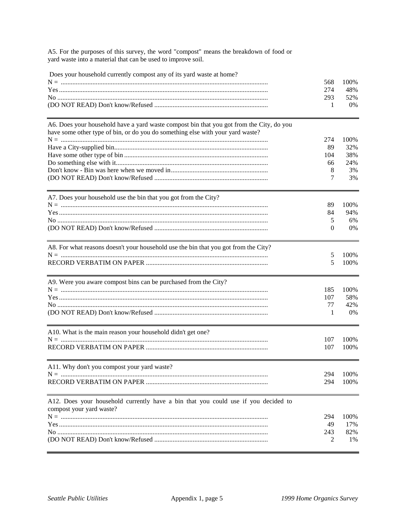A5. For the purposes of this survey, the word "compost" means the breakdown of food or yard waste into a material that can be used to improve soil.

| Does your household currently compost any of its yard waste at home?                                                                                                       | 568<br>274 | 100%<br>48% |
|----------------------------------------------------------------------------------------------------------------------------------------------------------------------------|------------|-------------|
|                                                                                                                                                                            | 293<br>1   | 52%<br>0%   |
| A6. Does your household have a yard waste compost bin that you got from the City, do you<br>have some other type of bin, or do you do something else with your yard waste? |            |             |
|                                                                                                                                                                            | 274        | 100%        |
|                                                                                                                                                                            | 89         | 32%         |
|                                                                                                                                                                            | 104        | 38%         |
|                                                                                                                                                                            | 66         | 24%         |
|                                                                                                                                                                            | 8          | 3%          |
|                                                                                                                                                                            | 7          | 3%          |
| A7. Does your household use the bin that you got from the City?                                                                                                            |            |             |
|                                                                                                                                                                            | 89         | 100%        |
|                                                                                                                                                                            | 84         | 94%         |
|                                                                                                                                                                            | 5          | 6%          |
|                                                                                                                                                                            | 0          | $0\%$       |
| A8. For what reasons doesn't your household use the bin that you got from the City?                                                                                        |            |             |
|                                                                                                                                                                            | 5          | 100%        |
|                                                                                                                                                                            | 5          | 100%        |
| A9. Were you aware compost bins can be purchased from the City?                                                                                                            |            |             |
|                                                                                                                                                                            | 185        | 100%        |
|                                                                                                                                                                            | 107        | 58%         |
|                                                                                                                                                                            | 77         | 42%         |
|                                                                                                                                                                            | 1          | 0%          |
| A10. What is the main reason your household didn't get one?                                                                                                                |            |             |
|                                                                                                                                                                            | 107        | 100%        |
|                                                                                                                                                                            | 107        | 100%        |
| A11. Why don't you compost your yard waste?                                                                                                                                |            |             |
|                                                                                                                                                                            | 294        | 100%        |
|                                                                                                                                                                            | 294        | 100%        |
| A12. Does your household currently have a bin that you could use if you decided to<br>compost your yard waste?                                                             |            |             |
|                                                                                                                                                                            | 294        | 100%        |
|                                                                                                                                                                            | 49         | 17%         |
|                                                                                                                                                                            | 243        | 82%         |
|                                                                                                                                                                            | 2          | 1%          |
|                                                                                                                                                                            |            |             |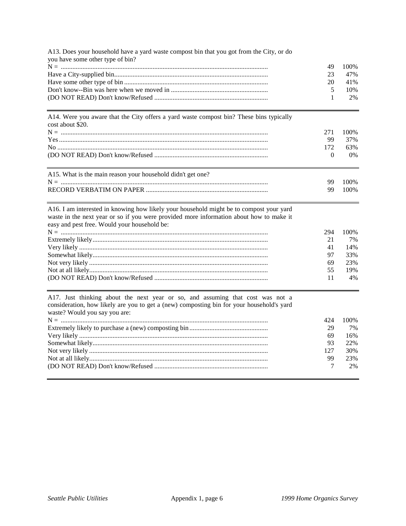| A13. Does your household have a yard waste compost bin that you got from the City, or do |    |      |
|------------------------------------------------------------------------------------------|----|------|
| you have some other type of bin?                                                         |    |      |
|                                                                                          | 49 | 100% |
|                                                                                          | 23 | 47%  |
|                                                                                          | 20 | 41%  |
|                                                                                          |    | 10%  |
|                                                                                          |    | 2%   |

A14. Were you aware that the City offers a yard waste compost bin? These bins typically cost about \$20.

|                                                                                               |     | 100% |
|-----------------------------------------------------------------------------------------------|-----|------|
|                                                                                               | 99  | 37%  |
|                                                                                               | 172 | 63%  |
|                                                                                               |     | 0%   |
|                                                                                               |     |      |
| $A + E$ When $A$ is the set of the set of $A$ is the set of $A + A$ and $A$ is the set of $A$ |     |      |

| Al 3. What is the main reason your nousehold didn't get one? |         |
|--------------------------------------------------------------|---------|
|                                                              | 99 100% |
|                                                              | 99 100% |
|                                                              |         |

A16. I am interested in knowing how likely your household might be to compost your yard waste in the next year or so if you were provided more information about how to make it easy and pest free. Would your household be:  $N = 1$ 

|     | 7%    |
|-----|-------|
|     | 14%   |
|     | 33%   |
|     | 23%   |
| 55. | 19%   |
|     | $4\%$ |

A17. Just thinking about the next year or so, and assuming that cost was not a consideration, how likely are you to get a (new) composting bin for your household's yard waste? Would you say you are:

| 424 | 100% |
|-----|------|
| 29  | 7%   |
| 69  | 16%  |
| 93  | 22%  |
| 127 | 30%  |
| 99  | 23%  |
|     | 2%   |
|     |      |

294 100%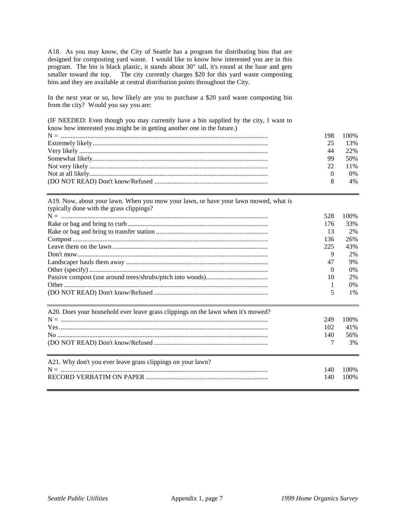A18. As you may know, the City of Seattle has a program for distributing bins that are designed for composting yard waste. I would like to know how interested you are in this program. The bin is black plastic, it stands about 30" tall, it's round at the base and gets smaller toward the top. The city currently charges \$20 for this yard waste composting bins and they are available at central distribution points throughout the City.

In the next year or so, how likely are you to purchase a \$20 yard waste composting bin from the city? Would you say you are:

(IF NEEDED: Even though you may currently have a bin supplied by the city, I want to know how interested you might be in getting another one in the future.)

|     | 198 100% |
|-----|----------|
| 25. | 13%      |
| 44  | 22\%     |
| 99  | 50%      |
|     | 22 11\%  |
|     | $0\%$    |
|     | 4%       |

A19. Now, about your lawn. When you mow your lawn, or have your lawn mowed, what is typically done with the grass clippings?

|                                                                                  | 528 | 100\% |
|----------------------------------------------------------------------------------|-----|-------|
|                                                                                  | 176 | 33%   |
|                                                                                  | 13  | 2%    |
|                                                                                  | 136 | 26%   |
|                                                                                  | 225 | 43%   |
|                                                                                  | 9   | 2%    |
|                                                                                  | 47  | 9%    |
|                                                                                  | 0   | $0\%$ |
|                                                                                  | 10  | 2%    |
|                                                                                  |     | $0\%$ |
|                                                                                  | 5   | $1\%$ |
|                                                                                  |     |       |
| A20. Does your household ever leave grass clippings on the lawn when it's mowed? |     |       |
|                                                                                  | 249 | 100\% |
|                                                                                  | 102 | 41%   |
|                                                                                  | 140 | 56%   |
|                                                                                  | 7   | 3%    |
| A21. Why don't you ever leave grass clippings on your lawn?                      |     |       |
|                                                                                  | 140 | 100\% |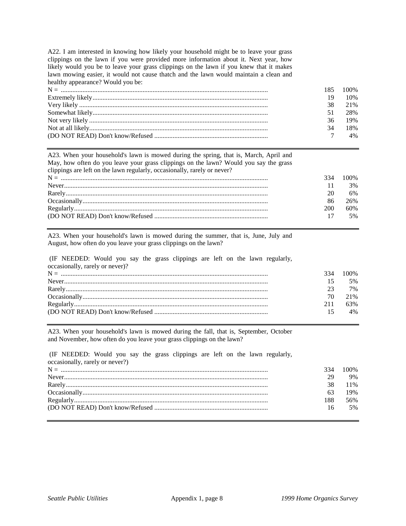A22. I am interested in knowing how likely your household might be to leave your grass clippings on the lawn if you were provided more information about it. Next year, how likely would you be to leave your grass clippings on the lawn if you knew that it makes lawn mowing easier, it would not cause thatch and the lawn would maintain a clean and healthy appearance? Would you be:

|    | 185 100\% |
|----|-----------|
| 19 | 10%       |
| 38 | 2.1%      |
| 51 | 28%       |
| 36 | 19%       |
| 34 | 18%       |
|    | $4\%$     |

A23. When your household's lawn is mowed during the spring, that is, March, April and May, how often do you leave your grass clippings on the lawn? Would you say the grass clippings are left on the lawn regularly, occasionally, rarely or never?

|     | 334 100\% |
|-----|-----------|
|     | 3%        |
| 20  | 6%        |
| 86  | 26%       |
| 200 | 60%       |
|     | 5%        |
|     |           |

A23. When your household's lawn is mowed during the summer, that is, June, July and August, how often do you leave your grass clippings on the lawn?

 (IF NEEDED: Would you say the grass clippings are left on the lawn regularly, occasionally, rarely or never)?

|     | 334 100\% |
|-----|-----------|
|     | 5%        |
| 23  | 7%        |
| 70  | 2.1%      |
| 211 | 63%       |
|     | 4%        |
|     |           |

A23. When your household's lawn is mowed during the fall, that is, September, October and November, how often do you leave your grass clippings on the lawn?

 (IF NEEDED: Would you say the grass clippings are left on the lawn regularly, occasionally, rarely or never?)

| 334 | 100% |
|-----|------|
| 29  | 9%   |
| 38  | 11\% |
|     | 19%  |
| 188 | 56%  |
| 16  | 5%   |
|     |      |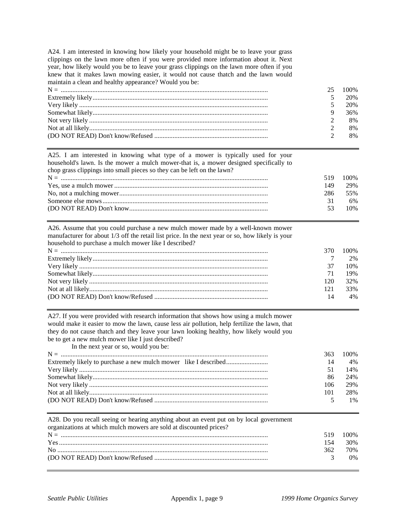A24. I am interested in knowing how likely your household might be to leave your grass clippings on the lawn more often if you were provided more information about it. Next year, how likely would you be to leave your grass clippings on the lawn more often if you knew that it makes lawn mowing easier, it would not cause thatch and the lawn would maintain a clean and healthy appearance? Would you be:

|    | 25 100\% |
|----|----------|
|    | 20%      |
| 5. | 20%      |
|    | 36%      |
|    | 8%       |
|    | 8%       |
|    | 8%       |

A25. I am interested in knowing what type of a mower is typically used for your household's lawn. Is the mower a mulch mower-that is, a mower designed specifically to chop grass clippings into small pieces so they can be left on the lawn?

| 519 | 100% |
|-----|------|
| 149 | 29%  |
| 286 | 55%  |
|     | 6%   |
| 53. | 10%  |
|     |      |

| A26. Assume that you could purchase a new mulch mower made by a well-known mower                 |
|--------------------------------------------------------------------------------------------------|
| manufacturer for about 1/3 off the retail list price. In the next year or so, how likely is your |
| household to purchase a mulch mower like I described?                                            |

|     | 370 100\% |
|-----|-----------|
|     | $2\%$     |
| 37  | 10%       |
| 71  | 19%       |
| 120 | 32%       |
| 121 | 33%       |
| 14  | $4\%$     |

A27. If you were provided with research information that shows how using a mulch mower would make it easier to mow the lawn, cause less air pollution, help fertilize the lawn, that they do not cause thatch and they leave your lawn looking healthy, how likely would you be to get a new mulch mower like I just described?

| In the next year or so, would you be: |     |       |
|---------------------------------------|-----|-------|
|                                       | 363 | 100%  |
|                                       | 14  | $4\%$ |
|                                       | 51  | 14%   |
|                                       | 86  | 24%   |
|                                       | 106 | 29%   |
|                                       | 101 | 28%   |
|                                       |     | $1\%$ |

| A28. Do you recall seeing or hearing anything about an event put on by local government |     |       |
|-----------------------------------------------------------------------------------------|-----|-------|
| organizations at which mulch mowers are sold at discounted prices?                      |     |       |
|                                                                                         | 519 | 100%  |
|                                                                                         | 154 | 30%   |
|                                                                                         | 362 | 70%   |
|                                                                                         |     | $0\%$ |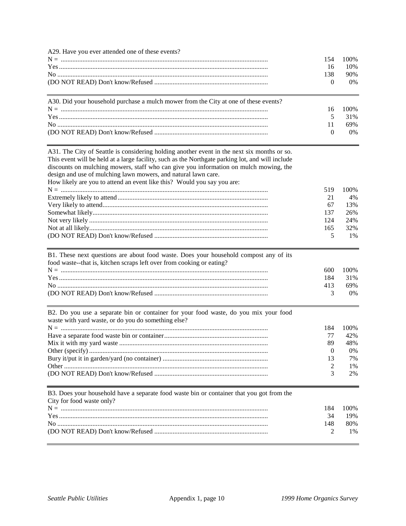| 100%<br>154<br>16<br>10%<br>138<br>90%<br>$\mathbf{0}$<br>0%<br>A30. Did your household purchase a mulch mower from the City at one of these events?<br>100%<br>16<br>5<br>31%<br>11<br>69%<br>$\mathbf{0}$<br>0%<br>A31. The City of Seattle is considering holding another event in the next six months or so.<br>This event will be held at a large facility, such as the Northgate parking lot, and will include<br>discounts on mulching mowers, staff who can give you information on mulch mowing, the<br>design and use of mulching lawn mowers, and natural lawn care.<br>How likely are you to attend an event like this? Would you say you are:<br>519<br>100%<br>21<br>4%<br>67<br>13%<br>137<br>26%<br>124<br>24%<br>165<br>32%<br>5<br>1%<br>B1. These next questions are about food waste. Does your household compost any of its<br>food waste--that is, kitchen scraps left over from cooking or eating?<br>$N = 1$<br>100%<br>600<br>184<br>31%<br>413<br>69%<br>3<br>0%<br>B2. Do you use a separate bin or container for your food waste, do you mix your food<br>waste with yard waste, or do you do something else?<br>100%<br>184<br>77<br>42%<br>89<br>48%<br>$\theta$<br>0%<br>7%<br>13<br>2<br>1%<br>3<br>2%<br>B3. Does your household have a separate food waste bin or container that you got from the<br>City for food waste only?<br>184<br>100%<br>19%<br>34<br>148<br>80%<br>2<br>1% | A29. Have you ever attended one of these events? |  |
|-----------------------------------------------------------------------------------------------------------------------------------------------------------------------------------------------------------------------------------------------------------------------------------------------------------------------------------------------------------------------------------------------------------------------------------------------------------------------------------------------------------------------------------------------------------------------------------------------------------------------------------------------------------------------------------------------------------------------------------------------------------------------------------------------------------------------------------------------------------------------------------------------------------------------------------------------------------------------------------------------------------------------------------------------------------------------------------------------------------------------------------------------------------------------------------------------------------------------------------------------------------------------------------------------------------------------------------------------------------------------------------------------------------------------|--------------------------------------------------|--|
|                                                                                                                                                                                                                                                                                                                                                                                                                                                                                                                                                                                                                                                                                                                                                                                                                                                                                                                                                                                                                                                                                                                                                                                                                                                                                                                                                                                                                       |                                                  |  |
|                                                                                                                                                                                                                                                                                                                                                                                                                                                                                                                                                                                                                                                                                                                                                                                                                                                                                                                                                                                                                                                                                                                                                                                                                                                                                                                                                                                                                       |                                                  |  |
|                                                                                                                                                                                                                                                                                                                                                                                                                                                                                                                                                                                                                                                                                                                                                                                                                                                                                                                                                                                                                                                                                                                                                                                                                                                                                                                                                                                                                       |                                                  |  |
|                                                                                                                                                                                                                                                                                                                                                                                                                                                                                                                                                                                                                                                                                                                                                                                                                                                                                                                                                                                                                                                                                                                                                                                                                                                                                                                                                                                                                       |                                                  |  |
|                                                                                                                                                                                                                                                                                                                                                                                                                                                                                                                                                                                                                                                                                                                                                                                                                                                                                                                                                                                                                                                                                                                                                                                                                                                                                                                                                                                                                       |                                                  |  |
|                                                                                                                                                                                                                                                                                                                                                                                                                                                                                                                                                                                                                                                                                                                                                                                                                                                                                                                                                                                                                                                                                                                                                                                                                                                                                                                                                                                                                       |                                                  |  |
|                                                                                                                                                                                                                                                                                                                                                                                                                                                                                                                                                                                                                                                                                                                                                                                                                                                                                                                                                                                                                                                                                                                                                                                                                                                                                                                                                                                                                       |                                                  |  |
|                                                                                                                                                                                                                                                                                                                                                                                                                                                                                                                                                                                                                                                                                                                                                                                                                                                                                                                                                                                                                                                                                                                                                                                                                                                                                                                                                                                                                       |                                                  |  |
|                                                                                                                                                                                                                                                                                                                                                                                                                                                                                                                                                                                                                                                                                                                                                                                                                                                                                                                                                                                                                                                                                                                                                                                                                                                                                                                                                                                                                       |                                                  |  |
|                                                                                                                                                                                                                                                                                                                                                                                                                                                                                                                                                                                                                                                                                                                                                                                                                                                                                                                                                                                                                                                                                                                                                                                                                                                                                                                                                                                                                       |                                                  |  |
|                                                                                                                                                                                                                                                                                                                                                                                                                                                                                                                                                                                                                                                                                                                                                                                                                                                                                                                                                                                                                                                                                                                                                                                                                                                                                                                                                                                                                       |                                                  |  |
|                                                                                                                                                                                                                                                                                                                                                                                                                                                                                                                                                                                                                                                                                                                                                                                                                                                                                                                                                                                                                                                                                                                                                                                                                                                                                                                                                                                                                       |                                                  |  |
|                                                                                                                                                                                                                                                                                                                                                                                                                                                                                                                                                                                                                                                                                                                                                                                                                                                                                                                                                                                                                                                                                                                                                                                                                                                                                                                                                                                                                       |                                                  |  |
|                                                                                                                                                                                                                                                                                                                                                                                                                                                                                                                                                                                                                                                                                                                                                                                                                                                                                                                                                                                                                                                                                                                                                                                                                                                                                                                                                                                                                       |                                                  |  |
|                                                                                                                                                                                                                                                                                                                                                                                                                                                                                                                                                                                                                                                                                                                                                                                                                                                                                                                                                                                                                                                                                                                                                                                                                                                                                                                                                                                                                       |                                                  |  |
|                                                                                                                                                                                                                                                                                                                                                                                                                                                                                                                                                                                                                                                                                                                                                                                                                                                                                                                                                                                                                                                                                                                                                                                                                                                                                                                                                                                                                       |                                                  |  |
|                                                                                                                                                                                                                                                                                                                                                                                                                                                                                                                                                                                                                                                                                                                                                                                                                                                                                                                                                                                                                                                                                                                                                                                                                                                                                                                                                                                                                       |                                                  |  |
|                                                                                                                                                                                                                                                                                                                                                                                                                                                                                                                                                                                                                                                                                                                                                                                                                                                                                                                                                                                                                                                                                                                                                                                                                                                                                                                                                                                                                       |                                                  |  |
|                                                                                                                                                                                                                                                                                                                                                                                                                                                                                                                                                                                                                                                                                                                                                                                                                                                                                                                                                                                                                                                                                                                                                                                                                                                                                                                                                                                                                       |                                                  |  |
|                                                                                                                                                                                                                                                                                                                                                                                                                                                                                                                                                                                                                                                                                                                                                                                                                                                                                                                                                                                                                                                                                                                                                                                                                                                                                                                                                                                                                       |                                                  |  |
|                                                                                                                                                                                                                                                                                                                                                                                                                                                                                                                                                                                                                                                                                                                                                                                                                                                                                                                                                                                                                                                                                                                                                                                                                                                                                                                                                                                                                       |                                                  |  |
|                                                                                                                                                                                                                                                                                                                                                                                                                                                                                                                                                                                                                                                                                                                                                                                                                                                                                                                                                                                                                                                                                                                                                                                                                                                                                                                                                                                                                       |                                                  |  |
|                                                                                                                                                                                                                                                                                                                                                                                                                                                                                                                                                                                                                                                                                                                                                                                                                                                                                                                                                                                                                                                                                                                                                                                                                                                                                                                                                                                                                       |                                                  |  |
|                                                                                                                                                                                                                                                                                                                                                                                                                                                                                                                                                                                                                                                                                                                                                                                                                                                                                                                                                                                                                                                                                                                                                                                                                                                                                                                                                                                                                       |                                                  |  |
|                                                                                                                                                                                                                                                                                                                                                                                                                                                                                                                                                                                                                                                                                                                                                                                                                                                                                                                                                                                                                                                                                                                                                                                                                                                                                                                                                                                                                       |                                                  |  |
|                                                                                                                                                                                                                                                                                                                                                                                                                                                                                                                                                                                                                                                                                                                                                                                                                                                                                                                                                                                                                                                                                                                                                                                                                                                                                                                                                                                                                       |                                                  |  |
|                                                                                                                                                                                                                                                                                                                                                                                                                                                                                                                                                                                                                                                                                                                                                                                                                                                                                                                                                                                                                                                                                                                                                                                                                                                                                                                                                                                                                       |                                                  |  |
|                                                                                                                                                                                                                                                                                                                                                                                                                                                                                                                                                                                                                                                                                                                                                                                                                                                                                                                                                                                                                                                                                                                                                                                                                                                                                                                                                                                                                       |                                                  |  |
|                                                                                                                                                                                                                                                                                                                                                                                                                                                                                                                                                                                                                                                                                                                                                                                                                                                                                                                                                                                                                                                                                                                                                                                                                                                                                                                                                                                                                       |                                                  |  |
|                                                                                                                                                                                                                                                                                                                                                                                                                                                                                                                                                                                                                                                                                                                                                                                                                                                                                                                                                                                                                                                                                                                                                                                                                                                                                                                                                                                                                       |                                                  |  |
|                                                                                                                                                                                                                                                                                                                                                                                                                                                                                                                                                                                                                                                                                                                                                                                                                                                                                                                                                                                                                                                                                                                                                                                                                                                                                                                                                                                                                       |                                                  |  |
|                                                                                                                                                                                                                                                                                                                                                                                                                                                                                                                                                                                                                                                                                                                                                                                                                                                                                                                                                                                                                                                                                                                                                                                                                                                                                                                                                                                                                       |                                                  |  |
|                                                                                                                                                                                                                                                                                                                                                                                                                                                                                                                                                                                                                                                                                                                                                                                                                                                                                                                                                                                                                                                                                                                                                                                                                                                                                                                                                                                                                       |                                                  |  |
|                                                                                                                                                                                                                                                                                                                                                                                                                                                                                                                                                                                                                                                                                                                                                                                                                                                                                                                                                                                                                                                                                                                                                                                                                                                                                                                                                                                                                       |                                                  |  |
|                                                                                                                                                                                                                                                                                                                                                                                                                                                                                                                                                                                                                                                                                                                                                                                                                                                                                                                                                                                                                                                                                                                                                                                                                                                                                                                                                                                                                       |                                                  |  |
|                                                                                                                                                                                                                                                                                                                                                                                                                                                                                                                                                                                                                                                                                                                                                                                                                                                                                                                                                                                                                                                                                                                                                                                                                                                                                                                                                                                                                       |                                                  |  |
|                                                                                                                                                                                                                                                                                                                                                                                                                                                                                                                                                                                                                                                                                                                                                                                                                                                                                                                                                                                                                                                                                                                                                                                                                                                                                                                                                                                                                       |                                                  |  |
|                                                                                                                                                                                                                                                                                                                                                                                                                                                                                                                                                                                                                                                                                                                                                                                                                                                                                                                                                                                                                                                                                                                                                                                                                                                                                                                                                                                                                       |                                                  |  |
|                                                                                                                                                                                                                                                                                                                                                                                                                                                                                                                                                                                                                                                                                                                                                                                                                                                                                                                                                                                                                                                                                                                                                                                                                                                                                                                                                                                                                       |                                                  |  |
|                                                                                                                                                                                                                                                                                                                                                                                                                                                                                                                                                                                                                                                                                                                                                                                                                                                                                                                                                                                                                                                                                                                                                                                                                                                                                                                                                                                                                       |                                                  |  |
|                                                                                                                                                                                                                                                                                                                                                                                                                                                                                                                                                                                                                                                                                                                                                                                                                                                                                                                                                                                                                                                                                                                                                                                                                                                                                                                                                                                                                       |                                                  |  |
|                                                                                                                                                                                                                                                                                                                                                                                                                                                                                                                                                                                                                                                                                                                                                                                                                                                                                                                                                                                                                                                                                                                                                                                                                                                                                                                                                                                                                       |                                                  |  |
|                                                                                                                                                                                                                                                                                                                                                                                                                                                                                                                                                                                                                                                                                                                                                                                                                                                                                                                                                                                                                                                                                                                                                                                                                                                                                                                                                                                                                       |                                                  |  |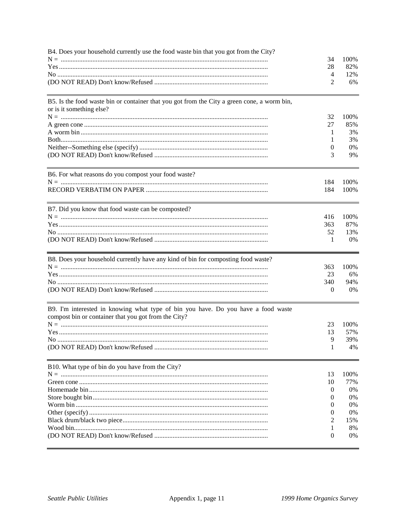| B4. Does your household currently use the food waste bin that you got from the City?                                                      | 34       | 100% |
|-------------------------------------------------------------------------------------------------------------------------------------------|----------|------|
|                                                                                                                                           | 28       | 82%  |
|                                                                                                                                           | 4        | 12%  |
|                                                                                                                                           | 2        | 6%   |
| B5. Is the food waste bin or container that you got from the City a green cone, a worm bin,<br>or is it something else?                   |          |      |
|                                                                                                                                           | 32       | 100% |
|                                                                                                                                           | 27       | 85%  |
|                                                                                                                                           | 1        | 3%   |
|                                                                                                                                           | 1        | 3%   |
|                                                                                                                                           | 0        | 0%   |
|                                                                                                                                           | 3        | 9%   |
| B6. For what reasons do you compost your food waste?                                                                                      |          |      |
|                                                                                                                                           | 184      | 100% |
|                                                                                                                                           | 184      | 100% |
| B7. Did you know that food waste can be composted?                                                                                        |          |      |
|                                                                                                                                           | 416      | 100% |
|                                                                                                                                           | 363      | 87%  |
|                                                                                                                                           | 52       | 13%  |
|                                                                                                                                           | 1        | 0%   |
| B8. Does your household currently have any kind of bin for composting food waste?                                                         |          |      |
|                                                                                                                                           | 363      | 100% |
|                                                                                                                                           | 23       | 6%   |
|                                                                                                                                           | 340      | 94%  |
|                                                                                                                                           | $\theta$ | 0%   |
| B9. I'm interested in knowing what type of bin you have. Do you have a food waste<br>compost bin or container that you got from the City? |          |      |
|                                                                                                                                           | 23       | 100% |
|                                                                                                                                           | 13       | 57%  |
|                                                                                                                                           | 9        | 39%  |
|                                                                                                                                           | 1        | 4%   |
| B10. What type of bin do you have from the City?                                                                                          |          |      |
|                                                                                                                                           | 13       | 100% |
|                                                                                                                                           | 10       | 77%  |
|                                                                                                                                           | $\theta$ | 0%   |
|                                                                                                                                           | 0        | 0%   |
|                                                                                                                                           | 0        | 0%   |
|                                                                                                                                           | 0        | 0%   |
|                                                                                                                                           | 2        | 15%  |
|                                                                                                                                           | 1        | 8%   |
|                                                                                                                                           | 0        | 0%   |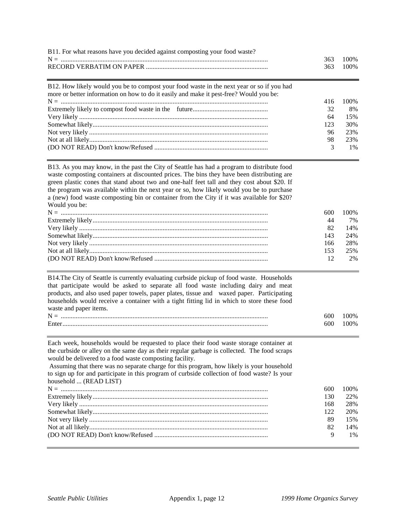| B11. For what reasons have you decided against composting your food waste? |           |  |
|----------------------------------------------------------------------------|-----------|--|
|                                                                            | 363 100\% |  |
|                                                                            | 363 100\% |  |

| B12. How likely would you be to compost your food waste in the next year or so if you had<br>more or better information on how to do it easily and make it pest-free? Would you be: |      |       |
|-------------------------------------------------------------------------------------------------------------------------------------------------------------------------------------|------|-------|
|                                                                                                                                                                                     | 416  | 100%  |
|                                                                                                                                                                                     | 32   | -8%   |
|                                                                                                                                                                                     | 64   | 15%   |
|                                                                                                                                                                                     | 123. | 30%   |
|                                                                                                                                                                                     | 96   | 23%   |
|                                                                                                                                                                                     | 98   | 23%   |
|                                                                                                                                                                                     |      | $1\%$ |

B13. As you may know, in the past the City of Seattle has had a program to distribute food waste composting containers at discounted prices. The bins they have been distributing are green plastic cones that stand about two and one-half feet tall and they cost about \$20. If the program was available within the next year or so, how likely would you be to purchase a (new) food waste composting bin or container from the City if it was available for \$20? Would you be:

| 600  | 100%   |
|------|--------|
| 44   | 7%     |
| 82   | $14\%$ |
| 143  | 24%    |
| 166  | 28%    |
| 153. | 25%    |
|      | 2%     |

B14.The City of Seattle is currently evaluating curbside pickup of food waste. Households that participate would be asked to separate all food waste including dairy and meat products, and also used paper towels, paper plates, tissue and waxed paper. Participating households would receive a container with a tight fitting lid in which to store these food waste and paper items.

| N     | 50O | $(00\%$ |
|-------|-----|---------|
| Ente. | 600 | $(00\%$ |

Each week, households would be requested to place their food waste storage container at the curbside or alley on the same day as their regular garbage is collected. The food scraps would be delivered to a food waste composting facility. Assuming that there was no separate charge for this program, how likely is your household

to sign up for and participate in this program of curbside collection of food waste? Is your household ... (READ LIST) N = ............................................................................................................................ 600 100% Extremely likely......................................................................................................... 130 22%

| 168  | 28%   |
|------|-------|
| 122. | 20%   |
|      | 15%   |
| 82   | 14%   |
|      | $1\%$ |
|      |       |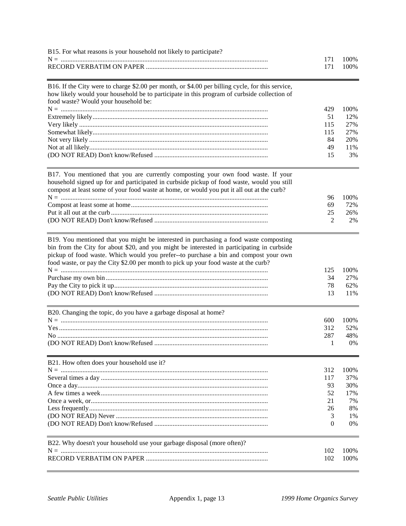| B15. For what reasons is your household not likely to participate?                                                                                                                                                                                                            |                       |                           |
|-------------------------------------------------------------------------------------------------------------------------------------------------------------------------------------------------------------------------------------------------------------------------------|-----------------------|---------------------------|
|                                                                                                                                                                                                                                                                               | 171<br>171            | 100%<br>100%              |
| B16. If the City were to charge \$2.00 per month, or \$4.00 per billing cycle, for this service,<br>how likely would your household be to participate in this program of curbside collection of<br>food waste? Would your household be:                                       |                       |                           |
|                                                                                                                                                                                                                                                                               | 429                   | 100%                      |
|                                                                                                                                                                                                                                                                               | 51                    | 12%                       |
|                                                                                                                                                                                                                                                                               | 115                   | 27%                       |
|                                                                                                                                                                                                                                                                               | 115                   | 27%                       |
|                                                                                                                                                                                                                                                                               | 84                    | 20%                       |
|                                                                                                                                                                                                                                                                               | 49                    | 11%                       |
|                                                                                                                                                                                                                                                                               | 15                    | 3%                        |
| B17. You mentioned that you are currently composting your own food waste. If your<br>household signed up for and participated in curbside pickup of food waste, would you still<br>compost at least some of your food waste at home, or would you put it all out at the curb? | 96                    | 100%                      |
|                                                                                                                                                                                                                                                                               | 69                    | 72%                       |
|                                                                                                                                                                                                                                                                               | 25                    | 26%                       |
|                                                                                                                                                                                                                                                                               | 2                     | 2%                        |
| bin from the City for about \$20, and you might be interested in participating in curbside<br>pickup of food waste. Which would you prefer--to purchase a bin and compost your own<br>food waste, or pay the City \$2.00 per month to pick up your food waste at the curb?    | 125<br>34<br>78<br>13 | 100%<br>27%<br>62%<br>11% |
| B20. Changing the topic, do you have a garbage disposal at home?                                                                                                                                                                                                              |                       |                           |
|                                                                                                                                                                                                                                                                               | 600                   | 100%                      |
|                                                                                                                                                                                                                                                                               | 312                   | 52%                       |
|                                                                                                                                                                                                                                                                               | 287                   | 48%                       |
|                                                                                                                                                                                                                                                                               | 1                     | 0%                        |
| B21. How often does your household use it?                                                                                                                                                                                                                                    |                       |                           |
|                                                                                                                                                                                                                                                                               | 312                   | 100%                      |
|                                                                                                                                                                                                                                                                               | 117                   | 37%                       |
|                                                                                                                                                                                                                                                                               | 93                    | 30%                       |
|                                                                                                                                                                                                                                                                               | 52                    | 17%                       |
|                                                                                                                                                                                                                                                                               | 21                    | 7%                        |
|                                                                                                                                                                                                                                                                               | 26                    | 8%<br>1%                  |
|                                                                                                                                                                                                                                                                               | 3<br>0                | 0%                        |
| B22. Why doesn't your household use your garbage disposal (more often)?                                                                                                                                                                                                       |                       |                           |
|                                                                                                                                                                                                                                                                               | 102                   | 100%                      |
|                                                                                                                                                                                                                                                                               | 102                   | 100%                      |
|                                                                                                                                                                                                                                                                               |                       |                           |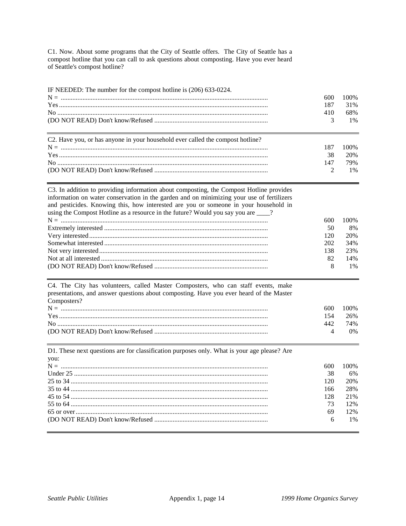C1. Now. About some programs that the City of Seattle offers. The City of Seattle has a compost hotline that you can call to ask questions about composting. Have you ever heard of Seattle's compost hotline?

| IF NEEDED: The number for the compost hotline is (206) 633-0224.               | 600<br>187<br>410<br>3 | 100\%<br>31%<br>68%<br>$1\%$ |
|--------------------------------------------------------------------------------|------------------------|------------------------------|
| C2. Have you, or has anyone in your household ever called the compost hotline? |                        |                              |
|                                                                                | 187                    | 100%                         |
|                                                                                | 38                     | 20%                          |
|                                                                                | 147                    | 79%                          |
|                                                                                |                        | $1\%$                        |

C3. In addition to providing information about composting, the Compost Hotline provides information on water conservation in the garden and on minimizing your use of fertilizers and pesticides. Knowing this, how interested are you or someone in your household in using the Compost Hotline as a resource in the future? Would you say you are \_\_\_?

| 600- | 100%  |
|------|-------|
| 50   | 8%    |
| 120  | 20\%  |
| 202  | 34%   |
| 138  | 23%   |
| 82   | 14%   |
|      | $1\%$ |

C4. The City has volunteers, called Master Composters, who can staff events, make presentations, and answer questions about composting. Have you ever heard of the Master Composters?

| $N =$          | 600 | $^{\prime}$ ( ) ( ) $\%$ |
|----------------|-----|--------------------------|
|                |     | 26%                      |
| N <sub>0</sub> | 442 | 74%                      |
|                |     | 0%                       |

D1. These next questions are for classification purposes only. What is your age please? Are  $you:$ <br> $N =$ 

| 600. | $1111\%$ |
|------|----------|
| 38   | 6%       |
| 120  | 20%      |
| 166  | 28%      |
| 12.8 | 2.1%     |
| 73   | 12%      |
| 69   | 12%      |
| 6    | $1\%$    |
|      |          |

 $100<sub>2</sub>$ 

 $600 - 1000$ 

 $\sim$  0.00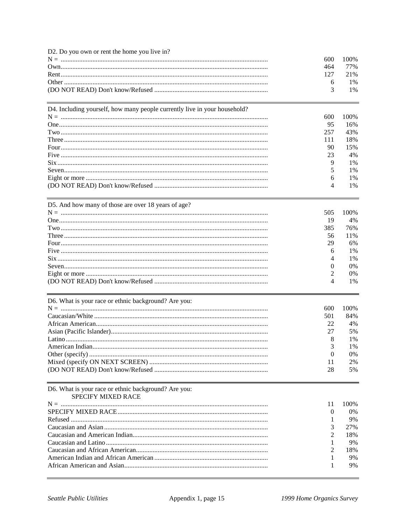| D2. Do you own or rent the home you live in?<br>D4. Including yourself, how many people currently live in your household? | 600<br>464<br>127<br>6<br>3<br>600<br>95<br>257<br>111<br>90<br>23<br>9<br>5<br>6 | 100%<br>77%<br>21%<br>1%<br>1%<br>100%<br>16%<br>43%<br>18%<br>15%<br>4%<br>1%<br>1%<br>1% |
|---------------------------------------------------------------------------------------------------------------------------|-----------------------------------------------------------------------------------|--------------------------------------------------------------------------------------------|
|                                                                                                                           | 4                                                                                 | 1%                                                                                         |
| D5. And how many of those are over 18 years of age?                                                                       | 505<br>19<br>385<br>56<br>29<br>6<br>4<br>0<br>2<br>4                             | 100%<br>4%<br>76%<br>11%<br>6%<br>1%<br>1%<br>0%<br>0%<br>1%                               |
| D6. What is your race or ethnic background? Are you:                                                                      | 600<br>501<br>22<br>27<br>8<br>3<br>0<br>11<br>28                                 | 100%<br>84%<br>4%<br>5%<br>1%<br>$1\%$<br>0%<br>2%<br>5%                                   |
| D6. What is your race or ethnic background? Are you:<br><b>SPECIFY MIXED RACE</b><br>$N = 1$                              | 11<br>0<br>1<br>3<br>2<br>1<br>2<br>1<br>1                                        | 100%<br>0%<br>9%<br>27%<br>18%<br>9%<br>18%<br>9%<br>9%                                    |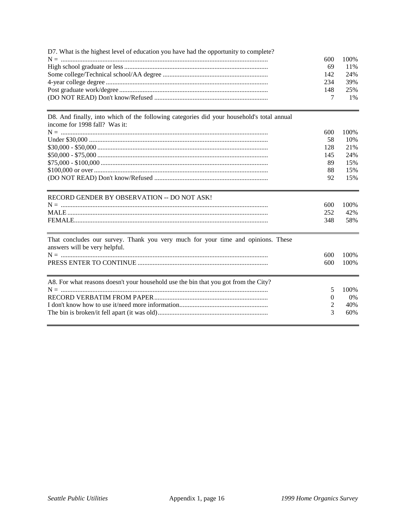| D7. What is the highest level of education you have had the opportunity to complete?                                       | 600<br>69<br>142<br>234<br>148<br>7 | 100%<br>11%<br>24%<br>39%<br>25%<br>1% |
|----------------------------------------------------------------------------------------------------------------------------|-------------------------------------|----------------------------------------|
| D8. And finally, into which of the following categories did your household's total annual<br>income for 1998 fall? Was it: | 600                                 | 100%                                   |
|                                                                                                                            | 58                                  | 10%                                    |
|                                                                                                                            | 128                                 | 21%                                    |
|                                                                                                                            | 145                                 | 24%                                    |
|                                                                                                                            | 89                                  | 15%                                    |
|                                                                                                                            | 88                                  | 15%                                    |
|                                                                                                                            | 92                                  | 15%                                    |
| RECORD GENDER BY OBSERVATION -- DO NOT ASK!                                                                                |                                     |                                        |
|                                                                                                                            | 600                                 | 100%                                   |
|                                                                                                                            | 252                                 | 42%                                    |
|                                                                                                                            | 348                                 | 58%                                    |
| That concludes our survey. Thank you very much for your time and opinions. These<br>answers will be very helpful.          |                                     |                                        |
|                                                                                                                            | 600                                 | 100%                                   |
|                                                                                                                            | 600                                 | 100%                                   |
| A8. For what reasons doesn't your household use the bin that you got from the City?                                        |                                     |                                        |
|                                                                                                                            | 5                                   | 100%                                   |
|                                                                                                                            | 0                                   | $0\%$                                  |
|                                                                                                                            | 2                                   | 40%                                    |
|                                                                                                                            | 3                                   | 60%                                    |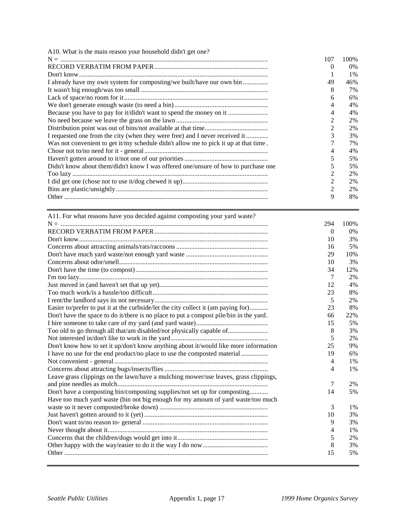| A10. What is the main reason your household didn't get one?                          |                |       |
|--------------------------------------------------------------------------------------|----------------|-------|
|                                                                                      | 107            | 100\% |
|                                                                                      | $\Omega$       | 0%    |
|                                                                                      |                | 1%    |
| I already have my own system for composting/we built/have our own bin                | 49             | 46%   |
|                                                                                      | 8              | 7%    |
|                                                                                      | 6              | 6%    |
|                                                                                      | 4              | 4%    |
| Because you have to pay for it/didn't want to spend the money on it                  | 4              | 4%    |
|                                                                                      | 2              | 2%    |
|                                                                                      | 2              | 2%    |
| I requested one from the city (when they were free) and I never received it          | 3              | 3%    |
| Was not convenient to get it/my schedule didn't allow me to pick it up at that time. |                | 7%    |
|                                                                                      | 4              | 4%    |
|                                                                                      |                | 5%    |
| Didn't know about them/didn't know I was offered one/unsure of how to purchase one   |                | 5%    |
|                                                                                      | 2              | 2%    |
|                                                                                      | 2              | 2%    |
|                                                                                      | $\mathfrak{D}$ | 2%    |
|                                                                                      | 9              | 8%    |

| A11. For what reasons have you decided against composting your yard waste?             |          |       |
|----------------------------------------------------------------------------------------|----------|-------|
|                                                                                        | 294      | 100%  |
|                                                                                        | $\theta$ | $0\%$ |
|                                                                                        | 10       | 3%    |
|                                                                                        | 16       | 5%    |
|                                                                                        | 29       | 10%   |
|                                                                                        | 10       | 3%    |
|                                                                                        | 34       | 12%   |
|                                                                                        | 7        | 2%    |
|                                                                                        | 12       | 4%    |
|                                                                                        | 23       | 8%    |
|                                                                                        | 5        | 2%    |
| Easier to/prefer to put it at the curbside/let the city collect it (am paying for)     | 23       | 8%    |
| Don't have the space to do it/there is no place to put a compost pile/bin in the yard. | 66       | 22%   |
|                                                                                        | 15       | 5%    |
| Too old to go through all that/am disabled/not physically capable of                   | 8        | 3%    |
|                                                                                        | 5        | 2%    |
| Don't know how to set it up/don't know anything about it/would like more information   | 25       | 9%    |
| I have no use for the end product/no place to use the composted material               | 19       | 6%    |
|                                                                                        | 4        | 1%    |
|                                                                                        | 4        | 1%    |
| Leave grass clippings on the lawn/have a mulching mower/use leaves, grass clippings,   |          |       |
|                                                                                        | 7        | 2%    |
| Don't have a composting bin/composting supplies/not set up for composting              | 14       | 5%    |
| Have too much yard waste (bin not big enough for my amount of yard waste/too much      |          |       |
|                                                                                        | 3        | 1%    |
|                                                                                        | 10       | 3%    |
|                                                                                        | 9        | 3%    |
|                                                                                        | 4        | 1%    |
|                                                                                        | 5        | 2%    |
|                                                                                        | 8        | 3%    |
|                                                                                        | 15       | 5%    |
|                                                                                        |          |       |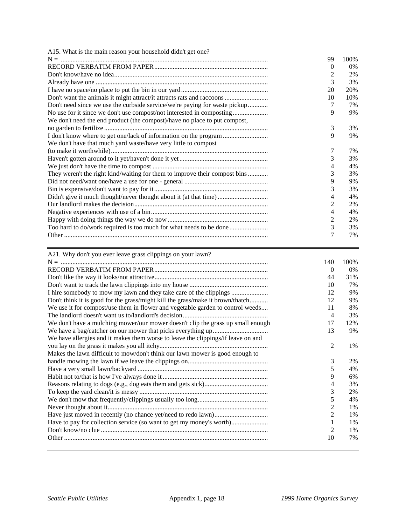| A15. What is the main reason your household didn't get one?                |          |       |
|----------------------------------------------------------------------------|----------|-------|
|                                                                            | 99       | 100%  |
|                                                                            | $\theta$ | $0\%$ |
|                                                                            | 2        | 2%    |
|                                                                            | 3        | 3%    |
|                                                                            | 20       | 20%   |
| Don't want the animals it might attract/it attracts rats and raccoons      | 10       | 10%   |
| Don't need since we use the curbside service/we're paying for waste pickup | 7        | 7%    |
|                                                                            | 9        | 9%    |
| We don't need the end product (the compost)/have no place to put compost,  |          |       |
|                                                                            | 3        | 3%    |
| I don't know where to get one/lack of information on the program           | 9        | 9%    |
| We don't have that much yard waste/have very little to compost             |          |       |
|                                                                            | 7        | 7%    |
|                                                                            | 3        | 3%    |
|                                                                            | 4        | 4%    |
| They weren't the right kind/waiting for them to improve their compost bins | 3        | 3%    |
|                                                                            | 9        | 9%    |
|                                                                            | 3        | 3%    |
| Didn't give it much thought/never thought about it (at that time)          | 4        | 4%    |
|                                                                            | 2        | 2%    |
|                                                                            | 4        | 4%    |
|                                                                            | 2        | 2%    |
|                                                                            | 3        | 3%    |
|                                                                            | 7        | 7%    |

| A21. Why don't you ever leave grass clippings on your lawn?                      |                |       |
|----------------------------------------------------------------------------------|----------------|-------|
|                                                                                  | 140            | 100%  |
|                                                                                  | $\theta$       | $0\%$ |
|                                                                                  | 44             | 31%   |
|                                                                                  | 10             | 7%    |
|                                                                                  | 12             | 9%    |
| Don't think it is good for the grass/might kill the grass/make it brown/thatch   | 12             | 9%    |
| We use it for compost/use them in flower and vegetable garden to control weeds   | 11             | 8%    |
|                                                                                  | $\overline{4}$ | 3%    |
| We don't have a mulching mower/our mower doesn't clip the grass up small enough  | 17             | 12%   |
|                                                                                  | 13             | 9%    |
| We have allergies and it makes them worse to leave the clippings/if leave on and |                |       |
|                                                                                  | 2              | 1%    |
| Makes the lawn difficult to mow/don't think our lawn mower is good enough to     |                |       |
|                                                                                  | 3              | 2%    |
|                                                                                  | 5              | 4%    |
|                                                                                  | 9              | 6%    |
|                                                                                  | 4              | 3%    |
|                                                                                  | 3              | 2%    |
|                                                                                  | 5              | 4%    |
|                                                                                  | $\overline{2}$ | 1%    |
|                                                                                  | $\overline{c}$ | 1%    |
| Have to pay for collection service (so want to get my money's worth)             | 1              | 1%    |
|                                                                                  | 2              | 1%    |
|                                                                                  | 10             | 7%    |
|                                                                                  |                |       |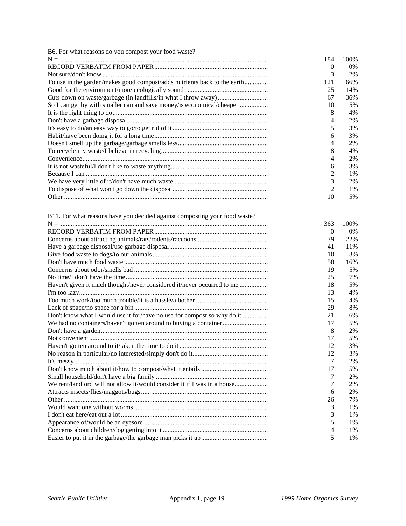| B6. For what reasons do you compost your food waste?                       |                  |      |
|----------------------------------------------------------------------------|------------------|------|
|                                                                            | 184              | 100% |
|                                                                            | $\boldsymbol{0}$ | 0%   |
|                                                                            | 3                | 2%   |
| To use in the garden/makes good compost/adds nutrients back to the earth   | 121              | 66%  |
|                                                                            | 25               | 14%  |
|                                                                            | 67               | 36%  |
| So I can get by with smaller can and save money/is economical/cheaper      | 10               | 5%   |
|                                                                            | 8                | 4%   |
|                                                                            | 4                | 2%   |
|                                                                            | 5                | 3%   |
|                                                                            | 6                | 3%   |
|                                                                            | 4                | 2%   |
|                                                                            | 8                | 4%   |
|                                                                            | 4                | 2%   |
|                                                                            | 6                | 3%   |
|                                                                            | 2                | 1%   |
|                                                                            | 3                | 2%   |
|                                                                            | 2                | 1%   |
|                                                                            | 10               | 5%   |
|                                                                            |                  |      |
| B11. For what reasons have you decided against composting your food waste? |                  |      |
|                                                                            | 363              | 100% |
|                                                                            | 0                | 0%   |
|                                                                            | 79               | 22%  |
|                                                                            | 41               | 11%  |
|                                                                            | 10               | 3%   |
|                                                                            | 58               | 16%  |
|                                                                            | 19               | 5%   |
|                                                                            | 25               | 7%   |
| Haven't given it much thought/never considered it/never occurred to me     | 18               | 5%   |
|                                                                            | 13               | 4%   |
|                                                                            | 15               | 4%   |
|                                                                            | 29               | 8%   |
| Don't know what I would use it for/have no use for compost so why do it    | 21               | 6%   |
|                                                                            | 17               | 5%   |
|                                                                            | 8                | 2%   |
|                                                                            | 17               | 5%   |
|                                                                            | 12               | 3%   |
|                                                                            | 12               | 3%   |
|                                                                            | 7                | 2%   |
|                                                                            | 17               | 5%   |
|                                                                            | 7                | 2%   |
| We rent/landlord will not allow it/would consider it if I was in a house   | 7                | 2%   |
|                                                                            | 6                | 2%   |
|                                                                            |                  | 7%   |
|                                                                            | 26               |      |
|                                                                            | 3                | 1%   |
|                                                                            | 3                | 1%   |
|                                                                            | 5                | 1%   |
|                                                                            | 4                | 1%   |
|                                                                            | 5                | 1%   |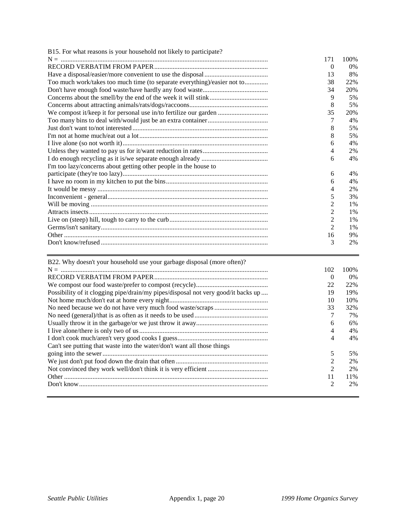| B15. For what reasons is your household not likely to participate?       |                |       |
|--------------------------------------------------------------------------|----------------|-------|
|                                                                          | 171            | 100\% |
|                                                                          | $\Omega$       | $0\%$ |
|                                                                          | 13             | 8%    |
| Too much work/takes too much time (to separate everything)/easier not to | 38             | 22%   |
|                                                                          | 34             | 20%   |
|                                                                          | 9              | 5%    |
|                                                                          | 8              | 5%    |
| We compost it/keep it for personal use in/to fertilize our garden        | 35             | 20%   |
|                                                                          | 7              | 4%    |
|                                                                          | 8              | 5%    |
|                                                                          | 8              | 5%    |
|                                                                          | 6              | 4%    |
|                                                                          | 4              | 2%    |
|                                                                          | 6              | 4%    |
| I'm too lazy/concerns about getting other people in the house to         |                |       |
|                                                                          | 6              | 4%    |
|                                                                          | 6              | 4%    |
|                                                                          | 4              | 2%    |
|                                                                          | 5              | 3%    |
|                                                                          | 2              | 1%    |
|                                                                          | $\overline{2}$ | 1%    |
|                                                                          | $\overline{2}$ | $1\%$ |
|                                                                          | $\mathfrak{D}$ | 1%    |
|                                                                          | 16             | 9%    |
|                                                                          | 3              | 2%    |

| B22. Why doesn't your household use your garbage disposal (more often)?           |          |       |
|-----------------------------------------------------------------------------------|----------|-------|
|                                                                                   | 102      | 100%  |
|                                                                                   | $\theta$ | $0\%$ |
|                                                                                   | 22       | 22%   |
| Possibility of it clogging pipe/drain/my pipes/disposal not very good/it backs up | 19       | 19%   |
|                                                                                   | 10       | 10%   |
|                                                                                   | 33       | 32%   |
|                                                                                   |          | 7%    |
|                                                                                   | 6        | 6%    |
|                                                                                   | 4        | 4%    |
|                                                                                   | 4        | 4%    |
| Can't see putting that waste into the water/don't want all those things           |          |       |
|                                                                                   | 5        | 5%    |
|                                                                                   | 2        | 2%    |
|                                                                                   | 2        | 2%    |
|                                                                                   | 11       | 11%   |
|                                                                                   | 2        | 2%    |
|                                                                                   |          |       |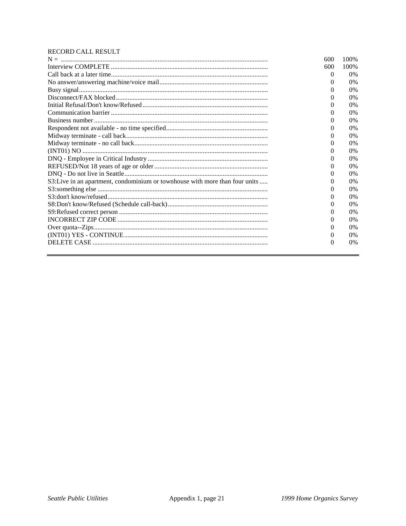### RECORD CALL RESULT

|                                                                              | 600      | 100\% |
|------------------------------------------------------------------------------|----------|-------|
|                                                                              | 600      | 100%  |
|                                                                              | $\theta$ | $0\%$ |
|                                                                              | $_{0}$   | $0\%$ |
|                                                                              | 0        | $0\%$ |
|                                                                              | 0        | $0\%$ |
|                                                                              | 0        | $0\%$ |
|                                                                              | 0        | $0\%$ |
|                                                                              | $^{(1)}$ | $0\%$ |
|                                                                              | 0        | $0\%$ |
|                                                                              | $^{(1)}$ | $0\%$ |
|                                                                              | $\Omega$ | $0\%$ |
|                                                                              | 0        | $0\%$ |
|                                                                              | $^{(1)}$ | 0%    |
|                                                                              | 0        | $0\%$ |
|                                                                              | 0        | $0\%$ |
| S3: Live in an apartment, condominium or townhouse with more than four units | $\theta$ | $0\%$ |
|                                                                              | 0        | $0\%$ |
|                                                                              | $\theta$ | $0\%$ |
|                                                                              | 0        | $0\%$ |
|                                                                              | $\Omega$ | $0\%$ |
|                                                                              | 0        | $0\%$ |
|                                                                              | 0        | $0\%$ |
|                                                                              | $\theta$ | $0\%$ |
|                                                                              | $\Omega$ | $0\%$ |
|                                                                              |          |       |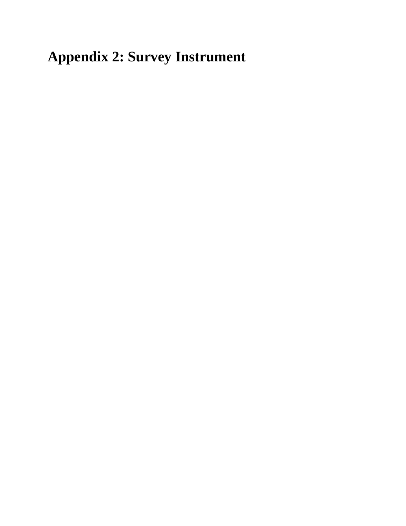**Appendix 2: Survey Instrument**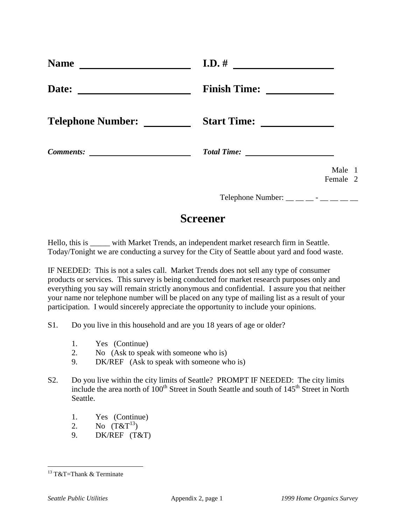| <b>Name</b>              | $I.D.$ #            |
|--------------------------|---------------------|
| Date:                    | <b>Finish Time:</b> |
| <b>Telephone Number:</b> | <b>Start Time:</b>  |
| <b>Comments:</b>         | <b>Total Time:</b>  |
|                          | Male 1<br>Female 2  |

Telephone Number:  $\_\_$   $\_\_$  -  $\_\_$ 

## **Screener**

Hello, this is \_\_\_\_\_ with Market Trends, an independent market research firm in Seattle. Today/Tonight we are conducting a survey for the City of Seattle about yard and food waste.

IF NEEDED: This is not a sales call. Market Trends does not sell any type of consumer products or services. This survey is being conducted for market research purposes only and everything you say will remain strictly anonymous and confidential. I assure you that neither your name nor telephone number will be placed on any type of mailing list as a result of your participation. I would sincerely appreciate the opportunity to include your opinions.

- S1. Do you live in this household and are you 18 years of age or older?
	- 1. Yes (Continue)
	- 2. No (Ask to speak with someone who is)
	- 9. DK/REF (Ask to speak with someone who is)
- S2. Do you live within the city limits of Seattle? PROMPT IF NEEDED: The city limits include the area north of  $100<sup>th</sup>$  Street in South Seattle and south of  $145<sup>th</sup>$  Street in North Seattle.
	- 1. Yes (Continue)
	- 2. No  $(T&T^{13})$
	- 9. DK/REF (T&T)

 $13$  T&T=Thank & Terminate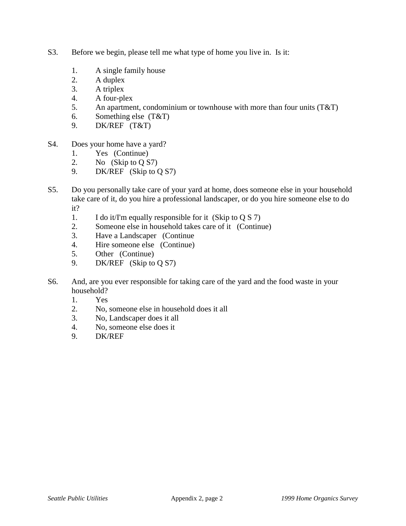- S3. Before we begin, please tell me what type of home you live in. Is it:
	- 1. A single family house
	- 2. A duplex
	- 3. A triplex
	- 4. A four-plex
	- 5. An apartment, condominium or townhouse with more than four units (T&T)
	- 6. Something else (T&T)
	- 9. DK/REF (T&T)
- S4. Does your home have a yard?
	- 1. Yes (Continue)
	- 2. No (Skip to Q S7)
	- 9. DK/REF (Skip to Q S7)
- S5. Do you personally take care of your yard at home, does someone else in your household take care of it, do you hire a professional landscaper, or do you hire someone else to do it?
	- 1. I do it/I'm equally responsible for it (Skip to Q S 7)
	- 2. Someone else in household takes care of it (Continue)
	- 3. Have a Landscaper (Continue
	- 4. Hire someone else (Continue)
	- 5. Other (Continue)
	- 9. DK/REF (Skip to Q S7)
- S6. And, are you ever responsible for taking care of the yard and the food waste in your household?
	- 1. Yes
	- 2. No, someone else in household does it all
	- 3. No, Landscaper does it all
	- 4. No, someone else does it
	- 9. DK/REF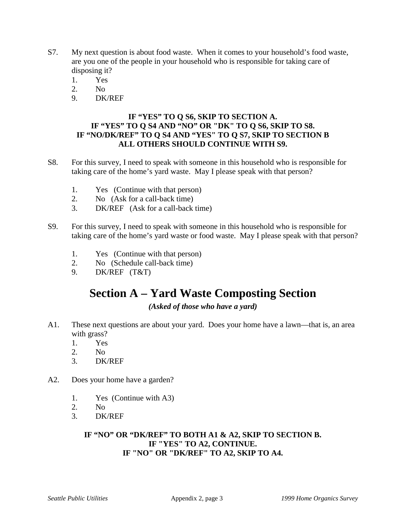- S7. My next question is about food waste. When it comes to your household's food waste, are you one of the people in your household who is responsible for taking care of disposing it?
	- 1. Yes
	- 2. No
	- 9. DK/REF

## **IF "YES" TO Q S6, SKIP TO SECTION A. IF "YES" TO Q S4 AND "NO" OR "DK" TO Q S6, SKIP TO S8. IF "NO/DK/REF" TO Q S4 AND "YES" TO Q S7, SKIP TO SECTION B ALL OTHERS SHOULD CONTINUE WITH S9.**

- S8. For this survey, I need to speak with someone in this household who is responsible for taking care of the home's yard waste. May I please speak with that person?
	- 1. Yes (Continue with that person)
	- 2. No (Ask for a call-back time)
	- 3. DK/REF (Ask for a call-back time)
- S9. For this survey, I need to speak with someone in this household who is responsible for taking care of the home's yard waste or food waste. May I please speak with that person?
	- 1. Yes (Continue with that person)
	- 2. No (Schedule call-back time)
	- 9. DK/REF (T&T)

# **Section A – Yard Waste Composting Section**

*(Asked of those who have a yard)*

- A1. These next questions are about your yard. Does your home have a lawn—that is, an area with grass?
	- 1. Yes
	- 2. No
	- 3. DK/REF
- A2. Does your home have a garden?
	- 1. Yes (Continue with A3)
	- 2. No
	- 3. DK/REF

## **IF "NO" OR "DK/REF" TO BOTH A1 & A2, SKIP TO SECTION B. IF "YES" TO A2, CONTINUE. IF "NO" OR "DK/REF" TO A2, SKIP TO A4.**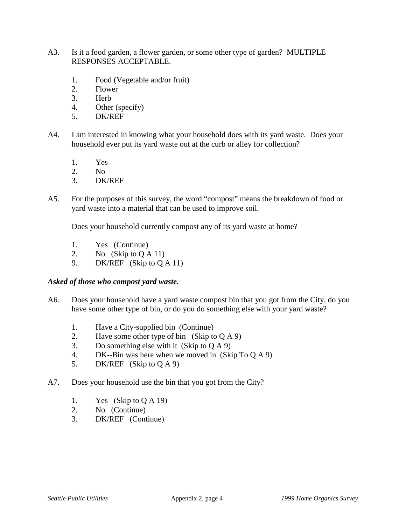- A3. Is it a food garden, a flower garden, or some other type of garden? MULTIPLE RESPONSES ACCEPTABLE.
	- 1. Food (Vegetable and/or fruit)
	- 2. Flower
	- 3. Herb
	- 4. Other (specify)
	- 5. DK/REF
- A4. I am interested in knowing what your household does with its yard waste. Does your household ever put its yard waste out at the curb or alley for collection?
	- 1. Yes
	- 2. No
	- 3. DK/REF
- A5. For the purposes of this survey, the word "compost" means the breakdown of food or yard waste into a material that can be used to improve soil.

Does your household currently compost any of its yard waste at home?

- 1. Yes (Continue)
- 2. No  $(Skip to QA 11)$
- 9. DK/REF (Skip to Q A 11)

### *Asked of those who compost yard waste.*

- A6. Does your household have a yard waste compost bin that you got from the City, do you have some other type of bin, or do you do something else with your yard waste?
	- 1. Have a City-supplied bin (Continue)
	- 2. Have some other type of bin  $(Skip to QA 9)$
	- 3. Do something else with it (Skip to Q A 9)
	- 4. DK--Bin was here when we moved in (Skip To Q A 9)
	- 5. DK/REF (Skip to Q A 9)
- A7. Does your household use the bin that you got from the City?
	- 1. Yes (Skip to Q A 19)
	- 2. No (Continue)
	- 3. DK/REF (Continue)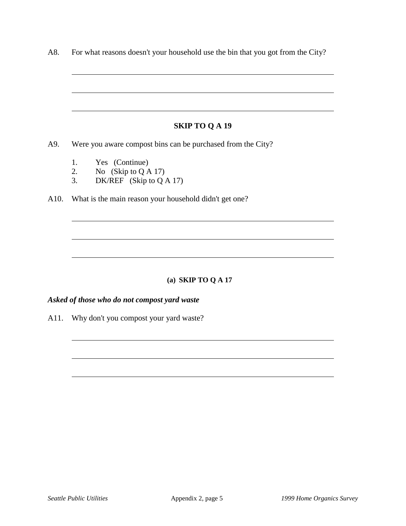|    | <b>SKIP TO Q A 19</b>                                       |
|----|-------------------------------------------------------------|
|    | Were you aware compost bins can be purchased from the City? |
|    | 1. Yes (Continue)                                           |
|    | 2. No $(Skip to QA 17)$                                     |
| 3. | DK/REF (Skip to Q A 17)                                     |
|    | What is the main reason your household didn't get one?      |
|    |                                                             |

## **(a) SKIP TO Q A 17**

## *Asked of those who do not compost yard waste*

A11. Why don't you compost your yard waste?

 $\overline{a}$ 

 $\overline{a}$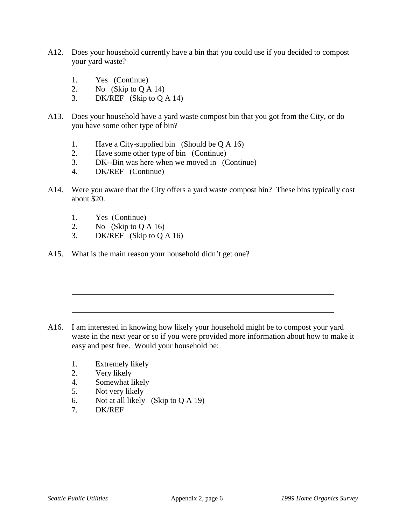- A12. Does your household currently have a bin that you could use if you decided to compost your yard waste?
	- 1. Yes (Continue)
	- 2. No  $(Skip to QA 14)$
	- 3. DK/REF (Skip to Q A 14)
- A13. Does your household have a yard waste compost bin that you got from the City, or do you have some other type of bin?
	- 1. Have a City-supplied bin (Should be Q A 16)
	- 2. Have some other type of bin (Continue)
	- 3. DK--Bin was here when we moved in (Continue)
	- 4. DK/REF (Continue)
- A14. Were you aware that the City offers a yard waste compost bin? These bins typically cost about \$20.
	- 1. Yes (Continue)

 $\overline{a}$ 

- 2. No  $(Skip to QA 16)$
- 3. DK/REF (Skip to Q A 16)
- A15. What is the main reason your household didn't get one?

- A16. I am interested in knowing how likely your household might be to compost your yard waste in the next year or so if you were provided more information about how to make it easy and pest free. Would your household be:
	- 1. Extremely likely
	- 2. Very likely
	- 4. Somewhat likely
	- 5. Not very likely
	- 6. Not at all likely (Skip to Q A 19)
	- 7. DK/REF

 $\overline{a}$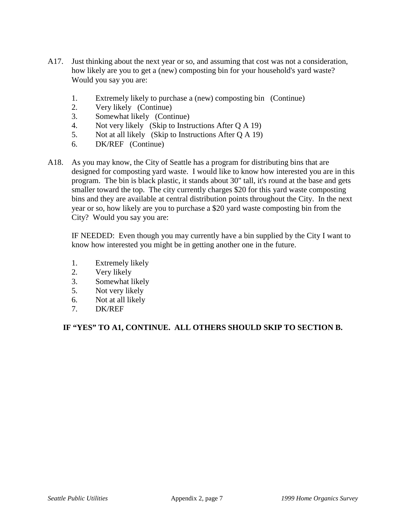- A17. Just thinking about the next year or so, and assuming that cost was not a consideration, how likely are you to get a (new) composting bin for your household's yard waste? Would you say you are:
	- 1. Extremely likely to purchase a (new) composting bin (Continue)
	- 2. Very likely (Continue)
	- 3. Somewhat likely (Continue)
	- 4. Not very likely (Skip to Instructions After Q A 19)
	- 5. Not at all likely (Skip to Instructions After Q A 19)
	- 6. DK/REF (Continue)
- A18. As you may know, the City of Seattle has a program for distributing bins that are designed for composting yard waste. I would like to know how interested you are in this program. The bin is black plastic, it stands about 30" tall, it's round at the base and gets smaller toward the top. The city currently charges \$20 for this yard waste composting bins and they are available at central distribution points throughout the City. In the next year or so, how likely are you to purchase a \$20 yard waste composting bin from the City? Would you say you are:

IF NEEDED: Even though you may currently have a bin supplied by the City I want to know how interested you might be in getting another one in the future.

- 1. Extremely likely
- 2. Very likely
- 3. Somewhat likely
- 5. Not very likely
- 6. Not at all likely
- 7. DK/REF

### **IF "YES" TO A1, CONTINUE. ALL OTHERS SHOULD SKIP TO SECTION B.**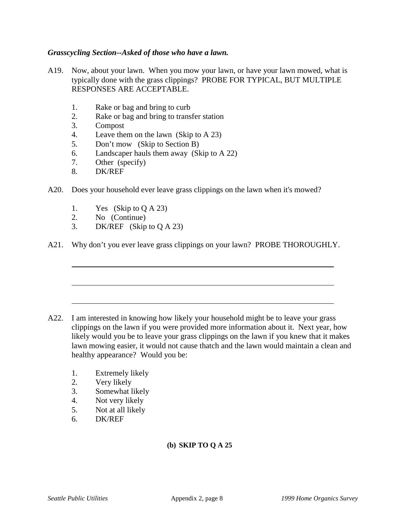### *Grasscycling Section--Asked of those who have a lawn.*

- A19. Now, about your lawn. When you mow your lawn, or have your lawn mowed, what is typically done with the grass clippings? PROBE FOR TYPICAL, BUT MULTIPLE RESPONSES ARE ACCEPTABLE.
	- 1. Rake or bag and bring to curb
	- 2. Rake or bag and bring to transfer station
	- 3. Compost
	- 4. Leave them on the lawn (Skip to A 23)
	- 5. Don't mow (Skip to Section B)
	- 6. Landscaper hauls them away (Skip to A 22)
	- 7. Other (specify)
	- 8. DK/REF

 $\overline{a}$ 

- A20. Does your household ever leave grass clippings on the lawn when it's mowed?
	- 1. Yes (Skip to Q A 23)
	- 2. No (Continue)
	- 3. DK/REF (Skip to Q A 23)
- A21. Why don't you ever leave grass clippings on your lawn? PROBE THOROUGHLY.

- A22. I am interested in knowing how likely your household might be to leave your grass clippings on the lawn if you were provided more information about it. Next year, how likely would you be to leave your grass clippings on the lawn if you knew that it makes lawn mowing easier, it would not cause thatch and the lawn would maintain a clean and healthy appearance? Would you be:
	- 1. Extremely likely
	- 2. Very likely
	- 3. Somewhat likely
	- 4. Not very likely
	- 5. Not at all likely
	- 6. DK/REF

### **(b) SKIP TO Q A 25**

 $\overline{a}$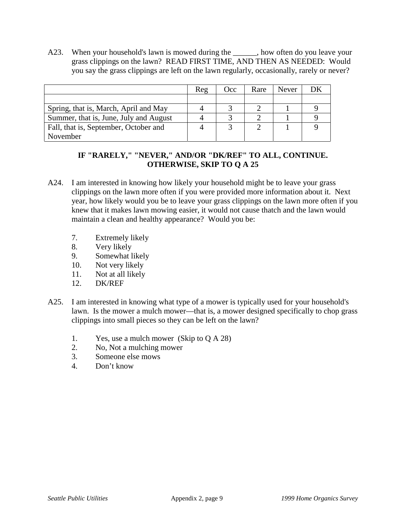A23. When your household's lawn is mowed during the \_\_\_\_\_, how often do you leave your grass clippings on the lawn? READ FIRST TIME, AND THEN AS NEEDED: Would you say the grass clippings are left on the lawn regularly, occasionally, rarely or never?

|                                        | Reg | Occ | Rare | <b>Never</b> |  |
|----------------------------------------|-----|-----|------|--------------|--|
|                                        |     |     |      |              |  |
| Spring, that is, March, April and May  |     |     |      |              |  |
| Summer, that is, June, July and August |     | ◠   |      |              |  |
| Fall, that is, September, October and  |     | ⌒   |      |              |  |
| November                               |     |     |      |              |  |

## **IF "RARELY," "NEVER," AND/OR "DK/REF" TO ALL, CONTINUE. OTHERWISE, SKIP TO Q A 25**

- A24. I am interested in knowing how likely your household might be to leave your grass clippings on the lawn more often if you were provided more information about it. Next year, how likely would you be to leave your grass clippings on the lawn more often if you knew that it makes lawn mowing easier, it would not cause thatch and the lawn would maintain a clean and healthy appearance? Would you be:
	- 7. Extremely likely
	- 8. Very likely
	- 9. Somewhat likely
	- 10. Not very likely
	- 11. Not at all likely
	- 12. DK/REF
- A25. I am interested in knowing what type of a mower is typically used for your household's lawn. Is the mower a mulch mower—that is, a mower designed specifically to chop grass clippings into small pieces so they can be left on the lawn?
	- 1. Yes, use a mulch mower (Skip to Q A 28)
	- 2. No, Not a mulching mower
	- 3. Someone else mows
	- 4. Don't know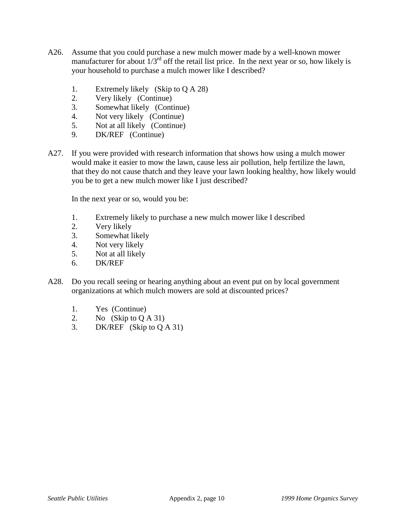- A26. Assume that you could purchase a new mulch mower made by a well-known mower manufacturer for about  $1/3^{rd}$  off the retail list price. In the next year or so, how likely is your household to purchase a mulch mower like I described?
	- 1. Extremely likely (Skip to Q A 28)
	- 2. Very likely (Continue)
	- 3. Somewhat likely (Continue)
	- 4. Not very likely (Continue)
	- 5. Not at all likely (Continue)
	- 9. DK/REF (Continue)
- A27. If you were provided with research information that shows how using a mulch mower would make it easier to mow the lawn, cause less air pollution, help fertilize the lawn, that they do not cause thatch and they leave your lawn looking healthy, how likely would you be to get a new mulch mower like I just described?

In the next year or so, would you be:

- 1. Extremely likely to purchase a new mulch mower like I described
- 2. Very likely
- 3. Somewhat likely
- 4. Not very likely
- 5. Not at all likely
- 6. DK/REF
- A28. Do you recall seeing or hearing anything about an event put on by local government organizations at which mulch mowers are sold at discounted prices?
	- 1. Yes (Continue)
	- 2. No  $(Skip to QA 31)$
	- 3. DK/REF (Skip to Q A 31)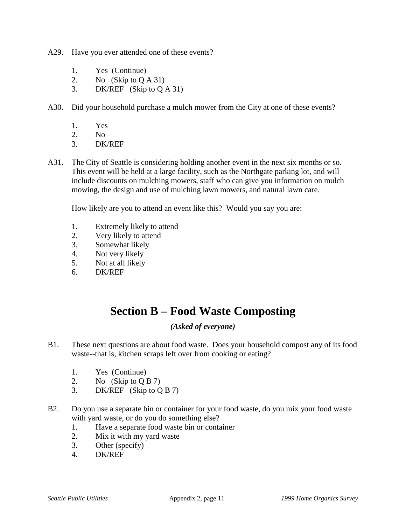- A29. Have you ever attended one of these events?
	- 1. Yes (Continue)
	- 2. No (Skip to Q A 31)
	- 3. DK/REF (Skip to Q A 31)
- A30. Did your household purchase a mulch mower from the City at one of these events?
	- 1. Yes
	- 2. No<br>3. DK
	- DK/REF
- A31. The City of Seattle is considering holding another event in the next six months or so. This event will be held at a large facility, such as the Northgate parking lot, and will include discounts on mulching mowers, staff who can give you information on mulch mowing, the design and use of mulching lawn mowers, and natural lawn care.

How likely are you to attend an event like this? Would you say you are:

- 1. Extremely likely to attend
- 2. Very likely to attend
- 3. Somewhat likely
- 4. Not very likely
- 5. Not at all likely
- 6. DK/REF

# **Section B – Food Waste Composting**

### *(Asked of everyone)*

- B1. These next questions are about food waste. Does your household compost any of its food waste--that is, kitchen scraps left over from cooking or eating?
	- 1. Yes (Continue)
	- 2. No (Skip to Q B 7)
	- 3. DK/REF (Skip to Q B 7)
- B2. Do you use a separate bin or container for your food waste, do you mix your food waste with yard waste, or do you do something else?
	- 1. Have a separate food waste bin or container
	- 2. Mix it with my yard waste
	- 3. Other (specify)
	- 4. DK/REF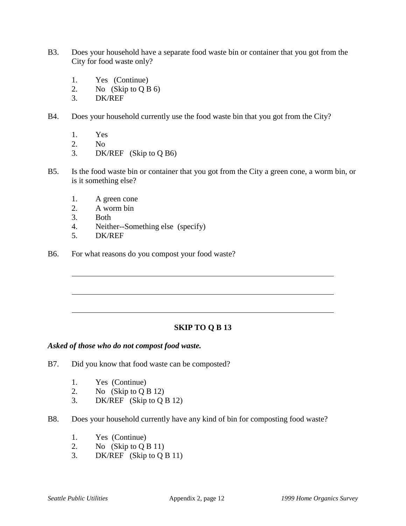- B3. Does your household have a separate food waste bin or container that you got from the City for food waste only?
	- 1. Yes (Continue)
	- 2. No (Skip to Q B 6)
	- 3. DK/REF
- B4. Does your household currently use the food waste bin that you got from the City?
	- 1. Yes
	- 2. No
	- 3. DK/REF (Skip to Q B6)
- B5. Is the food waste bin or container that you got from the City a green cone, a worm bin, or is it something else?
	- 1. A green cone
	- 2. A worm bin
	- 3. Both
	- 4. Neither--Something else (specify)
	- 5. DK/REF

 $\overline{a}$ 

B6. For what reasons do you compost your food waste?

### **SKIP TO Q B 13**

### *Asked of those who do not compost food waste.*

- B7. Did you know that food waste can be composted?
	- 1. Yes (Continue)
	- 2. No  $(Skip to Q B 12)$
	- 3. DK/REF (Skip to Q B 12)
- B8. Does your household currently have any kind of bin for composting food waste?
	- 1. Yes (Continue)
	- 2. No  $(Skip to Q B 11)$
	- 3. DK/REF (Skip to Q B 11)

 $\overline{a}$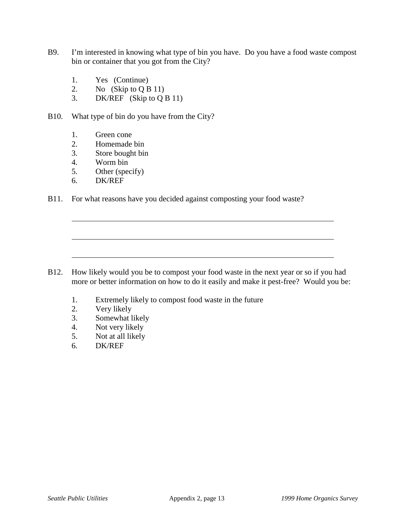- B9. I'm interested in knowing what type of bin you have. Do you have a food waste compost bin or container that you got from the City?
	- 1. Yes (Continue)
	- 2. No  $(Skip to Q B 11)$
	- 3. DK/REF (Skip to Q B 11)
- B10. What type of bin do you have from the City?
	- 1. Green cone
	- 2. Homemade bin
	- 3. Store bought bin
	- 4. Worm bin
	- 5. Other (specify)
	- 6. DK/REF

 $\overline{a}$ 

B11. For what reasons have you decided against composting your food waste?

- B12. How likely would you be to compost your food waste in the next year or so if you had more or better information on how to do it easily and make it pest-free? Would you be:
	- 1. Extremely likely to compost food waste in the future
	- 2. Very likely
	- 3. Somewhat likely
	- 4. Not very likely
	- 5. Not at all likely
	- 6. DK/REF

 $\overline{a}$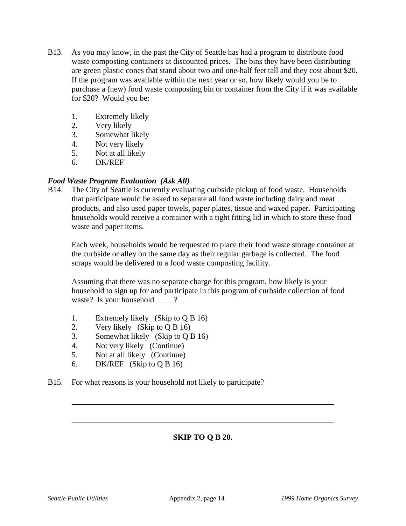- B13. As you may know, in the past the City of Seattle has had a program to distribute food waste composting containers at discounted prices. The bins they have been distributing are green plastic cones that stand about two and one-half feet tall and they cost about \$20. If the program was available within the next year or so, how likely would you be to purchase a (new) food waste composting bin or container from the City if it was available for \$20? Would you be:
	- 1. Extremely likely
	- 2. Very likely
	- 3. Somewhat likely
	- 4. Not very likely
	- 5. Not at all likely
	- 6. DK/REF

### *Food Waste Program Evaluation (Ask All)*

B14. The City of Seattle is currently evaluating curbside pickup of food waste. Households that participate would be asked to separate all food waste including dairy and meat products, and also used paper towels, paper plates, tissue and waxed paper. Participating households would receive a container with a tight fitting lid in which to store these food waste and paper items.

Each week, households would be requested to place their food waste storage container at the curbside or alley on the same day as their regular garbage is collected. The food scraps would be delivered to a food waste composting facility.

Assuming that there was no separate charge for this program, how likely is your household to sign up for and participate in this program of curbside collection of food waste? Is your household ?

- 1. Extremely likely (Skip to Q B 16)
- 2. Very likely (Skip to Q B 16)
- 3. Somewhat likely (Skip to Q B 16)
- 4. Not very likely (Continue)
- 5. Not at all likely (Continue)
- 6. DK/REF (Skip to Q B 16)
- B15. For what reasons is your household not likely to participate?

## **SKIP TO Q B 20.**

 $\overline{a}$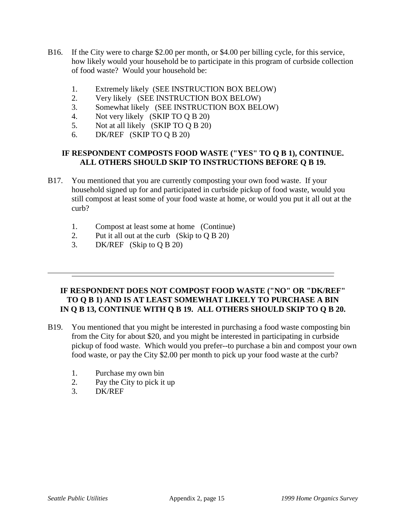- B16. If the City were to charge \$2.00 per month, or \$4.00 per billing cycle, for this service, how likely would your household be to participate in this program of curbside collection of food waste? Would your household be:
	- 1. Extremely likely (SEE INSTRUCTION BOX BELOW)
	- 2. Very likely (SEE INSTRUCTION BOX BELOW)
	- 3. Somewhat likely (SEE INSTRUCTION BOX BELOW)
	- 4. Not very likely (SKIP TO Q B 20)
	- 5. Not at all likely (SKIP TO Q B 20)
	- 6. DK/REF (SKIP TO Q B 20)

## **IF RESPONDENT COMPOSTS FOOD WASTE ("YES" TO Q B 1), CONTINUE. ALL OTHERS SHOULD SKIP TO INSTRUCTIONS BEFORE Q B 19.**

- B17. You mentioned that you are currently composting your own food waste. If your household signed up for and participated in curbside pickup of food waste, would you still compost at least some of your food waste at home, or would you put it all out at the curb?
	- 1. Compost at least some at home (Continue)
	- 2. Put it all out at the curb (Skip to Q B 20)
	- 3. DK/REF (Skip to Q B 20)

## **IF RESPONDENT DOES NOT COMPOST FOOD WASTE ("NO" OR "DK/REF" TO Q B 1) AND IS AT LEAST SOMEWHAT LIKELY TO PURCHASE A BIN IN Q B 13, CONTINUE WITH Q B 19. ALL OTHERS SHOULD SKIP TO Q B 20.**

- B19. You mentioned that you might be interested in purchasing a food waste composting bin from the City for about \$20, and you might be interested in participating in curbside pickup of food waste. Which would you prefer--to purchase a bin and compost your own food waste, or pay the City \$2.00 per month to pick up your food waste at the curb?
	- 1. Purchase my own bin
	- 2. Pay the City to pick it up
	- 3. DK/REF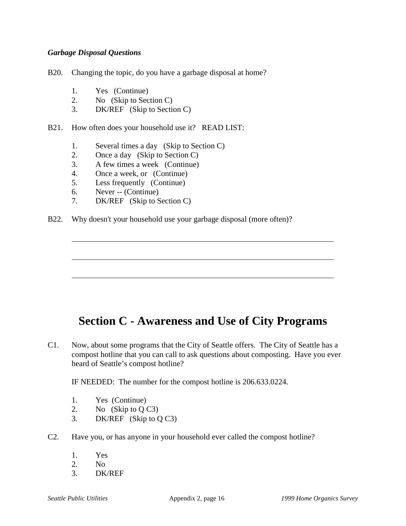### *Garbage Disposal Questions*

B20. Changing the topic, do you have a garbage disposal at home?

- 1. Yes (Continue)
- 2. No (Skip to Section C)
- 3. DK/REF (Skip to Section C)
- B21. How often does your household use it? READ LIST:
	- 1. Several times a day (Skip to Section C)
	- 2. Once a day (Skip to Section C)
	- 3. A few times a week (Continue)
	- 4. Once a week, or (Continue)
	- 5. Less frequently (Continue)
	- 6. Never -- (Continue)

 $\overline{a}$ 

- 7. DK/REF (Skip to Section C)
- B22. Why doesn't your household use your garbage disposal (more often)?

## **Section C - Awareness and Use of City Programs**

C1. Now, about some programs that the City of Seattle offers. The City of Seattle has a compost hotline that you can call to ask questions about composting. Have you ever heard of Seattle's compost hotline?

IF NEEDED: The number for the compost hotline is 206.633.0224.

- 1. Yes (Continue)
- 2. No (Skip to Q C3)
- 3. DK/REF (Skip to Q C3)
- C2. Have you, or has anyone in your household ever called the compost hotline?
	- 1. Yes
	- 2. No
	- 3. DK/REF

 $\overline{a}$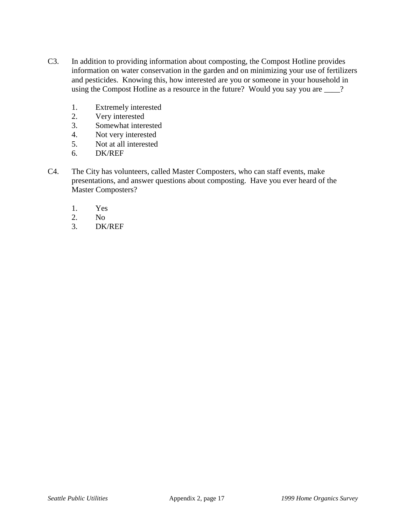- C3. In addition to providing information about composting, the Compost Hotline provides information on water conservation in the garden and on minimizing your use of fertilizers and pesticides. Knowing this, how interested are you or someone in your household in using the Compost Hotline as a resource in the future? Would you say you are \_\_\_\_?
	- 1. Extremely interested
	- 2. Very interested
	- 3. Somewhat interested
	- 4. Not very interested
	- 5. Not at all interested
	- 6. DK/REF
- C4. The City has volunteers, called Master Composters, who can staff events, make presentations, and answer questions about composting. Have you ever heard of the Master Composters?
	- 1. Yes
	- 2. No
	- 3. DK/REF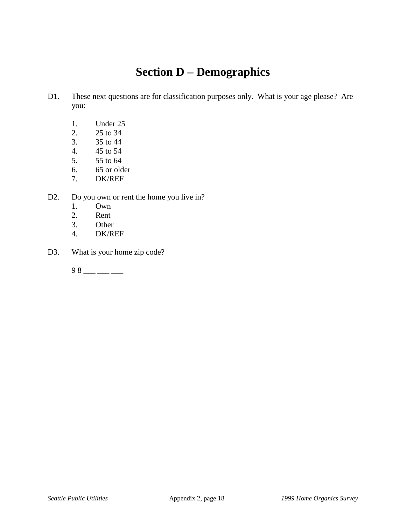# **Section D – Demographics**

- D1. These next questions are for classification purposes only. What is your age please? Are you:
	- 1. Under 25
	- 2. 25 to 34
	- 3. 35 to 44
	- 4. 45 to 54
	- 5. 55 to 64
	- 6. 65 or older
	- 7. DK/REF
- D2. Do you own or rent the home you live in?
	- 1. Own
	- 2. Rent
	- 3. Other
	- 4. DK/REF
- D3. What is your home zip code?

 $98 - - -$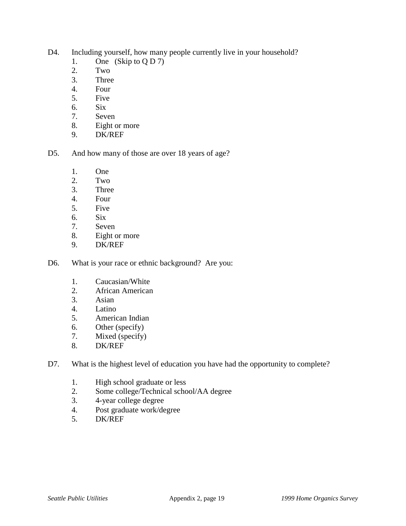- D4. Including yourself, how many people currently live in your household?
	- 1. One (Skip to  $Q D 7$ )
	- 2. Two
	- 3. Three
	- 4. Four
	- 5. Five
	- 6. Six
	- 7. Seven
	- 8. Eight or more
	- 9. DK/REF
- D5. And how many of those are over 18 years of age?
	- 1. One
	- 2. Two
	- 3. Three
	- 4. Four
	- 5. Five
	- 6. Six
	- 7. Seven
	- 8. Eight or more
	- 9. DK/REF
- D6. What is your race or ethnic background? Are you:
	- 1. Caucasian/White
	- 2. African American
	- 3. Asian
	- 4. Latino
	- 5. American Indian
	- 6. Other (specify)
	- 7. Mixed (specify)
	- 8. DK/REF
- D7. What is the highest level of education you have had the opportunity to complete?
	- 1. High school graduate or less
	- 2. Some college/Technical school/AA degree
	- 3. 4-year college degree
	- 4. Post graduate work/degree
	- 5. DK/REF